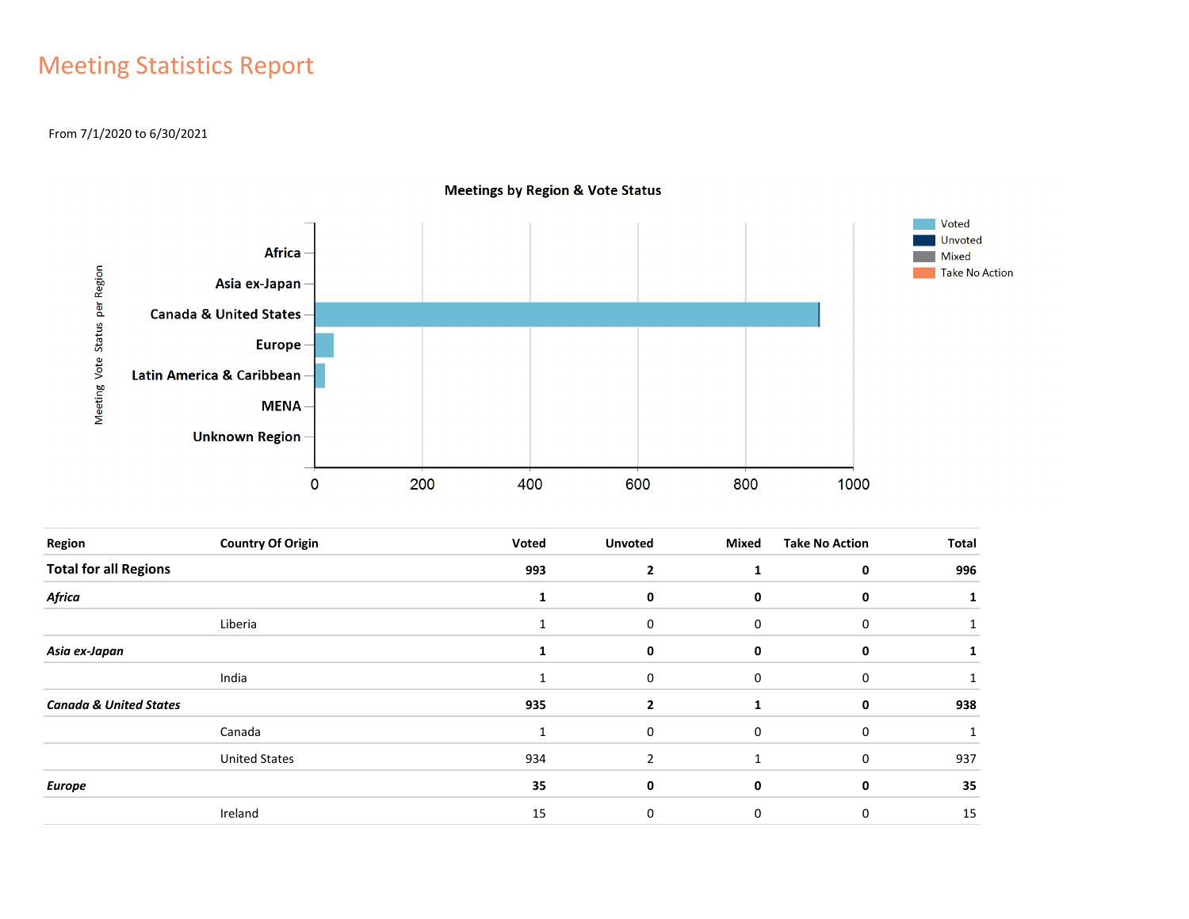## Meeting Statistics Report

#### From 7/1/2020 to 6/30/2021



**Meetings by Region & Vote Status** 

| Region                            | <b>Country Of Origin</b> | Voted        | <b>Unvoted</b> | Mixed | <b>Take No Action</b> | Total |
|-----------------------------------|--------------------------|--------------|----------------|-------|-----------------------|-------|
| <b>Total for all Regions</b>      |                          | 993          | $\overline{2}$ |       | 0                     | 996   |
| Africa                            |                          |              | 0              | 0     | 0                     |       |
|                                   | Liberia                  | 1            | 0              | 0     | 0                     |       |
| Asia ex-Japan                     |                          |              | 0              | 0     | 0                     |       |
|                                   | India                    | $\mathbf{1}$ | 0              | 0     | 0                     |       |
| <b>Canada &amp; United States</b> |                          | 935          | $\mathbf{2}$   |       | 0                     | 938   |
|                                   | Canada                   | $\mathbf{1}$ | 0              | 0     | 0                     |       |
|                                   | <b>United States</b>     | 934          | $\overline{2}$ |       | $\mathbf 0$           | 937   |
| <b>Europe</b>                     |                          | 35           | 0              | 0     | 0                     | 35    |
|                                   | Ireland                  | 15           | 0              | 0     | 0                     | 15    |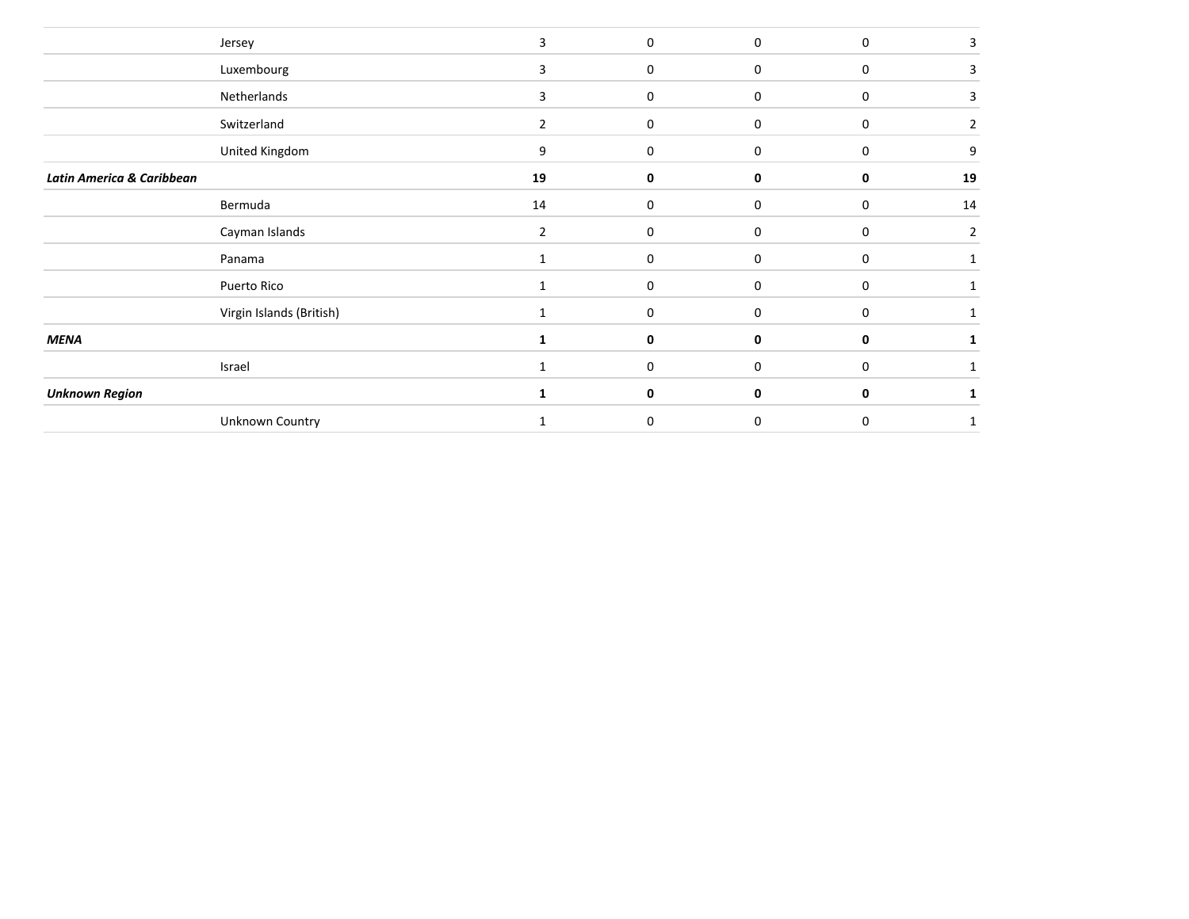|                           | Jersey                   | 3            | $\mathbf 0$ | $\mathbf 0$ | $\mathbf 0$ | 3              |
|---------------------------|--------------------------|--------------|-------------|-------------|-------------|----------------|
|                           | Luxembourg               | 3            | 0           | 0           | 0           |                |
|                           | Netherlands              | 3            | $\mathbf 0$ | 0           | $\mathbf 0$ | 3              |
|                           | Switzerland              | 2            | 0           | 0           | $\mathbf 0$ | 2              |
|                           | United Kingdom           | 9            | 0           | $\mathbf 0$ | $\mathbf 0$ | 9              |
| Latin America & Caribbean |                          | 19           | 0           | 0           | 0           | 19             |
|                           | Bermuda                  | 14           | $\mathbf 0$ | 0           | $\mathbf 0$ | 14             |
|                           | Cayman Islands           | 2            | 0           | 0           | 0           | $\overline{2}$ |
|                           | Panama                   | $\mathbf{1}$ | 0           | 0           | 0           |                |
|                           | Puerto Rico              | 1            | 0           | 0           | $\mathbf 0$ |                |
|                           | Virgin Islands (British) | 1            | 0           | 0           | $\mathbf 0$ |                |
| <b>MENA</b>               |                          | 1            | 0           | 0           | 0           |                |
|                           | Israel                   | $\mathbf{1}$ | $\mathbf 0$ | $\mathbf 0$ | $\mathbf 0$ |                |
| <b>Unknown Region</b>     |                          | 1            | 0           | 0           | 0           |                |
|                           | Unknown Country          |              | 0           | $\Omega$    | $\mathbf 0$ |                |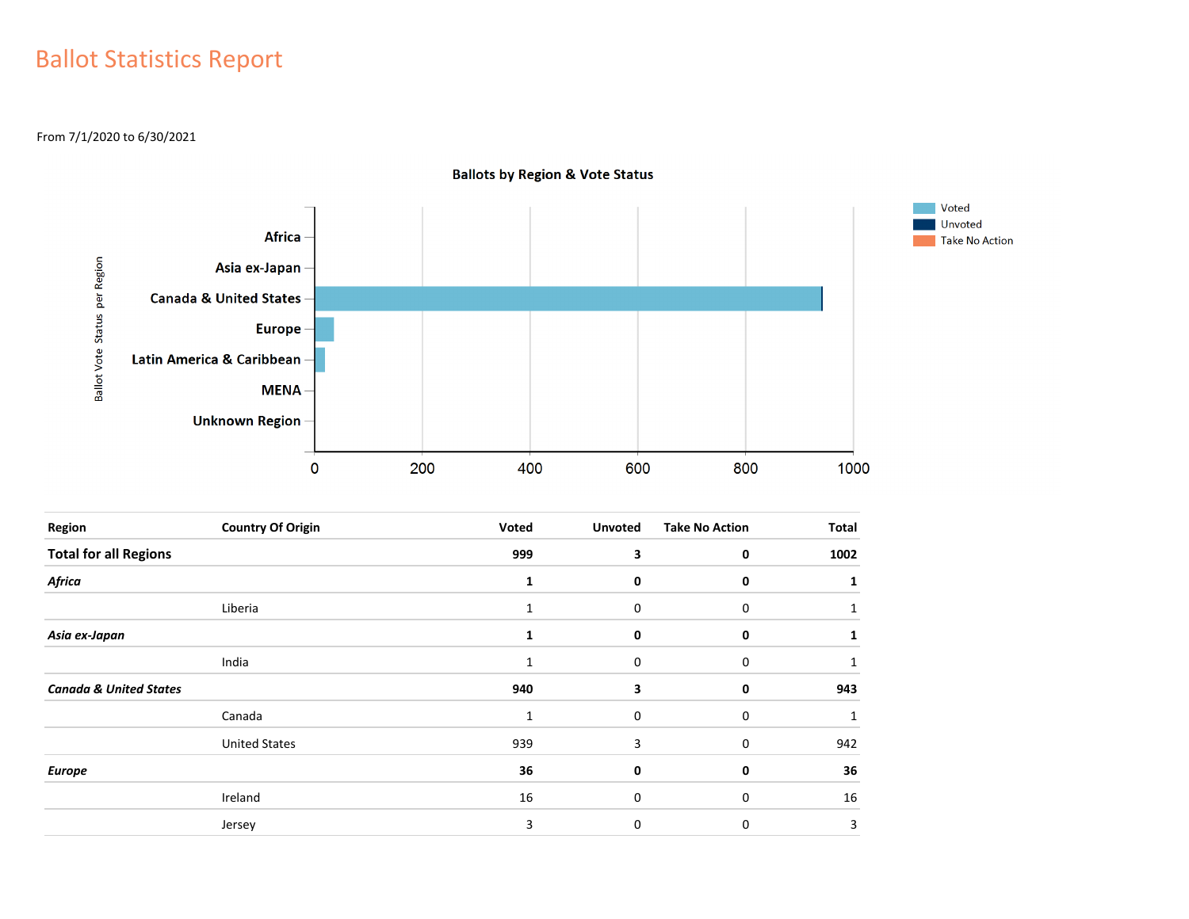## Ballot Statistics Report

From 7/1/2020 to 6/30/2021



**Ballots by Region & Vote Status** 

| Region                            | <b>Country Of Origin</b> | Voted        | <b>Unvoted</b> | <b>Take No Action</b> | Total |
|-----------------------------------|--------------------------|--------------|----------------|-----------------------|-------|
| <b>Total for all Regions</b>      |                          | 999          | 3              | 0                     | 1002  |
| Africa                            |                          | 1            | 0              | 0                     |       |
|                                   | Liberia                  | 1            | 0              | 0                     |       |
| Asia ex-Japan                     |                          |              | 0              | 0                     |       |
|                                   | India                    | 1            | 0              | 0                     |       |
| <b>Canada &amp; United States</b> |                          | 940          | 3              | 0                     | 943   |
|                                   | Canada                   | $\mathbf{1}$ | 0              | 0                     |       |
|                                   | <b>United States</b>     | 939          | 3              | 0                     | 942   |
| <b>Europe</b>                     |                          | 36           | 0              | 0                     | 36    |
|                                   | Ireland                  | 16           | $\Omega$       | 0                     | 16    |
|                                   | Jersey                   | 3            | $\mathbf 0$    | 0                     | 3     |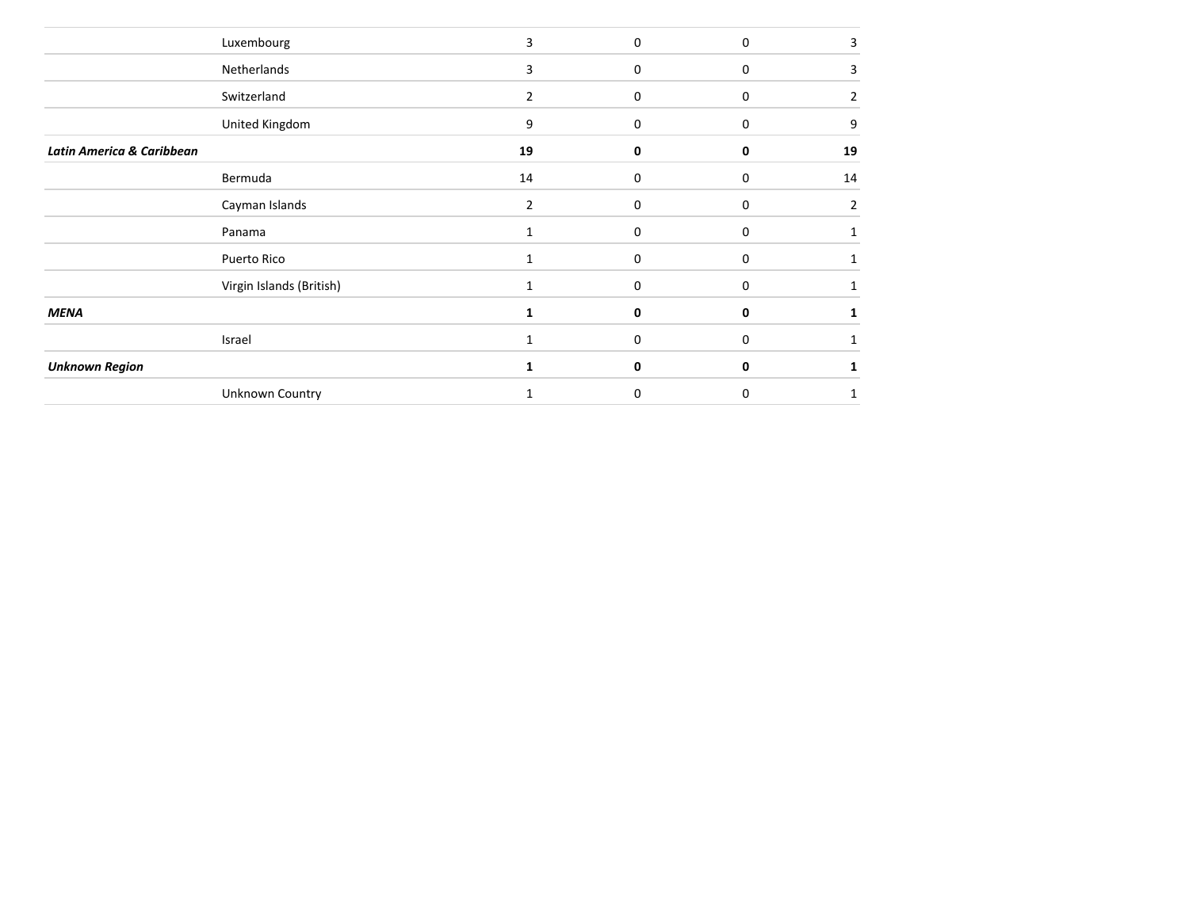|                           | Luxembourg               | 3              | $\Omega$    | $\mathbf 0$      | 3  |
|---------------------------|--------------------------|----------------|-------------|------------------|----|
|                           | Netherlands              | 3              | 0           | $\boldsymbol{0}$ | 3  |
|                           | Switzerland              | 2              | 0           | 0                | 2  |
|                           | United Kingdom           | 9              | $\mathbf 0$ | $\mathbf 0$      | 9  |
| Latin America & Caribbean |                          | 19             | 0           | 0                | 19 |
|                           | Bermuda                  | 14             | 0           | $\mathbf 0$      | 14 |
|                           | Cayman Islands           | $\overline{2}$ | 0           | $\mathbf 0$      | 2  |
|                           | Panama                   | $\mathbf{1}$   | 0           | 0                |    |
|                           | Puerto Rico              | 1              | 0           | 0                |    |
|                           | Virgin Islands (British) |                | 0           | $\mathbf 0$      |    |
| <b>MENA</b>               |                          |                | 0           | 0                |    |
|                           | Israel                   | 1              | 0           | $\mathbf 0$      |    |
| <b>Unknown Region</b>     |                          | 1              | 0           | 0                |    |
|                           | Unknown Country          |                | $\Omega$    | $\mathbf 0$      | 1  |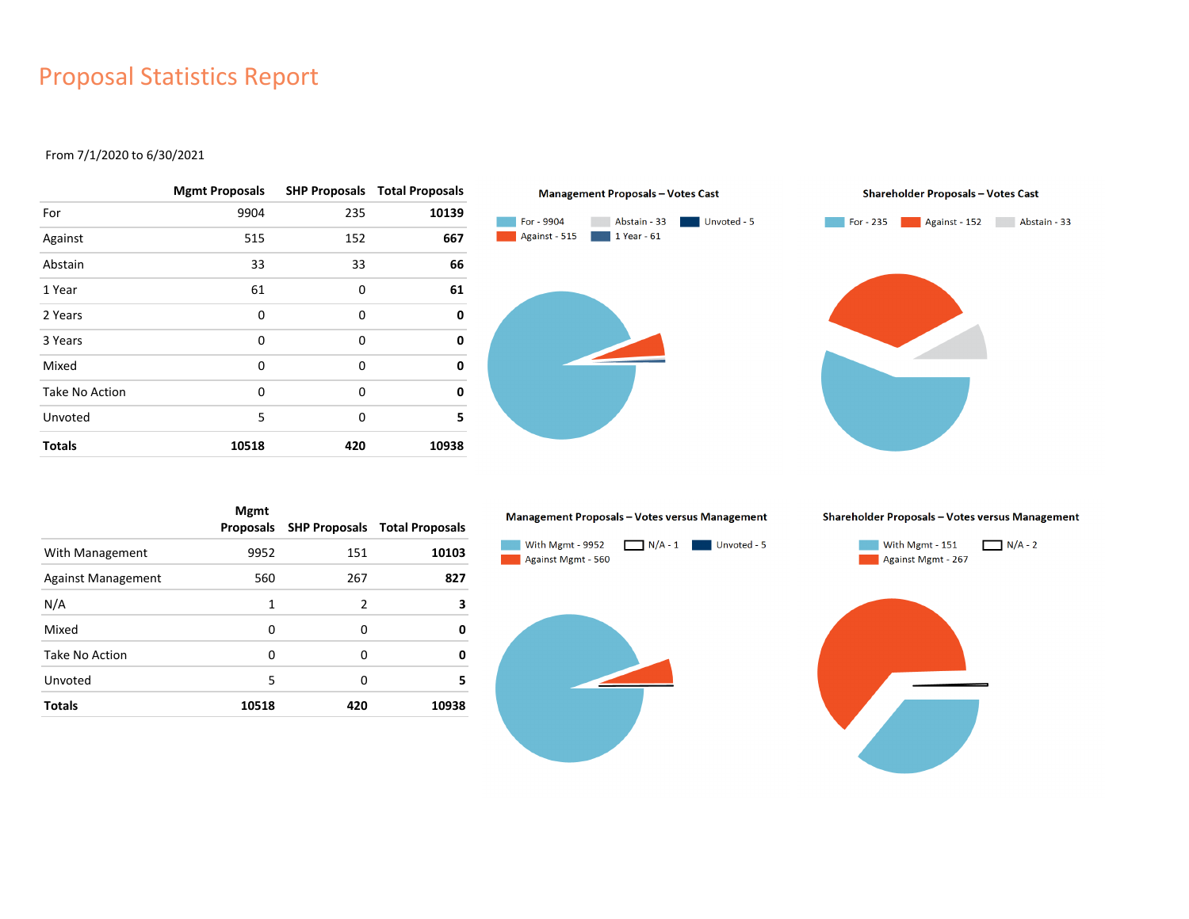### Proposal Statistics Report

#### From 7/1/2020 to 6/30/2021

|                       | <b>Mgmt Proposals</b> |     | <b>SHP Proposals Total Proposals</b> |
|-----------------------|-----------------------|-----|--------------------------------------|
| For                   | 9904                  | 235 | 10139                                |
| Against               | 515                   | 152 | 667                                  |
| Abstain               | 33                    | 33  | 66                                   |
| 1 Year                | 61                    | 0   | 61                                   |
| 2 Years               | 0                     | 0   | 0                                    |
| 3 Years               | 0                     | 0   | 0                                    |
| Mixed                 | 0                     | 0   | 0                                    |
| <b>Take No Action</b> | 0                     | 0   | 0                                    |
| Unvoted               | 5                     | 0   | 5                                    |
| <b>Totals</b>         | 10518                 | 420 | 10938                                |



|                           | <b>Mgmt</b><br>Proposals |               | <b>SHP Proposals Total Proposals</b> |
|---------------------------|--------------------------|---------------|--------------------------------------|
| With Management           | 9952                     | 151           | 10103                                |
| <b>Against Management</b> | 560                      | 267           | 827                                  |
| N/A                       | 1                        | $\mathcal{P}$ | 3                                    |
| Mixed                     | 0                        | 0             | 0                                    |
| Take No Action            | 0                        | 0             | 0                                    |
| Unvoted                   | 5                        | 0             | 5                                    |
| <b>Totals</b>             | 10518                    | 420           | 10938                                |

#### Management Proposals - Votes versus Management



Shareholder Proposals - Votes versus Management



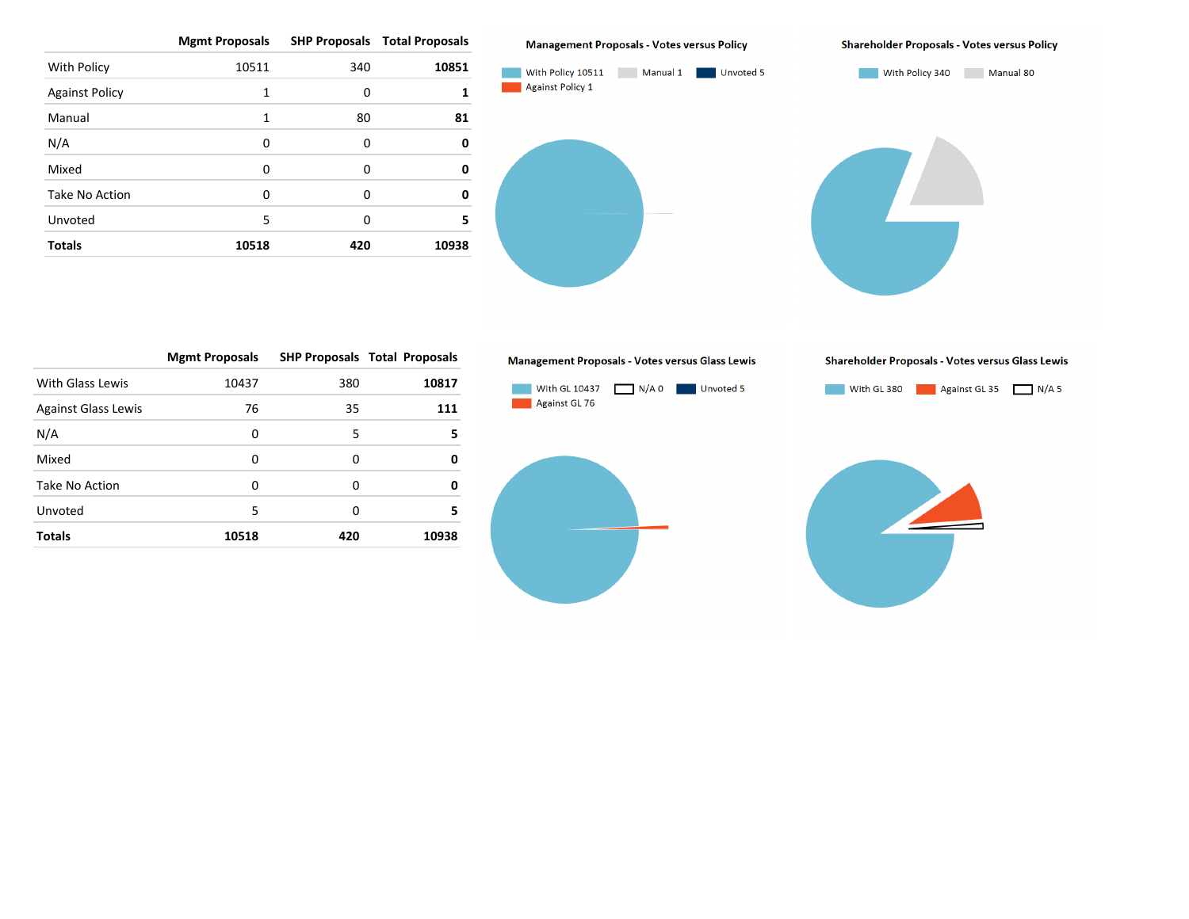**Mgmt Proposals SHP Proposals Total Proposals**

|                       | ັ        |     |       |
|-----------------------|----------|-----|-------|
| With Policy           | 10511    | 340 | 10851 |
| <b>Against Policy</b> | 1        | 0   | 1     |
| Manual                | 1        | 80  | 81    |
| N/A                   | $\Omega$ | 0   | 0     |
| Mixed                 | $\Omega$ | 0   | 0     |
| Take No Action        | 0        | 0   | 0     |
| Unvoted               | 5        | 0   | 5     |
| <b>Totals</b>         | 10518    | 420 | 10938 |
|                       |          |     |       |



With Policy 10511 Manual 1 Unvoted 5 With Policy 340 Manual 80 Against Policy 1

|                            | <b>Mgmt Proposals</b> |     | <b>SHP Proposals Total Proposals</b> |
|----------------------------|-----------------------|-----|--------------------------------------|
| <b>With Glass Lewis</b>    | 10437                 | 380 | 10817                                |
| <b>Against Glass Lewis</b> | 76                    | 35  | 111                                  |
| N/A                        | 0                     | 5   | 5                                    |
| Mixed                      | 0                     | 0   | 0                                    |
| Take No Action             | 0                     | O   | 0                                    |
| Unvoted                    | 5                     | 0   | 5                                    |
| <b>Totals</b>              | 10518                 | 420 | 10938                                |

#### Management Proposals - Votes versus Glass Lewis









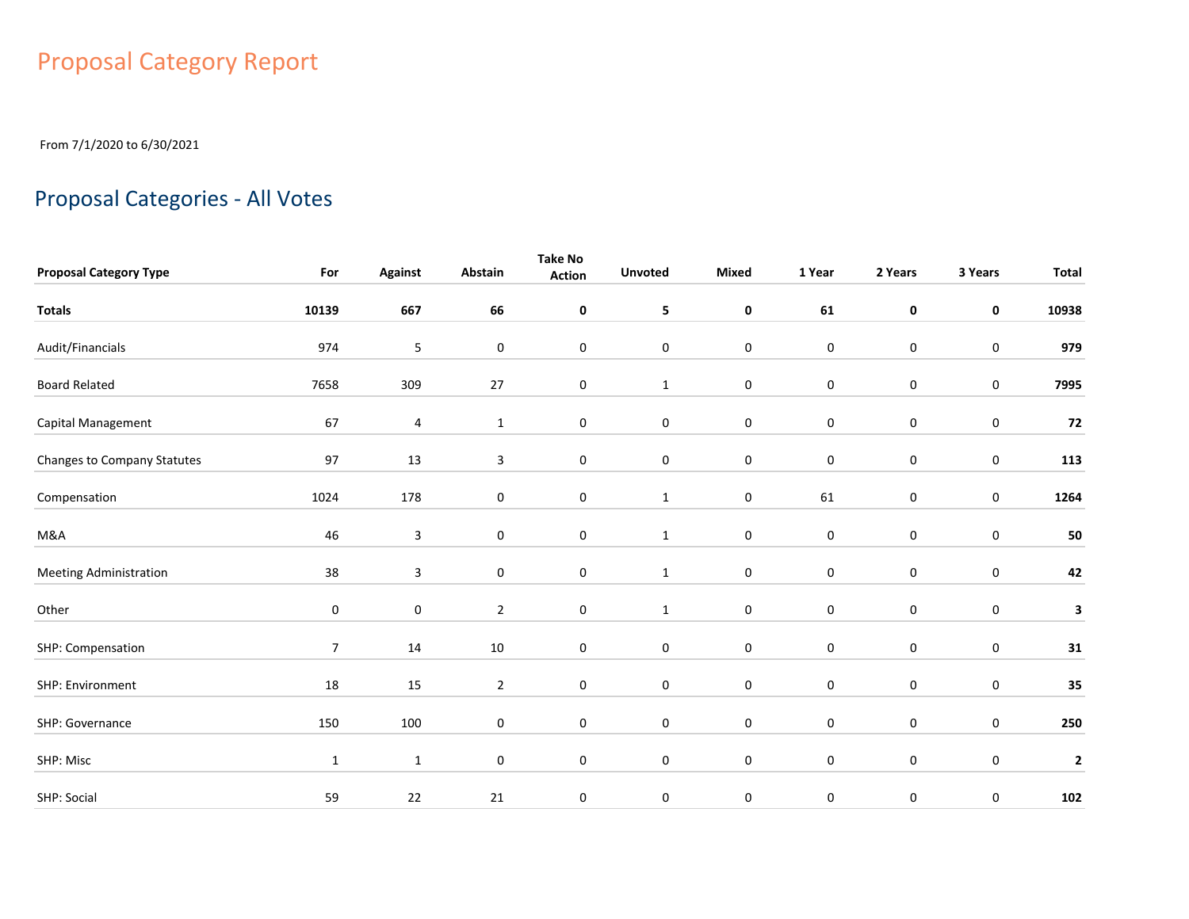# Proposal Category Report

From 7/1/2020 to 6/30/2021

## Proposal Categories - All Votes

|                               |                |                |                  | <b>Take No</b>   |                  |                  |             |                  |             |              |
|-------------------------------|----------------|----------------|------------------|------------------|------------------|------------------|-------------|------------------|-------------|--------------|
| <b>Proposal Category Type</b> | For            | <b>Against</b> | Abstain          | <b>Action</b>    | <b>Unvoted</b>   | <b>Mixed</b>     | 1 Year      | 2 Years          | 3 Years     | <b>Total</b> |
| <b>Totals</b>                 | 10139          | 667            | 66               | $\pmb{0}$        | 5                | $\pmb{0}$        | 61          | $\pmb{0}$        | $\mathbf 0$ | 10938        |
| Audit/Financials              | 974            | 5              | 0                | $\mathbf 0$      | $\mathbf 0$      | $\pmb{0}$        | $\bf{0}$    | $\mathbf 0$      | $\pmb{0}$   | 979          |
| <b>Board Related</b>          | 7658           | 309            | $27\,$           | $\boldsymbol{0}$ | $\mathbf{1}$     | $\pmb{0}$        | $\pmb{0}$   | $\mathbf 0$      | $\pmb{0}$   | 7995         |
| Capital Management            | 67             | 4              | $\mathbf{1}$     | 0                | $\bf{0}$         | $\pmb{0}$        | $\pmb{0}$   | $\mathbf 0$      | $\pmb{0}$   | 72           |
| Changes to Company Statutes   | 97             | 13             | 3                | $\pmb{0}$        | $\boldsymbol{0}$ | $\pmb{0}$        | $\pmb{0}$   | $\boldsymbol{0}$ | $\pmb{0}$   | 113          |
| Compensation                  | 1024           | 178            | 0                | $\mathbf 0$      | $\mathbf{1}$     | $\pmb{0}$        | 61          | $\boldsymbol{0}$ | 0           | 1264         |
| M&A                           | 46             | $\mathbf{3}$   | $\boldsymbol{0}$ | 0                | $\mathbf{1}$     | $\boldsymbol{0}$ | $\pmb{0}$   | $\boldsymbol{0}$ | $\pmb{0}$   | 50           |
| <b>Meeting Administration</b> | 38             | 3              | 0                | $\mathbf 0$      | $\mathbf{1}$     | $\pmb{0}$        | $\mathbf 0$ | $\mathbf 0$      | 0           | 42           |
| Other                         | 0              | $\mathbf 0$    | $\overline{2}$   | 0                | $\mathbf{1}$     | $\mathbf 0$      | $\mathbf 0$ | $\mathbf 0$      | 0           | 3            |
| SHP: Compensation             | $\overline{7}$ | 14             | $10\,$           | 0                | $\mathbf 0$      | $\pmb{0}$        | $\mathbf 0$ | $\mathbf 0$      | $\mathbf 0$ | 31           |
| SHP: Environment              | 18             | 15             | $\overline{2}$   | $\mathbf 0$      | $\mathbf 0$      | $\pmb{0}$        | $\mathbf 0$ | $\mathbf 0$      | 0           | 35           |
| SHP: Governance               | 150            | 100            | 0                | $\pmb{0}$        | $\pmb{0}$        | $\pmb{0}$        | $\pmb{0}$   | $\boldsymbol{0}$ | $\pmb{0}$   | 250          |
| SHP: Misc                     | $\mathbf{1}$   | $\mathbf{1}$   | 0                | $\mathbf 0$      | $\mathbf 0$      | $\pmb{0}$        | $\mathbf 0$ | $\mathbf 0$      | $\pmb{0}$   | $\mathbf{2}$ |
| SHP: Social                   | 59             | 22             | 21               | 0                | 0                | 0                | 0           | 0                | 0           | 102          |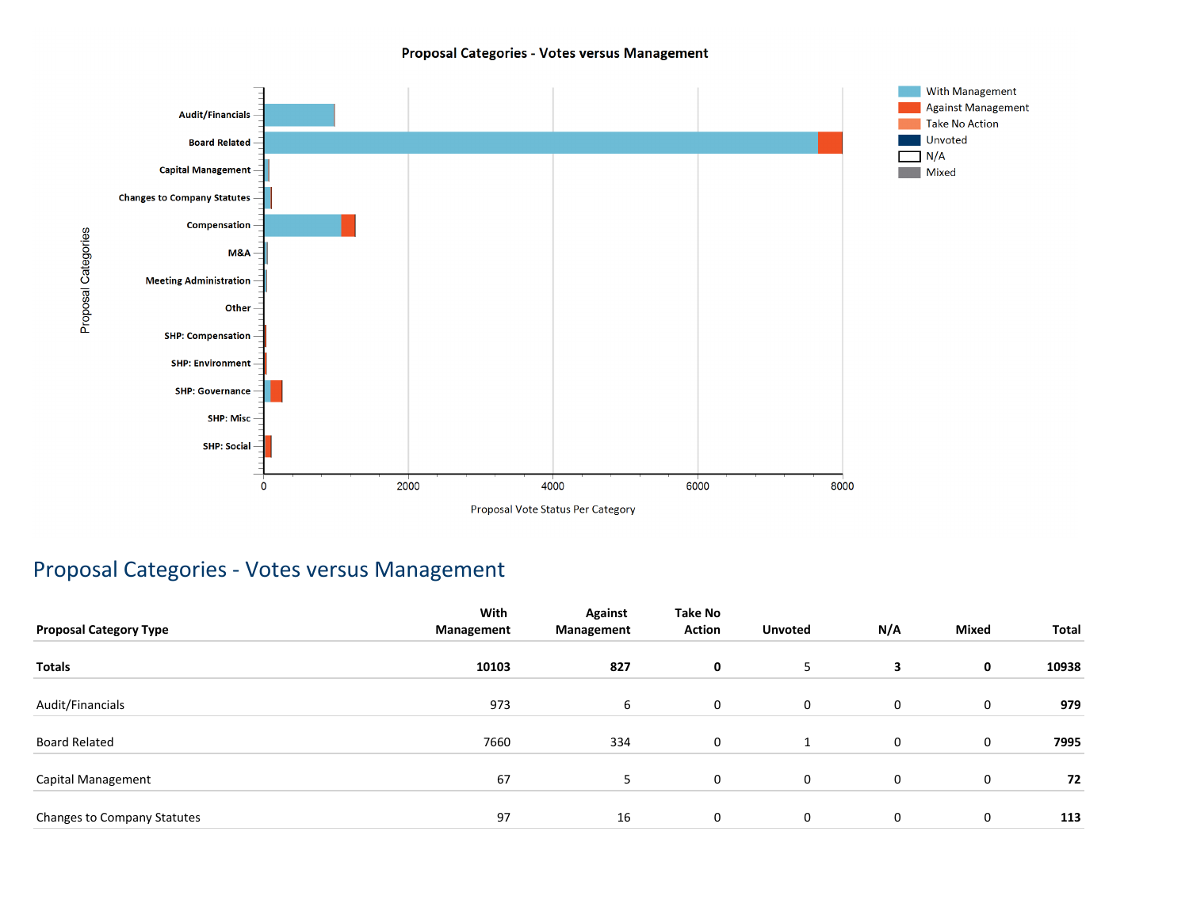#### Proposal Categories - Votes versus Management



### Proposal Categories - Votes versus Management

|                               | With       | <b>Against</b> | <b>Take No</b> |                |     |              |       |
|-------------------------------|------------|----------------|----------------|----------------|-----|--------------|-------|
| <b>Proposal Category Type</b> | Management | Management     | <b>Action</b>  | <b>Unvoted</b> | N/A | <b>Mixed</b> | Total |
| <b>Totals</b>                 | 10103      | 827            | 0              | 5              | 3   | 0            | 10938 |
| Audit/Financials              | 973        | 6              | 0              | $\mathbf 0$    | 0   | 0            | 979   |
| Board Related                 | 7660       | 334            | 0              | 1              | 0   | 0            | 7995  |
| Capital Management            | 67         | 5              | 0              | $\mathbf 0$    | 0   | 0            | 72    |
| Changes to Company Statutes   | 97         | 16             | 0              | $\mathbf 0$    | 0   | 0            | 113   |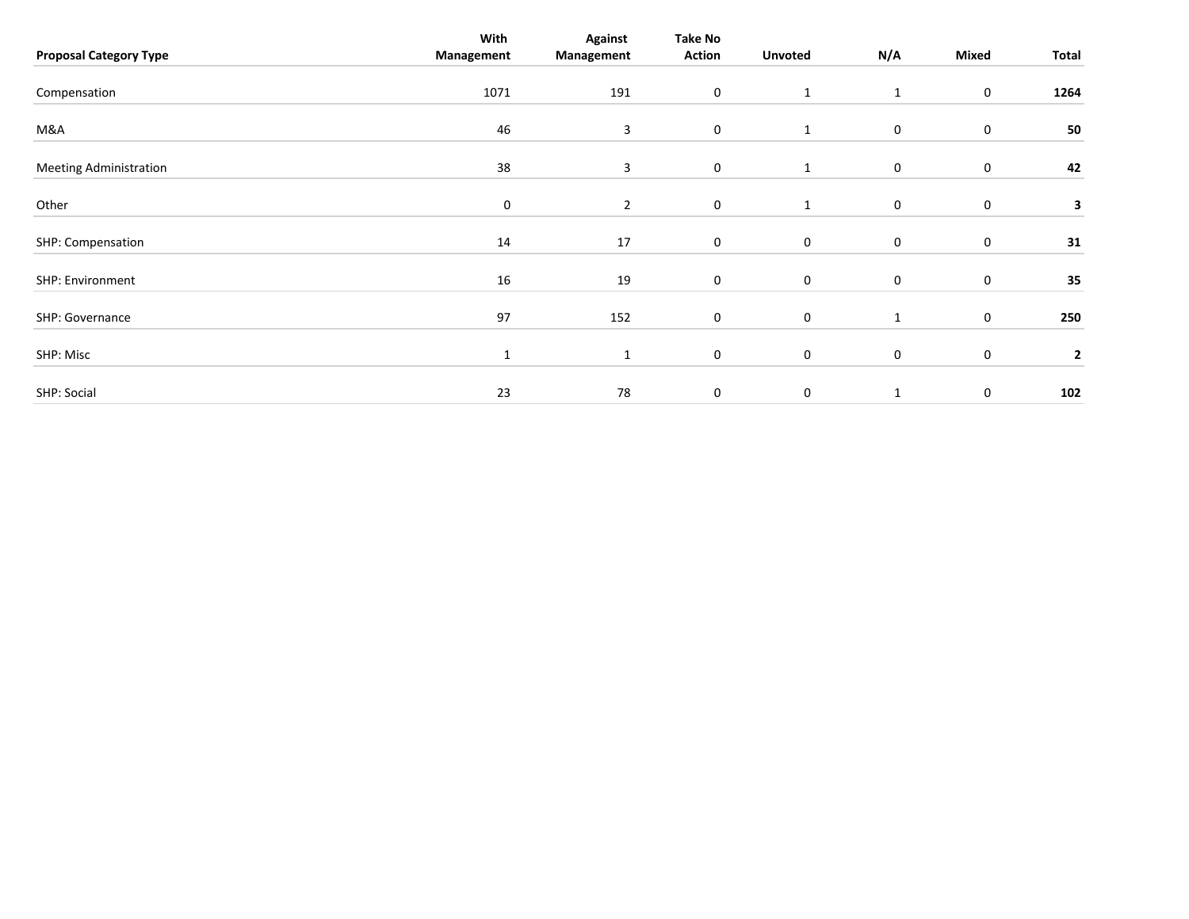|                               | With         | <b>Against</b> | <b>Take No</b>   |                  |              |                  |              |
|-------------------------------|--------------|----------------|------------------|------------------|--------------|------------------|--------------|
| <b>Proposal Category Type</b> | Management   | Management     | Action           | <b>Unvoted</b>   | N/A          | Mixed            | Total        |
|                               |              |                |                  |                  |              |                  |              |
| Compensation                  | 1071         | 191            | $\boldsymbol{0}$ | $\mathbf{1}$     | $\mathbf{1}$ | 0                | 1264         |
|                               |              |                |                  |                  |              |                  |              |
| M&A                           | 46           | 3              | $\boldsymbol{0}$ | $\mathbf{1}$     | 0            | $\boldsymbol{0}$ | 50           |
| <b>Meeting Administration</b> | 38           | 3              | $\mathbf 0$      | 1                | 0            | $\mathbf 0$      | 42           |
|                               |              |                |                  |                  |              |                  |              |
| Other                         | $\mathbf 0$  | $\overline{2}$ | 0                | 1                | 0            | 0                | 3            |
| SHP: Compensation             | 14           | 17             | $\boldsymbol{0}$ | $\mathbf 0$      | 0            | 0                | 31           |
| SHP: Environment              | 16           | 19             | $\mathbf 0$      | $\mathbf 0$      | 0            | $\mathbf 0$      | 35           |
|                               |              |                |                  |                  |              |                  |              |
| SHP: Governance               | 97           | 152            | $\mathbf 0$      | $\mathbf 0$      | $\mathbf{1}$ | $\mathbf 0$      | 250          |
| SHP: Misc                     | $\mathbf{1}$ | $\mathbf{1}$   | $\mathbf 0$      | $\boldsymbol{0}$ | 0            | $\mathbf 0$      | $\mathbf{2}$ |
|                               |              |                |                  |                  |              |                  |              |
| SHP: Social                   | 23           | 78             | 0                | $\pmb{0}$        | $\mathbf{1}$ | $\pmb{0}$        | 102          |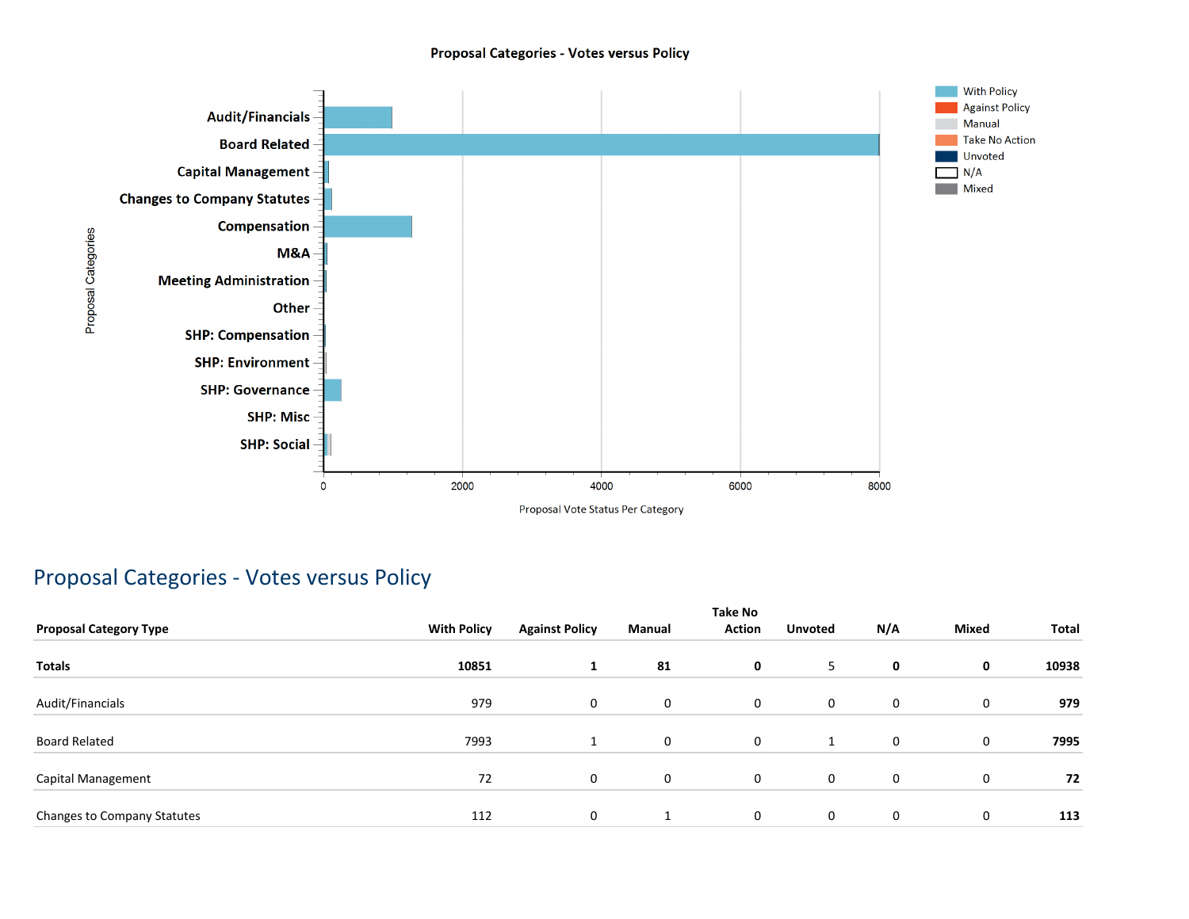#### **Proposal Categories - Votes versus Policy**



### Proposal Categories - Votes versus Policy

| <b>Proposal Category Type</b> | <b>With Policy</b> | <b>Against Policy</b> | Manual      | <b>Take No</b><br><b>Action</b> | <b>Unvoted</b> | N/A         | <b>Mixed</b> | Total |
|-------------------------------|--------------------|-----------------------|-------------|---------------------------------|----------------|-------------|--------------|-------|
| Totals                        | 10851              | <b>L</b>              | 81          | $\mathbf 0$                     | 5              | 0           | 0            | 10938 |
|                               |                    |                       |             |                                 |                |             |              |       |
| Audit/Financials              | 979                | 0                     | $\mathbf 0$ | $\mathbf 0$                     | 0              | 0           | $\mathbf 0$  | 979   |
| <b>Board Related</b>          | 7993               | 1                     | 0           | $\mathbf 0$                     | 1              | $\mathbf 0$ | 0            | 7995  |
| Capital Management            | 72                 | 0                     | $\mathbf 0$ | $\mathbf 0$                     | 0              | 0           | $\mathbf 0$  | 72    |
| Changes to Company Statutes   | 112                | 0                     |             | $\mathbf 0$                     | 0              | 0           | 0            | 113   |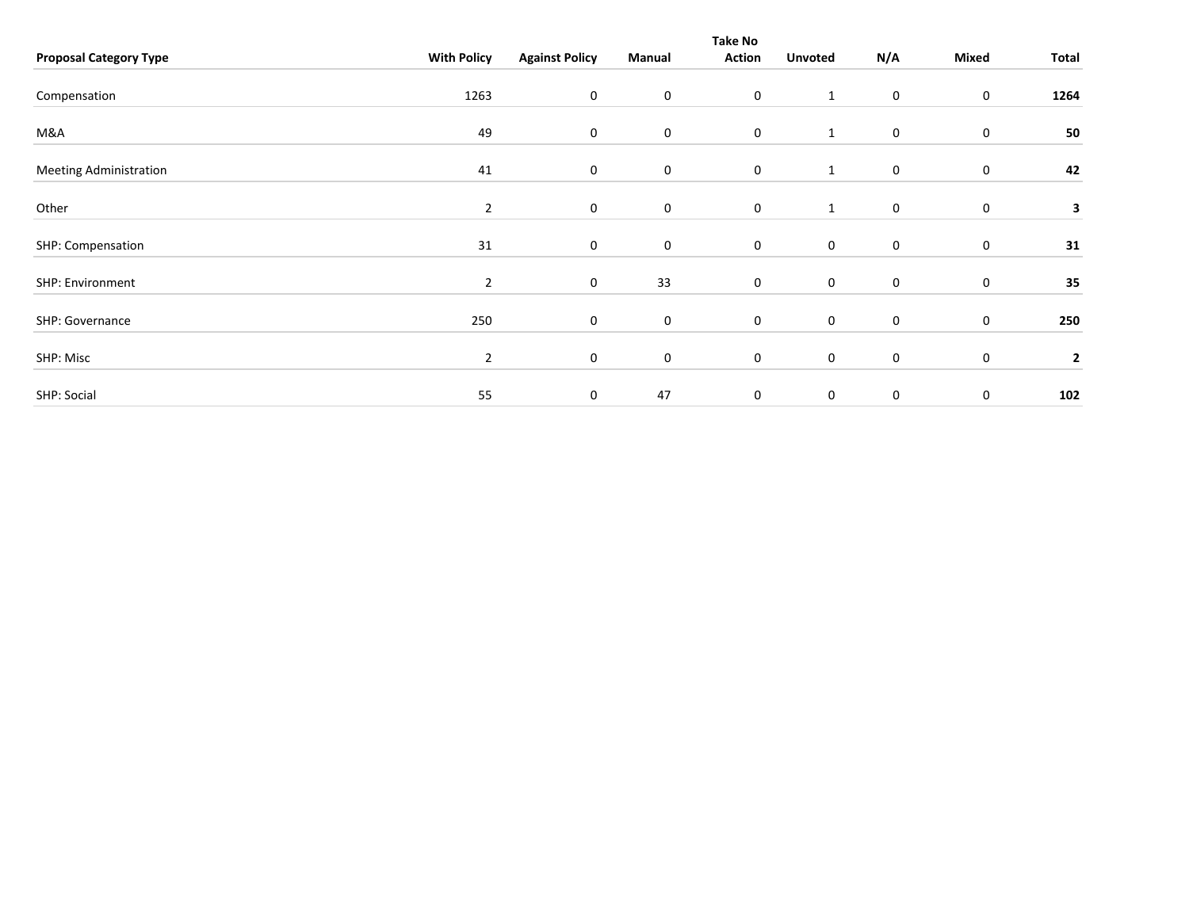|                               |                    |                       |             | <b>Take No</b>   |                  |             |                  |                         |
|-------------------------------|--------------------|-----------------------|-------------|------------------|------------------|-------------|------------------|-------------------------|
| <b>Proposal Category Type</b> | <b>With Policy</b> | <b>Against Policy</b> | Manual      | <b>Action</b>    | <b>Unvoted</b>   | N/A         | Mixed            | Total                   |
|                               |                    |                       |             |                  |                  |             |                  |                         |
| Compensation                  | 1263               | 0                     | $\mathbf 0$ | $\boldsymbol{0}$ | $\mathbf{1}$     | $\mathbf 0$ | $\boldsymbol{0}$ | 1264                    |
|                               |                    |                       |             |                  |                  |             |                  |                         |
| M&A                           | 49                 | 0                     | $\mathbf 0$ | $\mathbf 0$      | $\mathbf{1}$     | $\mathbf 0$ | $\boldsymbol{0}$ | 50                      |
| <b>Meeting Administration</b> | 41                 | 0                     | 0           | $\boldsymbol{0}$ | $\mathbf{1}$     | $\mathbf 0$ | 0                | 42                      |
|                               |                    |                       |             |                  |                  |             |                  |                         |
| Other                         | $\overline{2}$     | 0                     | $\mathbf 0$ | $\mathbf 0$      | $\mathbf{1}$     | 0           | 0                | 3                       |
| SHP: Compensation             | 31                 | 0                     | $\mathbf 0$ | $\boldsymbol{0}$ | $\boldsymbol{0}$ | $\mathbf 0$ | 0                | 31                      |
|                               |                    |                       |             |                  |                  |             |                  |                         |
| SHP: Environment              | $\overline{2}$     | 0                     | 33          | $\boldsymbol{0}$ | $\mathbf 0$      | $\mathbf 0$ | $\boldsymbol{0}$ | 35                      |
| SHP: Governance               | 250                | 0                     | $\mathbf 0$ | $\boldsymbol{0}$ | $\pmb{0}$        | $\mathbf 0$ | $\boldsymbol{0}$ | 250                     |
| SHP: Misc                     | $\overline{2}$     | 0                     | 0           | $\boldsymbol{0}$ | $\boldsymbol{0}$ | $\mathbf 0$ | 0                | $\overline{\mathbf{2}}$ |
|                               |                    |                       |             |                  |                  |             |                  |                         |
| SHP: Social                   | 55                 | 0                     | 47          | $\mathbf 0$      | $\pmb{0}$        | $\mathbf 0$ | 0                | 102                     |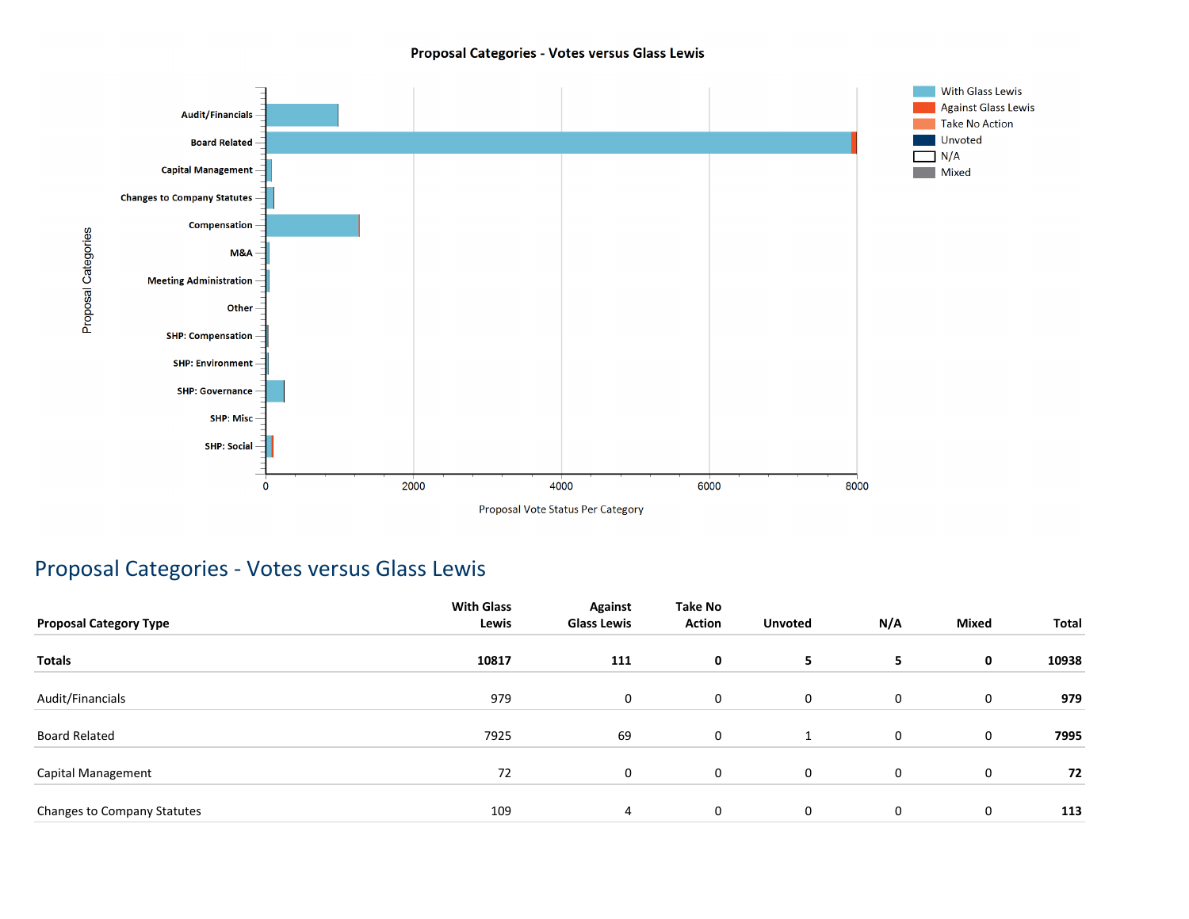#### Proposal Categories - Votes versus Glass Lewis



### Proposal Categories - Votes versus Glass Lewis

| <b>Proposal Category Type</b> | <b>With Glass</b><br>Lewis | <b>Against</b><br><b>Glass Lewis</b> | Take No<br><b>Action</b> | <b>Unvoted</b> | N/A         | <b>Mixed</b> | Total |
|-------------------------------|----------------------------|--------------------------------------|--------------------------|----------------|-------------|--------------|-------|
| <b>Totals</b>                 | 10817                      | 111                                  | 0                        | 5              | 5           | 0            | 10938 |
| Audit/Financials              | 979                        | 0                                    | 0                        | $\mathbf 0$    | $\mathbf 0$ | 0            | 979   |
| <b>Board Related</b>          | 7925                       | 69                                   | 0                        | 1              | $\mathbf 0$ | 0            | 7995  |
| Capital Management            | 72                         | 0                                    | 0                        | $\mathbf 0$    | $\mathbf 0$ | 0            | 72    |
| Changes to Company Statutes   | 109                        | 4                                    | 0                        | $\mathbf{0}$   | 0           | 0            | 113   |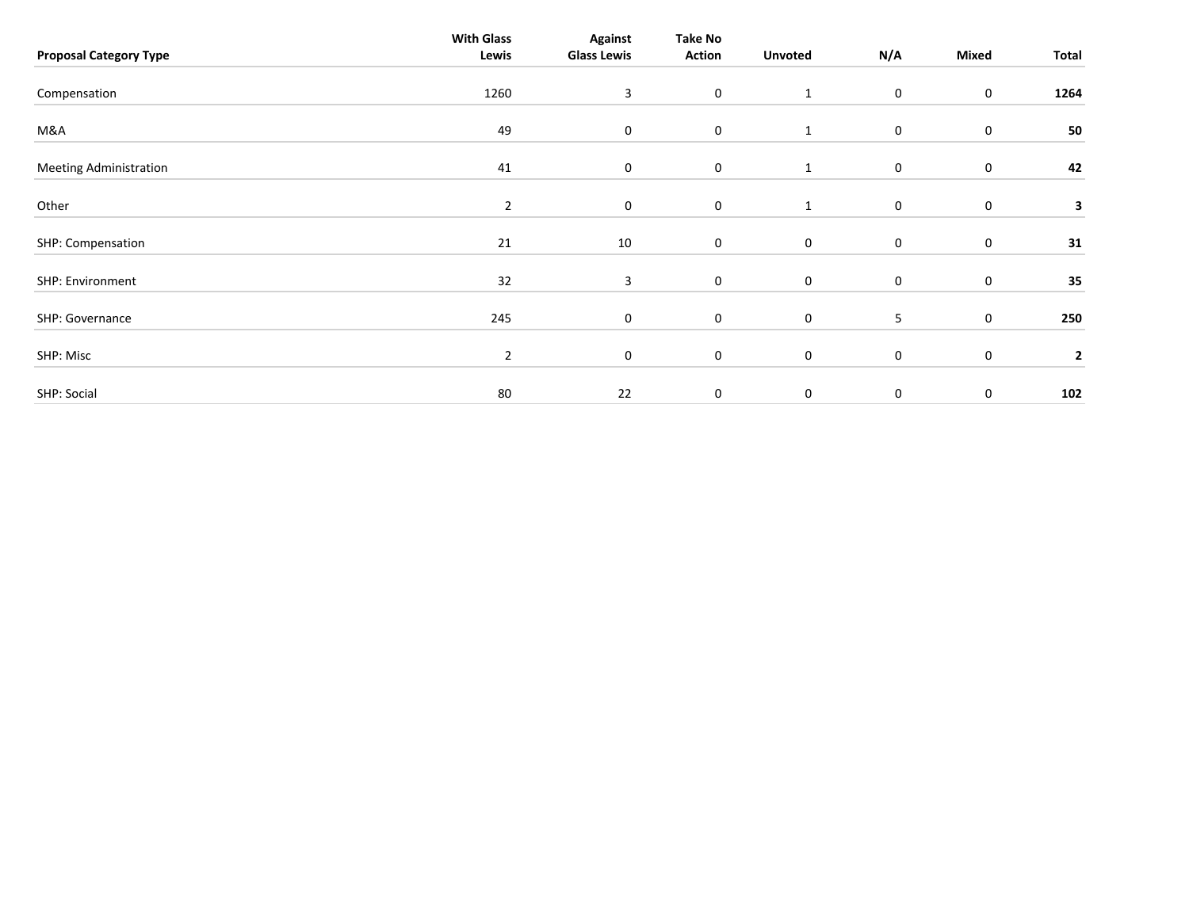| <b>Proposal Category Type</b> | <b>With Glass</b><br>Lewis | <b>Against</b><br><b>Glass Lewis</b> | <b>Take No</b><br><b>Action</b> | <b>Unvoted</b> | N/A         | Mixed     | Total        |
|-------------------------------|----------------------------|--------------------------------------|---------------------------------|----------------|-------------|-----------|--------------|
| Compensation                  | 1260                       | $\mathbf{3}$                         | $\mathbf 0$                     | $\mathbf{1}$   | 0           | $\bf{0}$  | 1264         |
| M&A                           | 49                         | $\mathbf 0$                          | $\mathbf 0$                     | $\mathbf{1}$   | 0           | $\pmb{0}$ | 50           |
| <b>Meeting Administration</b> | 41                         | $\mathbf 0$                          | $\mathbf 0$                     | 1              | 0           | 0         | 42           |
| Other                         | $\overline{2}$             | $\mathbf 0$                          | $\mathbf 0$                     | 1              | 0           | $\pmb{0}$ | 3            |
| SHP: Compensation             | 21                         | 10                                   | $\mathbf 0$                     | $\mathbf 0$    | 0           | $\pmb{0}$ | 31           |
| SHP: Environment              | 32                         | 3                                    | $\mathbf 0$                     | $\mathbf 0$    | 0           | $\pmb{0}$ | 35           |
| SHP: Governance               | 245                        | $\mathbf 0$                          | $\boldsymbol{0}$                | $\mathbf 0$    | 5           | $\pmb{0}$ | 250          |
| SHP: Misc                     | $\overline{2}$             | $\mathbf 0$                          | $\mathbf 0$                     | $\mathsf 0$    | 0           | $\pmb{0}$ | $\mathbf{2}$ |
| SHP: Social                   | 80                         | 22                                   | 0                               | $\mathbf 0$    | $\mathbf 0$ | $\pmb{0}$ | 102          |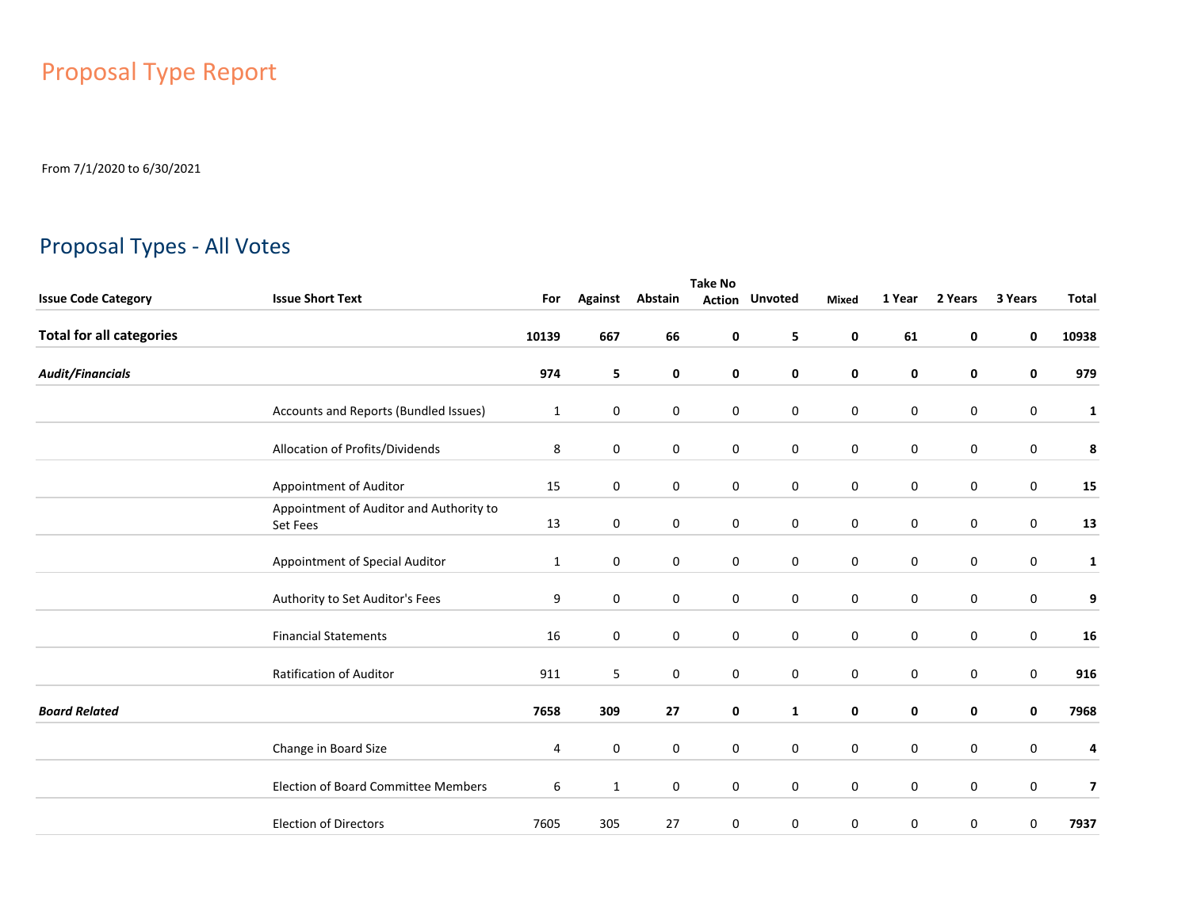# Proposal Type Report

From 7/1/2020 to 6/30/2021

## Proposal Types - All Votes

|                                 | <b>Take No</b>                                      |              |                  |         |   |                       |                  |             |             |           |              |  |  |
|---------------------------------|-----------------------------------------------------|--------------|------------------|---------|---|-----------------------|------------------|-------------|-------------|-----------|--------------|--|--|
| <b>Issue Code Category</b>      | <b>Issue Short Text</b>                             | For          | <b>Against</b>   | Abstain |   | <b>Action Unvoted</b> | Mixed            | 1 Year      | 2 Years     | 3 Years   | <b>Total</b> |  |  |
| <b>Total for all categories</b> |                                                     | 10139        | 667              | 66      | 0 | 5                     | 0                | 61          | 0           | 0         | 10938        |  |  |
| <b>Audit/Financials</b>         |                                                     | 974          | 5                | 0       | 0 | $\mathbf 0$           | 0                | 0           | 0           | 0         | 979          |  |  |
|                                 | Accounts and Reports (Bundled Issues)               | $\mathbf{1}$ | 0                | 0       | 0 | $\mathbf 0$           | $\bf{0}$         | 0           | 0           | 0         | $\mathbf{1}$ |  |  |
|                                 | Allocation of Profits/Dividends                     | 8            | 0                | 0       | 0 | $\mathbf 0$           | 0                | 0           | 0           | 0         | 8            |  |  |
|                                 | Appointment of Auditor                              | 15           | 0                | 0       | 0 | $\mathbf 0$           | $\mathbf 0$      | 0           | 0           | 0         | 15           |  |  |
|                                 | Appointment of Auditor and Authority to<br>Set Fees | 13           | $\mathbf 0$      | 0       | 0 | $\mathbf 0$           | $\mathbf 0$      | $\mathbf 0$ | $\mathbf 0$ | 0         | 13           |  |  |
|                                 | Appointment of Special Auditor                      | $\mathbf{1}$ | $\mathbf 0$      | 0       | 0 | $\mathbf 0$           | $\mathbf 0$      | $\mathbf 0$ | $\mathbf 0$ | 0         | $\mathbf{1}$ |  |  |
|                                 | Authority to Set Auditor's Fees                     | 9            | $\mathbf 0$      | 0       | 0 | $\mathbf 0$           | $\mathbf 0$      | $\mathbf 0$ | $\mathbf 0$ | 0         | 9            |  |  |
|                                 | <b>Financial Statements</b>                         | 16           | $\mathbf 0$      | 0       | 0 | $\mathbf 0$           | $\mathbf 0$      | $\mathbf 0$ | $\mathbf 0$ | 0         | 16           |  |  |
|                                 | Ratification of Auditor                             | 911          | 5                | 0       | 0 | $\mathbf 0$           | 0                | 0           | $\mathbf 0$ | 0         | 916          |  |  |
| <b>Board Related</b>            |                                                     | 7658         | 309              | 27      | 0 | $\mathbf{1}$          | 0                | 0           | $\mathbf 0$ | 0         | 7968         |  |  |
|                                 | Change in Board Size                                | 4            | $\boldsymbol{0}$ | 0       | 0 | $\mathbf 0$           | $\mathbf 0$      | $\pmb{0}$   | $\mathbf 0$ | $\pmb{0}$ | 4            |  |  |
|                                 | <b>Election of Board Committee Members</b>          | 6            | $\mathbf{1}$     | 0       | 0 | $\mathbf 0$           | $\boldsymbol{0}$ | $\pmb{0}$   | $\mathbf 0$ | 0         | 7            |  |  |
|                                 | <b>Election of Directors</b>                        | 7605         | 305              | 27      | 0 | $\mathbf 0$           | 0                | 0           | 0           | 0         | 7937         |  |  |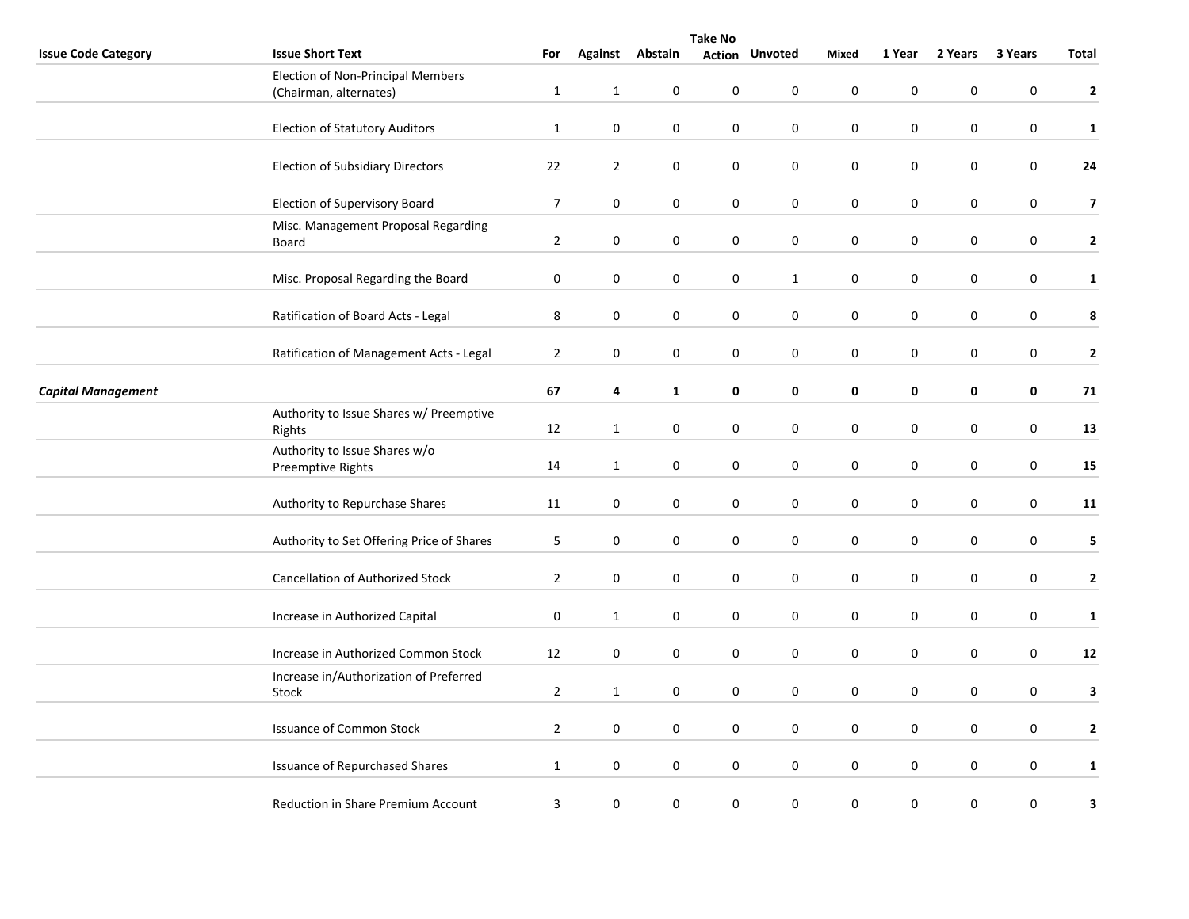|                            | <b>Take No</b>                                                     |                |                |                  |                  |                       |             |                  |             |                  |                         |  |
|----------------------------|--------------------------------------------------------------------|----------------|----------------|------------------|------------------|-----------------------|-------------|------------------|-------------|------------------|-------------------------|--|
| <b>Issue Code Category</b> | <b>Issue Short Text</b>                                            | For            |                | Against Abstain  |                  | <b>Action Unvoted</b> | Mixed       | 1 Year           | 2 Years     | 3 Years          | Total                   |  |
|                            | <b>Election of Non-Principal Members</b><br>(Chairman, alternates) | $\mathbf{1}$   | $\mathbf{1}$   | 0                | 0                | 0                     | $\mathbf 0$ | $\mathbf 0$      | $\mathbf 0$ | 0                | $\mathbf{2}$            |  |
|                            | <b>Election of Statutory Auditors</b>                              | $\mathbf{1}$   | $\pmb{0}$      | $\boldsymbol{0}$ | 0                | $\pmb{0}$             | $\pmb{0}$   | $\pmb{0}$        | 0           | $\pmb{0}$        | $\mathbf{1}$            |  |
|                            |                                                                    |                |                |                  |                  |                       |             |                  |             |                  |                         |  |
|                            | <b>Election of Subsidiary Directors</b>                            | 22             | $\overline{2}$ | $\mathbf 0$      | 0                | $\pmb{0}$             | $\pmb{0}$   | $\pmb{0}$        | 0           | $\boldsymbol{0}$ | 24                      |  |
|                            | Election of Supervisory Board                                      | $\overline{7}$ | 0              | 0                | 0                | $\mathbf 0$           | $\pmb{0}$   | 0                | 0           | 0                | $\overline{\mathbf{z}}$ |  |
|                            | Misc. Management Proposal Regarding<br>Board                       | $\overline{2}$ | $\mathbf 0$    | $\pmb{0}$        | 0                | $\pmb{0}$             | $\pmb{0}$   | $\mathbf 0$      | 0           | $\pmb{0}$        | $\mathbf{2}$            |  |
|                            |                                                                    |                |                |                  |                  |                       |             |                  |             |                  |                         |  |
|                            | Misc. Proposal Regarding the Board                                 | 0              | $\bf{0}$       | $\boldsymbol{0}$ | 0                | $\mathbf{1}$          | $\pmb{0}$   | $\pmb{0}$        | 0           | $\boldsymbol{0}$ | $\mathbf{1}$            |  |
|                            | Ratification of Board Acts - Legal                                 | 8              | $\bf{0}$       | $\boldsymbol{0}$ | 0                | $\mathbf 0$           | $\pmb{0}$   | $\pmb{0}$        | 0           | $\boldsymbol{0}$ | $\pmb{8}$               |  |
|                            | Ratification of Management Acts - Legal                            | $\overline{2}$ | $\pmb{0}$      | $\mathbf 0$      | $\boldsymbol{0}$ | $\mathbf 0$           | $\mathbf 0$ | $\pmb{0}$        | 0           | $\boldsymbol{0}$ | $\overline{2}$          |  |
| <b>Capital Management</b>  |                                                                    | 67             | 4              | $\mathbf{1}$     | 0                | $\mathbf 0$           | $\pmb{0}$   | $\pmb{0}$        | 0           | $\pmb{0}$        | 71                      |  |
|                            | Authority to Issue Shares w/ Preemptive<br>Rights                  | $12\,$         | $\mathbf{1}$   | 0                | 0                | $\pmb{0}$             | $\pmb{0}$   | $\pmb{0}$        | 0           | 0                | 13                      |  |
|                            | Authority to Issue Shares w/o                                      |                |                |                  |                  |                       |             |                  |             |                  |                         |  |
|                            | Preemptive Rights                                                  | 14             | $\mathbf{1}$   | 0                | $\boldsymbol{0}$ | $\pmb{0}$             | $\pmb{0}$   | $\pmb{0}$        | 0           | $\boldsymbol{0}$ | 15                      |  |
|                            | Authority to Repurchase Shares                                     | 11             | $\mathbf 0$    | 0                | 0                | $\pmb{0}$             | $\mathbf 0$ | $\mathbf 0$      | 0           | $\pmb{0}$        | 11                      |  |
|                            | Authority to Set Offering Price of Shares                          | 5              | $\bf{0}$       | 0                | 0                | $\mathbf 0$           | $\mathbf 0$ | $\boldsymbol{0}$ | 0           | 0                | 5                       |  |
|                            | Cancellation of Authorized Stock                                   | $\overline{2}$ | $\bf{0}$       | 0                | 0                | $\pmb{0}$             | $\mathbf 0$ | $\mathbf 0$      | 0           | $\mathbf 0$      | $\mathbf{2}$            |  |
|                            | Increase in Authorized Capital                                     | 0              | $\mathbf{1}$   | 0                | 0                | 0                     | $\mathbf 0$ | 0                | 0           | 0                | $\mathbf{1}$            |  |
|                            | Increase in Authorized Common Stock                                | 12             | $\mathbf 0$    | 0                | 0                | 0                     | $\pmb{0}$   | $\pmb{0}$        | $\pmb{0}$   | $\pmb{0}$        | 12                      |  |
|                            | Increase in/Authorization of Preferred                             |                |                |                  |                  |                       |             |                  |             |                  |                         |  |
|                            | Stock                                                              | $\overline{2}$ | $\mathbf{1}$   | 0                | 0                | $\pmb{0}$             | $\pmb{0}$   | $\pmb{0}$        | 0           | $\boldsymbol{0}$ | $\mathbf{3}$            |  |
|                            | <b>Issuance of Common Stock</b>                                    | $\overline{2}$ | $\mathbf 0$    | 0                | 0                | $\pmb{0}$             | $\pmb{0}$   | $\mathbf 0$      | 0           | $\boldsymbol{0}$ | $\mathbf{2}$            |  |
|                            | <b>Issuance of Repurchased Shares</b>                              | $\mathbf{1}$   | 0              | $\boldsymbol{0}$ | 0                | $\pmb{0}$             | $\pmb{0}$   | $\pmb{0}$        | $\pmb{0}$   | $\pmb{0}$        | $\mathbf{1}$            |  |
|                            |                                                                    |                |                |                  |                  |                       |             |                  |             |                  |                         |  |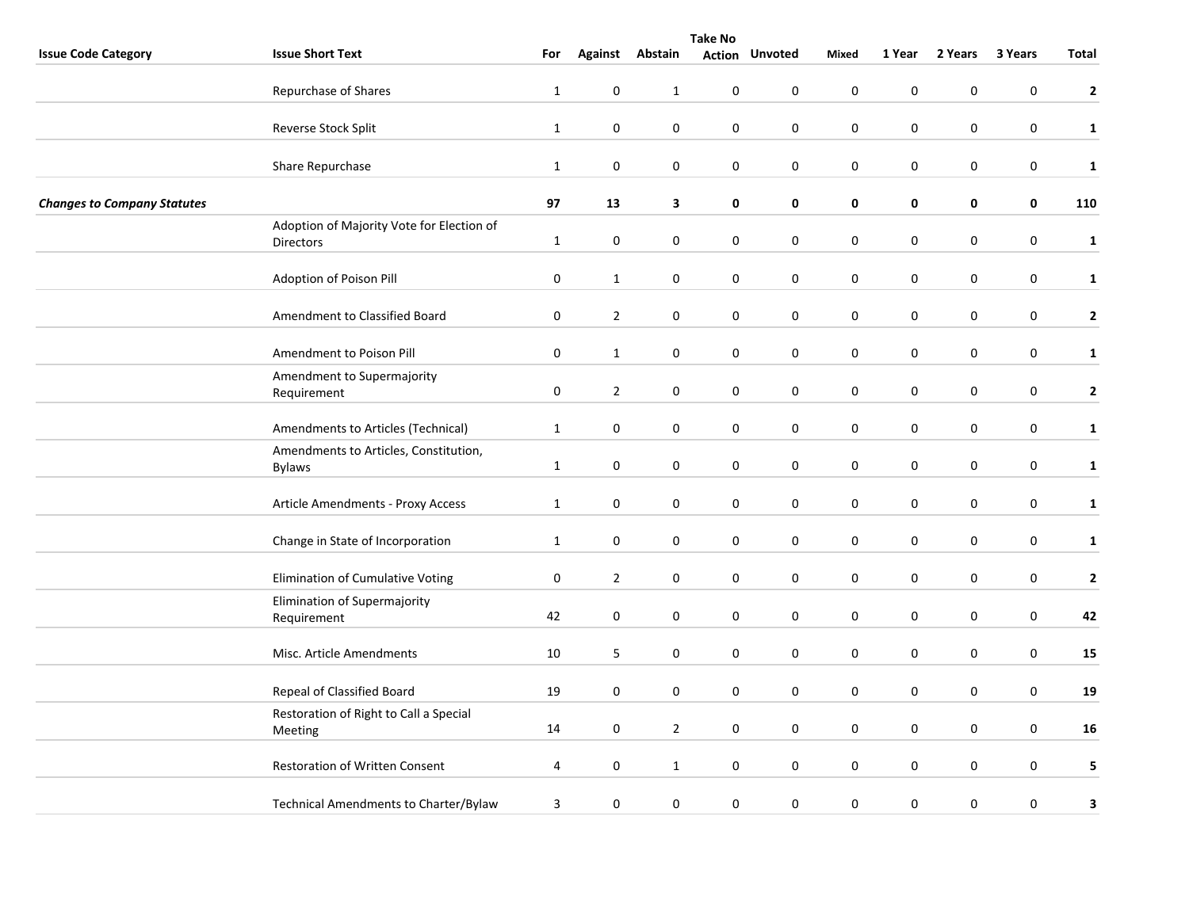|                                    | <b>Take No</b>                                                |              |                |                  |                  |                       |                     |                  |                  |                  |              |  |
|------------------------------------|---------------------------------------------------------------|--------------|----------------|------------------|------------------|-----------------------|---------------------|------------------|------------------|------------------|--------------|--|
| <b>Issue Code Category</b>         | <b>Issue Short Text</b>                                       | For          |                | Against Abstain  |                  | <b>Action Unvoted</b> | <b>Mixed</b>        | 1 Year           | 2 Years          | 3 Years          | Total        |  |
|                                    | Repurchase of Shares                                          | $\mathbf{1}$ | $\pmb{0}$      | $\mathbf{1}$     | $\boldsymbol{0}$ | $\pmb{0}$             | $\mathsf{O}\xspace$ | $\pmb{0}$        | 0                | $\pmb{0}$        | $\mathbf{2}$ |  |
|                                    | Reverse Stock Split                                           | $\mathbf 1$  | $\pmb{0}$      | $\boldsymbol{0}$ | $\boldsymbol{0}$ | $\pmb{0}$             | $\pmb{0}$           | $\boldsymbol{0}$ | $\pmb{0}$        | $\pmb{0}$        | $\mathbf{1}$ |  |
|                                    | Share Repurchase                                              | $\mathbf{1}$ | $\mathbf 0$    | $\mathbf 0$      | 0                | $\mathbf 0$           | 0                   | $\mathbf 0$      | 0                | $\boldsymbol{0}$ | $\mathbf{1}$ |  |
| <b>Changes to Company Statutes</b> |                                                               | 97           | 13             | 3                | 0                | $\mathbf 0$           | $\mathbf 0$         | 0                | $\mathbf 0$      | 0                | 110          |  |
|                                    | Adoption of Majority Vote for Election of<br><b>Directors</b> | $\mathbf{1}$ | $\pmb{0}$      | $\boldsymbol{0}$ | $\boldsymbol{0}$ | $\pmb{0}$             | $\pmb{0}$           | $\boldsymbol{0}$ | $\boldsymbol{0}$ | $\pmb{0}$        | $\mathbf{1}$ |  |
|                                    | Adoption of Poison Pill                                       | $\pmb{0}$    | $\mathbf{1}$   | 0                | 0                | 0                     | $\boldsymbol{0}$    | 0                | 0                | $\pmb{0}$        | $\mathbf{1}$ |  |
|                                    | Amendment to Classified Board                                 | 0            | $\overline{2}$ | 0                | 0                | $\pmb{0}$             | $\pmb{0}$           | $\pmb{0}$        | 0                | $\pmb{0}$        | $\mathbf{2}$ |  |
|                                    | Amendment to Poison Pill                                      | $\pmb{0}$    | $\mathbf 1$    | $\boldsymbol{0}$ | $\boldsymbol{0}$ | $\pmb{0}$             | $\mathsf{O}\xspace$ | $\pmb{0}$        | $\pmb{0}$        | $\pmb{0}$        | $\mathbf{1}$ |  |
|                                    | Amendment to Supermajority<br>Requirement                     | $\pmb{0}$    | $\overline{2}$ | $\pmb{0}$        | 0                | $\pmb{0}$             | $\pmb{0}$           | 0                | $\boldsymbol{0}$ | $\boldsymbol{0}$ | $\mathbf{2}$ |  |
|                                    | Amendments to Articles (Technical)                            | $\mathbf{1}$ | $\pmb{0}$      | $\boldsymbol{0}$ | $\boldsymbol{0}$ | $\pmb{0}$             | $\boldsymbol{0}$    | $\boldsymbol{0}$ | $\pmb{0}$        | $\boldsymbol{0}$ | $\mathbf{1}$ |  |
|                                    | Amendments to Articles, Constitution,<br><b>Bylaws</b>        | $\mathbf{1}$ | $\mathbf 0$    | $\mathbf 0$      | $\boldsymbol{0}$ | $\boldsymbol{0}$      | $\boldsymbol{0}$    | $\boldsymbol{0}$ | $\pmb{0}$        | $\boldsymbol{0}$ | $\mathbf{1}$ |  |
|                                    | Article Amendments - Proxy Access                             | $\mathbf{1}$ | $\mathbf 0$    | $\boldsymbol{0}$ | $\boldsymbol{0}$ | $\bf{0}$              | $\boldsymbol{0}$    | $\pmb{0}$        | 0                | $\boldsymbol{0}$ | $\mathbf{1}$ |  |
|                                    | Change in State of Incorporation                              | $\mathbf{1}$ | $\pmb{0}$      | $\boldsymbol{0}$ | $\boldsymbol{0}$ | $\pmb{0}$             | $\mathsf{O}\xspace$ | $\pmb{0}$        | $\pmb{0}$        | $\boldsymbol{0}$ | $\mathbf{1}$ |  |
|                                    | Elimination of Cumulative Voting                              | $\pmb{0}$    | $\overline{2}$ | $\pmb{0}$        | 0                | $\pmb{0}$             | $\mathbf 0$         | $\pmb{0}$        | $\mathbf 0$      | $\boldsymbol{0}$ | $\mathbf{2}$ |  |
|                                    | Elimination of Supermajority<br>Requirement                   | 42           | $\mathbf 0$    | 0                | 0                | $\pmb{0}$             | $\boldsymbol{0}$    | 0                | 0                | $\boldsymbol{0}$ | 42           |  |
|                                    | Misc. Article Amendments                                      | $10\,$       | 5              | 0                | $\boldsymbol{0}$ | 0                     | $\pmb{0}$           | $\pmb{0}$        | 0                | $\pmb{0}$        | 15           |  |
|                                    | Repeal of Classified Board                                    | 19           | $\mathbf 0$    | $\mathbf 0$      | 0                | $\mathbf 0$           | 0                   | $\mathbf 0$      | 0                | $\mathbf 0$      | 19           |  |
|                                    | Restoration of Right to Call a Special<br>Meeting             | 14           | $\mathbf 0$    | $\overline{2}$   | 0                | $\pmb{0}$             | $\boldsymbol{0}$    | 0                | 0                | $\pmb{0}$        | 16           |  |
|                                    | Restoration of Written Consent                                | 4            | $\pmb{0}$      | $\mathbf{1}$     | $\boldsymbol{0}$ | $\pmb{0}$             | $\mathsf{O}\xspace$ | $\pmb{0}$        | $\pmb{0}$        | $\pmb{0}$        | 5            |  |
|                                    | Technical Amendments to Charter/Bylaw                         | 3            | $\pmb{0}$      | $\pmb{0}$        | 0                | $\pmb{0}$             | $\pmb{0}$           | $\pmb{0}$        | 0                | $\boldsymbol{0}$ | 3            |  |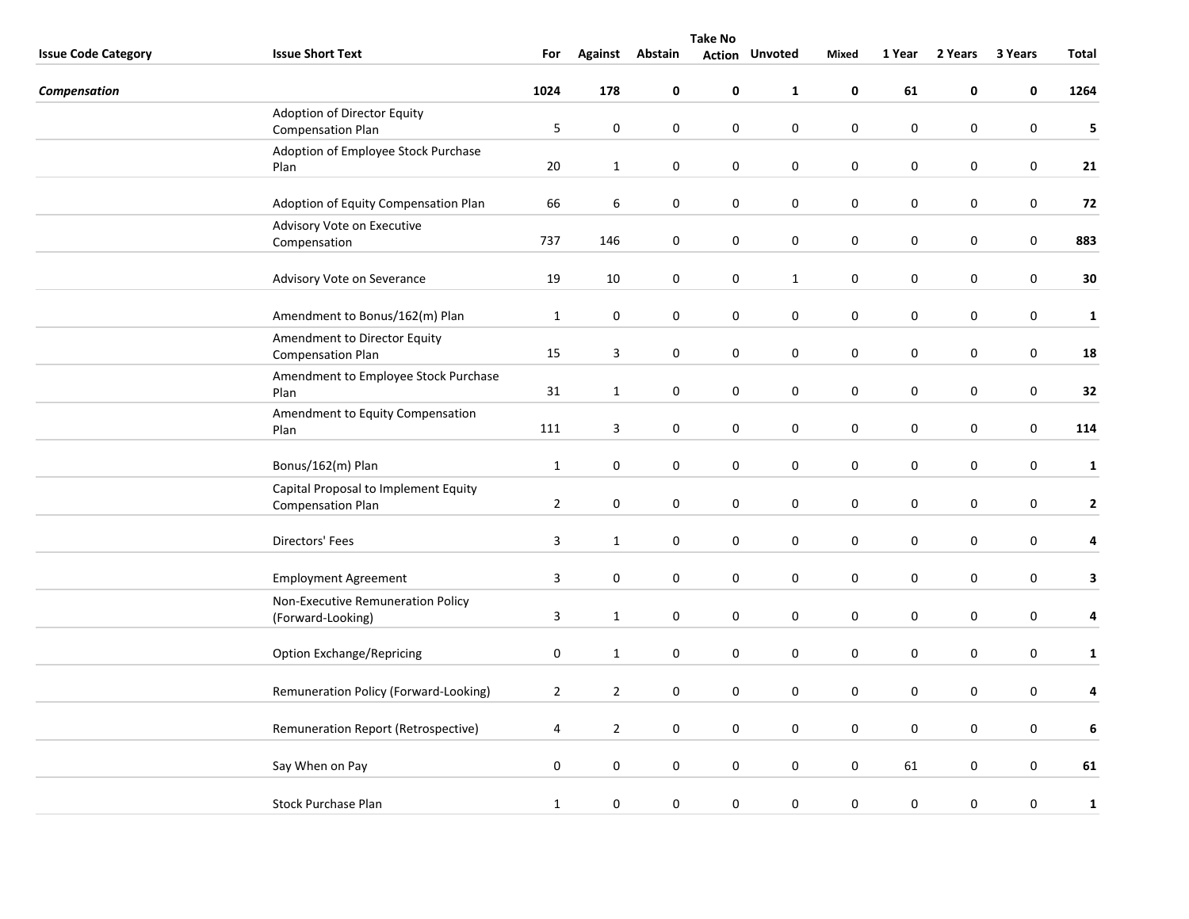|                            | <b>Take No</b>                                                   |                         |                 |                  |               |                |                  |             |                  |                  |              |
|----------------------------|------------------------------------------------------------------|-------------------------|-----------------|------------------|---------------|----------------|------------------|-------------|------------------|------------------|--------------|
| <b>Issue Code Category</b> | <b>Issue Short Text</b>                                          | For                     | Against Abstain |                  | <b>Action</b> | <b>Unvoted</b> | <b>Mixed</b>     | 1 Year      | 2 Years          | 3 Years          | Total        |
| Compensation               |                                                                  | 1024                    | 178             | $\pmb{0}$        | 0             | $\mathbf{1}$   | 0                | 61          | 0                | $\mathbf 0$      | 1264         |
|                            | Adoption of Director Equity                                      |                         |                 |                  |               |                |                  |             |                  |                  |              |
|                            | <b>Compensation Plan</b>                                         | 5                       | $\pmb{0}$       | 0                | 0             | $\pmb{0}$      | $\pmb{0}$        | $\pmb{0}$   | $\pmb{0}$        | $\mathbf 0$      | 5            |
|                            | Adoption of Employee Stock Purchase<br>Plan                      | $20\,$                  | $\mathbf{1}$    | 0                | 0             | 0              | $\mathbf 0$      | $\pmb{0}$   | $\mathbf 0$      | $\mathsf 0$      | 21           |
|                            | Adoption of Equity Compensation Plan                             | 66                      | 6               | $\mathbf 0$      | 0             | $\pmb{0}$      | $\pmb{0}$        | 0           | $\mathbf 0$      | $\mathbf 0$      | 72           |
|                            | Advisory Vote on Executive                                       |                         |                 |                  |               |                |                  |             |                  |                  |              |
|                            | Compensation                                                     | 737                     | 146             | 0                | 0             | $\mathbf 0$    | $\mathbf 0$      | $\pmb{0}$   | $\pmb{0}$        | $\mathsf 0$      | 883          |
|                            | Advisory Vote on Severance                                       | 19                      | 10              | 0                | 0             | $\mathbf{1}$   | $\mathbf 0$      | 0           | 0                | $\mathsf 0$      | 30           |
|                            | Amendment to Bonus/162(m) Plan                                   | $\mathbf{1}$            | $\pmb{0}$       | $\pmb{0}$        | 0             | $\mathbf 0$    | $\mathbf 0$      | $\pmb{0}$   | $\pmb{0}$        | $\boldsymbol{0}$ | $\mathbf{1}$ |
|                            | Amendment to Director Equity<br><b>Compensation Plan</b>         | 15                      | $\overline{3}$  | 0                | $\mathbf 0$   | $\mathbf 0$    | $\mathbf 0$      | $\mathbf 0$ | $\mathbf 0$      | $\mathbf 0$      | 18           |
|                            | Amendment to Employee Stock Purchase<br>Plan                     | 31                      | $\mathbf{1}$    | 0                | 0             | $\mathbf 0$    | $\mathbf 0$      | $\pmb{0}$   | $\bf{0}$         | $\pmb{0}$        | 32           |
|                            | Amendment to Equity Compensation<br>Plan                         | 111                     | $\mathbf{3}$    | $\pmb{0}$        | 0             | $\mathbf 0$    | $\mathbf 0$      | $\pmb{0}$   | $\pmb{0}$        | $\mathsf 0$      | 114          |
|                            | Bonus/162(m) Plan                                                | $\mathbf{1}$            | $\mathbf 0$     | 0                | 0             | $\mathbf 0$    | $\mathbf 0$      | 0           | $\mathbf 0$      | $\mathbf 0$      | $\mathbf{1}$ |
|                            | Capital Proposal to Implement Equity<br><b>Compensation Plan</b> | $\overline{2}$          | $\pmb{0}$       | 0                | 0             | $\mathbf 0$    | $\mathbf 0$      | 0           | 0                | $\pmb{0}$        | $\mathbf{2}$ |
|                            | Directors' Fees                                                  | $\overline{3}$          | $\mathbf{1}$    | $\pmb{0}$        | 0             | $\mathbf 0$    | $\mathbf 0$      | $\pmb{0}$   | $\pmb{0}$        | $\mathbf 0$      | 4            |
|                            | <b>Employment Agreement</b>                                      | $\overline{\mathbf{3}}$ | $\pmb{0}$       | 0                | 0             | $\mathbf 0$    | $\pmb{0}$        | $\pmb{0}$   | $\pmb{0}$        | $\mathbf 0$      | 3            |
|                            | Non-Executive Remuneration Policy<br>(Forward-Looking)           | $\mathbf{3}$            | $\mathbf{1}$    | $\boldsymbol{0}$ | 0             | $\pmb{0}$      | $\pmb{0}$        | $\pmb{0}$   | $\pmb{0}$        | $\pmb{0}$        | 4            |
|                            | <b>Option Exchange/Repricing</b>                                 | 0                       | $\mathbf{1}$    | 0                | 0             | $\pmb{0}$      | $\pmb{0}$        | 0           | $\mathbf 0$      | 0                | $\mathbf{1}$ |
|                            | Remuneration Policy (Forward-Looking)                            | $\overline{2}$          | $\overline{2}$  | $\mathbf 0$      | 0             | $\pmb{0}$      | $\boldsymbol{0}$ | $\pmb{0}$   | $\boldsymbol{0}$ | 0                | 4            |
|                            | Remuneration Report (Retrospective)                              | 4                       | $\overline{2}$  | 0                | 0             | $\mathbf 0$    | $\mathbf 0$      | $\pmb{0}$   | $\bf{0}$         | 0                | 6            |
|                            | Say When on Pay                                                  | $\boldsymbol{0}$        | $\pmb{0}$       | 0                | 0             | $\pmb{0}$      | $\mathbf 0$      | 61          | $\bf{0}$         | 0                | 61           |
|                            | <b>Stock Purchase Plan</b>                                       | $\mathbf{1}$            | $\pmb{0}$       | 0                | 0             | $\pmb{0}$      | $\mathbf 0$      | $\pmb{0}$   | $\pmb{0}$        | $\boldsymbol{0}$ | 1            |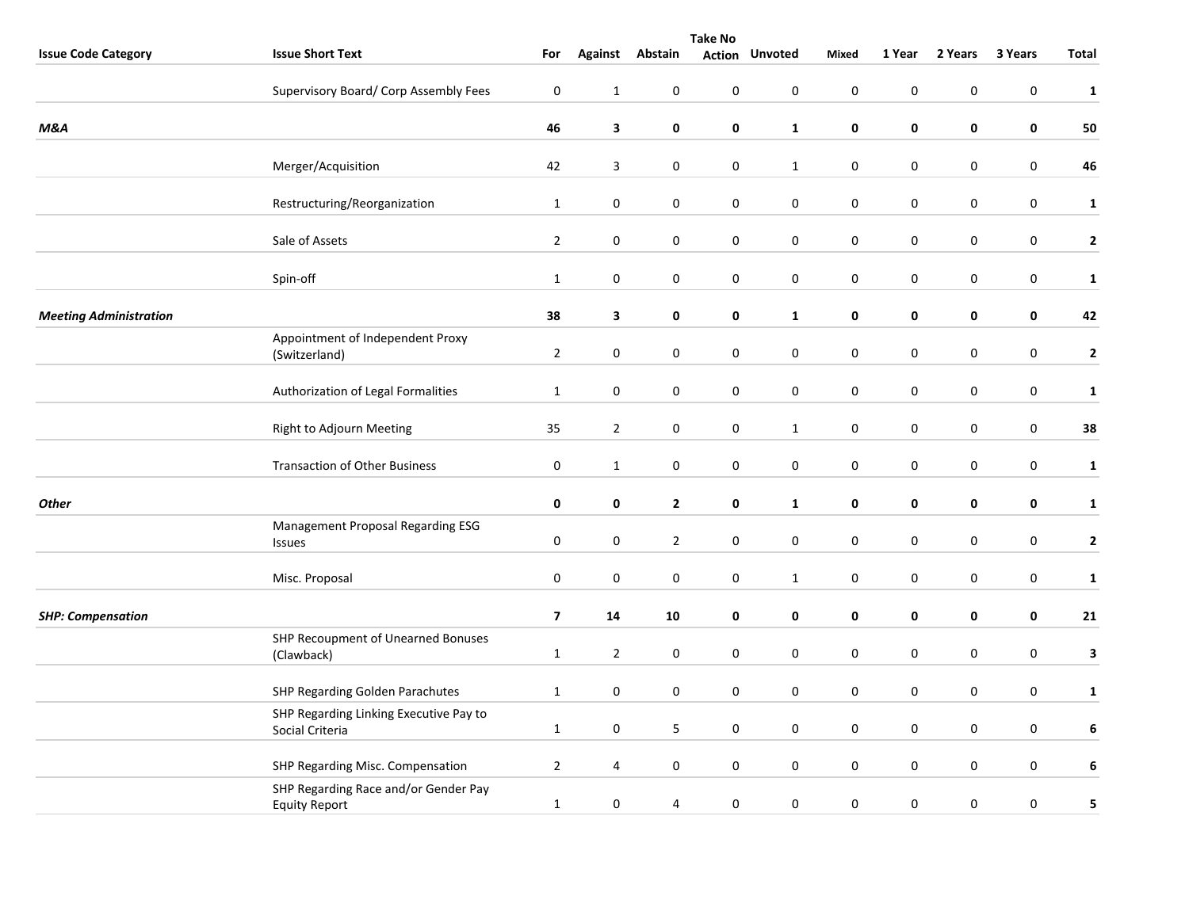|                               | <b>Take No</b>                                               |                         |                |                  |                  |                       |                  |             |             |                  |                         |
|-------------------------------|--------------------------------------------------------------|-------------------------|----------------|------------------|------------------|-----------------------|------------------|-------------|-------------|------------------|-------------------------|
| <b>Issue Code Category</b>    | <b>Issue Short Text</b>                                      | For                     |                | Against Abstain  |                  | <b>Action Unvoted</b> | Mixed            | 1 Year      | 2 Years     | 3 Years          | <b>Total</b>            |
|                               | Supervisory Board/ Corp Assembly Fees                        | $\pmb{0}$               | $\mathbf 1$    | $\mathbf 0$      | $\pmb{0}$        | $\mathbf 0$           | $\mathbf 0$      | $\pmb{0}$   | $\pmb{0}$   | $\pmb{0}$        | $\mathbf 1$             |
| <b>M&amp;A</b>                |                                                              | 46                      | $\mathbf{3}$   | 0                | 0                | $\mathbf{1}$          | 0                | $\pmb{0}$   | $\pmb{0}$   | $\pmb{0}$        | 50                      |
|                               | Merger/Acquisition                                           | 42                      | 3              | 0                | 0                | $\mathbf{1}$          | $\mathbf 0$      | $\pmb{0}$   | 0           | $\boldsymbol{0}$ | 46                      |
|                               | Restructuring/Reorganization                                 | $\mathbf{1}$            | $\pmb{0}$      | $\mathbf 0$      | $\pmb{0}$        | $\pmb{0}$             | $\pmb{0}$        | $\pmb{0}$   | $\pmb{0}$   | $\pmb{0}$        | $\mathbf{1}$            |
|                               | Sale of Assets                                               | $\overline{2}$          | $\pmb{0}$      | $\mathbf 0$      | $\boldsymbol{0}$ | $\pmb{0}$             | $\boldsymbol{0}$ | $\mathbf 0$ | $\mathbf 0$ | $\mathbf 0$      | $\mathbf{2}$            |
|                               | Spin-off                                                     | $\mathbf{1}$            | $\bf{0}$       | 0                | 0                | 0                     | $\pmb{0}$        | $\pmb{0}$   | 0           | $\pmb{0}$        | $\mathbf{1}$            |
| <b>Meeting Administration</b> |                                                              | 38                      | $\mathbf{3}$   | $\mathbf 0$      | 0                | $\mathbf 1$           | $\pmb{0}$        | $\pmb{0}$   | $\pmb{0}$   | 0                | 42                      |
|                               | Appointment of Independent Proxy<br>(Switzerland)            | $\overline{2}$          | $\bf{0}$       | $\mathbf 0$      | 0                | $\mathbf 0$           | $\mathbf 0$      | $\mathbf 0$ | $\mathbf 0$ | 0                | $\overline{\mathbf{2}}$ |
|                               | Authorization of Legal Formalities                           | $\mathbf{1}$            | $\bf{0}$       | $\pmb{0}$        | 0                | $\mathbf 0$           | $\mathbf 0$      | 0           | 0           | 0                | $\mathbf{1}$            |
|                               | Right to Adjourn Meeting                                     | 35                      | $\overline{2}$ | $\mathsf 0$      | $\boldsymbol{0}$ | $\mathbf 1$           | $\mathbf 0$      | $\pmb{0}$   | $\pmb{0}$   | $\boldsymbol{0}$ | 38                      |
|                               | <b>Transaction of Other Business</b>                         | 0                       | $\mathbf{1}$   | 0                | 0                | $\pmb{0}$             | $\pmb{0}$        | $\pmb{0}$   | 0           | $\pmb{0}$        | $\mathbf{1}$            |
| <b>Other</b>                  |                                                              | 0                       | $\mathbf 0$    | $\mathbf{2}$     | 0                | $\mathbf{1}$          | 0                | $\pmb{0}$   | 0           | 0                | $\mathbf{1}$            |
|                               | Management Proposal Regarding ESG<br>Issues                  | $\pmb{0}$               | $\pmb{0}$      | $\overline{2}$   | $\boldsymbol{0}$ | $\mathsf{O}\xspace$   | $\mathbf 0$      | $\pmb{0}$   | $\pmb{0}$   | $\boldsymbol{0}$ | $\mathbf{2}$            |
|                               | Misc. Proposal                                               | $\boldsymbol{0}$        | $\pmb{0}$      | $\pmb{0}$        | $\pmb{0}$        | $\mathbf{1}$          | $\pmb{0}$        | $\pmb{0}$   | 0           | $\pmb{0}$        | $\mathbf{1}$            |
| <b>SHP: Compensation</b>      |                                                              | $\overline{\mathbf{z}}$ | 14             | 10               | 0                | 0                     | 0                | 0           | 0           | $\mathbf 0$      | 21                      |
|                               | SHP Recoupment of Unearned Bonuses<br>(Clawback)             | $\mathbf{1}$            | $\overline{2}$ | $\mathbf 0$      | $\pmb{0}$        | $\pmb{0}$             | $\mathbf 0$      | $\pmb{0}$   | $\pmb{0}$   | $\pmb{0}$        | $\mathbf{3}$            |
|                               | SHP Regarding Golden Parachutes                              | $\mathbf{1}$            | $\pmb{0}$      | $\boldsymbol{0}$ | 0                | 0                     | $\mathbf 0$      | $\pmb{0}$   | $\pmb{0}$   | $\pmb{0}$        | $\mathbf{1}$            |
|                               | SHP Regarding Linking Executive Pay to<br>Social Criteria    | $\mathbf{1}$            | $\bf{0}$       | 5                | 0                | 0                     | $\mathbf 0$      | 0           | 0           | 0                | 6                       |
|                               | SHP Regarding Misc. Compensation                             | $\overline{2}$          | 4              | $\mathbf 0$      | 0                | $\pmb{0}$             | $\pmb{0}$        | $\pmb{0}$   | $\mathbf 0$ | $\pmb{0}$        | 6                       |
|                               | SHP Regarding Race and/or Gender Pay<br><b>Equity Report</b> | $\mathbf 1$             | $\pmb{0}$      | 4                | 0                | $\mathbf 0$           | $\mathbf 0$      | $\pmb{0}$   | 0           | 0                | 5                       |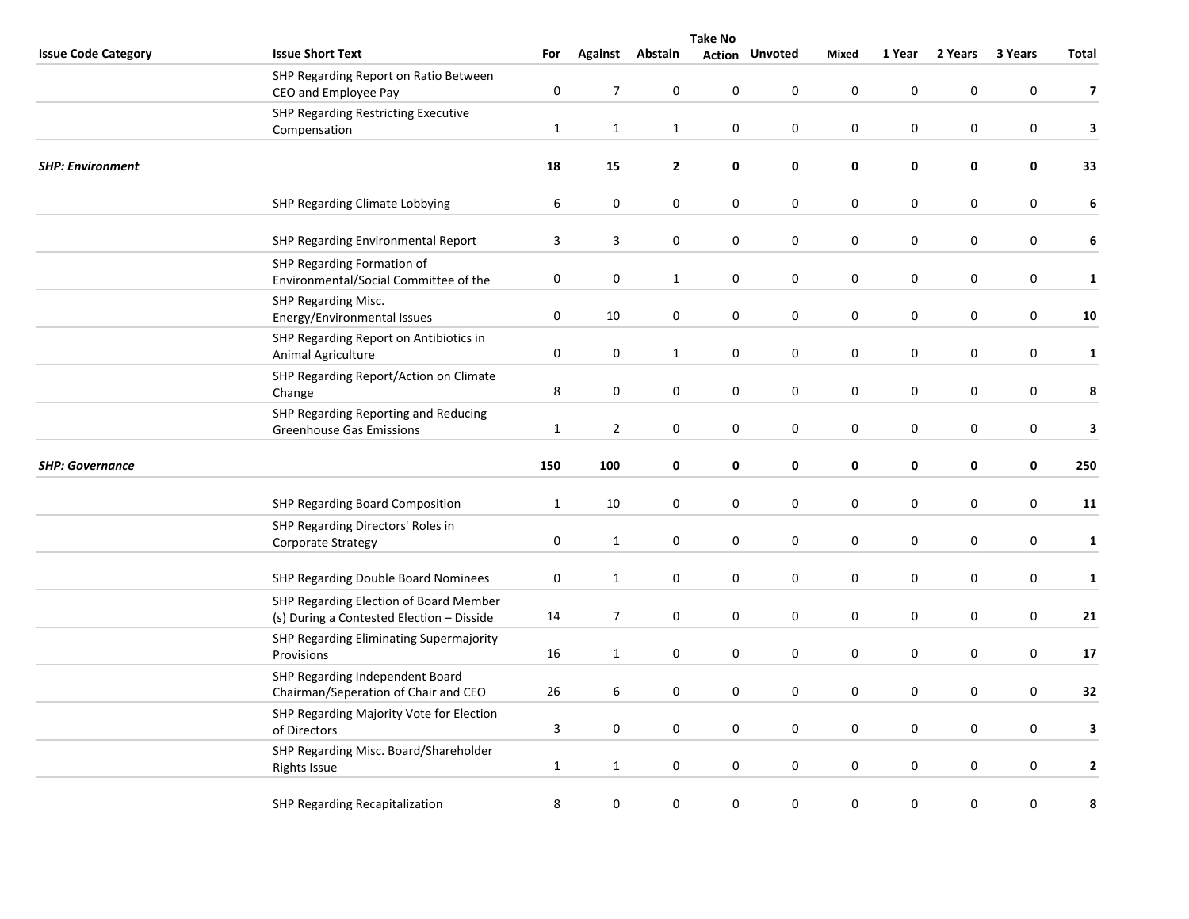|                            | <b>Take No</b>                                                                      |              |                |                  |                  |                  |                  |           |             |                  |                         |  |
|----------------------------|-------------------------------------------------------------------------------------|--------------|----------------|------------------|------------------|------------------|------------------|-----------|-------------|------------------|-------------------------|--|
| <b>Issue Code Category</b> | <b>Issue Short Text</b>                                                             | For          | <b>Against</b> | Abstain          | <b>Action</b>    | <b>Unvoted</b>   | Mixed            | 1 Year    | 2 Years     | 3 Years          | <b>Total</b>            |  |
|                            | SHP Regarding Report on Ratio Between<br>CEO and Employee Pay                       | 0            | $\overline{7}$ | $\pmb{0}$        | $\boldsymbol{0}$ | 0                | $\mathsf 0$      | $\pmb{0}$ | 0           | 0                | $\overline{\mathbf{z}}$ |  |
|                            | SHP Regarding Restricting Executive<br>Compensation                                 | $\mathbf{1}$ | $\mathbf{1}$   | $\mathbf{1}$     | 0                | 0                | $\mathbf 0$      | 0         | 0           | 0                | 3                       |  |
| <b>SHP: Environment</b>    |                                                                                     | 18           | 15             | $\mathbf{2}$     | 0                | 0                | $\mathbf 0$      | 0         | 0           | $\pmb{0}$        | 33                      |  |
|                            | SHP Regarding Climate Lobbying                                                      | 6            | $\pmb{0}$      | 0                | 0                | 0                | $\bf{0}$         | $\bf{0}$  | 0           | 0                | 6                       |  |
|                            | SHP Regarding Environmental Report                                                  | 3            | 3              | $\boldsymbol{0}$ | $\pmb{0}$        | $\boldsymbol{0}$ | $\pmb{0}$        | $\pmb{0}$ | $\pmb{0}$   | $\boldsymbol{0}$ | 6                       |  |
|                            | SHP Regarding Formation of<br>Environmental/Social Committee of the                 | 0            | 0              | $\mathbf{1}$     | $\boldsymbol{0}$ | $\boldsymbol{0}$ | $\pmb{0}$        | $\pmb{0}$ | $\pmb{0}$   | $\boldsymbol{0}$ | $\mathbf{1}$            |  |
|                            | SHP Regarding Misc.<br>Energy/Environmental Issues                                  | $\pmb{0}$    | $10\,$         | $\mathbf 0$      | $\pmb{0}$        | 0                | $\pmb{0}$        | $\pmb{0}$ | $\pmb{0}$   | 0                | 10                      |  |
|                            | SHP Regarding Report on Antibiotics in<br>Animal Agriculture                        | 0            | 0              | $\mathbf{1}$     | 0                | 0                | $\bf{0}$         | 0         | 0           | $\pmb{0}$        | $\mathbf{1}$            |  |
|                            | SHP Regarding Report/Action on Climate<br>Change                                    | 8            | 0              | 0                | 0                | $\boldsymbol{0}$ | $\bf{0}$         | $\pmb{0}$ | 0           | 0                | 8                       |  |
|                            | SHP Regarding Reporting and Reducing<br><b>Greenhouse Gas Emissions</b>             | $\mathbf{1}$ | $\overline{2}$ | $\boldsymbol{0}$ | $\pmb{0}$        | $\boldsymbol{0}$ | $\pmb{0}$        | $\pmb{0}$ | $\mathbf 0$ | $\boldsymbol{0}$ | 3                       |  |
| <b>SHP: Governance</b>     |                                                                                     | 150          | 100            | 0                | 0                | 0                | $\pmb{0}$        | $\pmb{0}$ | $\pmb{0}$   | 0                | 250                     |  |
|                            | SHP Regarding Board Composition                                                     | $\mathbf{1}$ | 10             | $\mathbf 0$      | $\mathbf 0$      | 0                | 0                | 0         | 0           | 0                | 11                      |  |
|                            | SHP Regarding Directors' Roles in<br>Corporate Strategy                             | 0            | $\mathbf{1}$   | 0                | 0                | 0                | $\pmb{0}$        | 0         | 0           | 0                | $\mathbf{1}$            |  |
|                            | SHP Regarding Double Board Nominees                                                 | 0            | $\mathbf{1}$   | 0                | $\boldsymbol{0}$ | $\boldsymbol{0}$ | $\pmb{0}$        | $\pmb{0}$ | 0           | 0                | $\mathbf{1}$            |  |
|                            | SHP Regarding Election of Board Member<br>(s) During a Contested Election - Disside | 14           | $\overline{7}$ | $\boldsymbol{0}$ | 0                | 0                | $\pmb{0}$        | 0         | 0           | $\boldsymbol{0}$ | 21                      |  |
|                            | SHP Regarding Eliminating Supermajority<br>Provisions                               | 16           | $\mathbf{1}$   | 0                | $\pmb{0}$        | $\boldsymbol{0}$ | $\boldsymbol{0}$ | $\pmb{0}$ | 0           | 0                | 17                      |  |
|                            | SHP Regarding Independent Board<br>Chairman/Seperation of Chair and CEO             | 26           | 6              | $\mathbf 0$      | 0                | 0                | 0                | 0         | 0           | $\boldsymbol{0}$ | 32                      |  |
|                            | SHP Regarding Majority Vote for Election<br>of Directors                            | $\mathbf{3}$ | 0              | 0                | 0                | 0                | $\pmb{0}$        | 0         | 0           | 0                | 3                       |  |
|                            | SHP Regarding Misc. Board/Shareholder<br><b>Rights Issue</b>                        | $\mathbf{1}$ | $\mathbf{1}$   | 0                | 0                | $\boldsymbol{0}$ | $\pmb{0}$        | $\pmb{0}$ | 0           | 0                | $\mathbf{2}$            |  |
|                            | SHP Regarding Recapitalization                                                      | 8            | 0              | $\boldsymbol{0}$ | $\pmb{0}$        | $\boldsymbol{0}$ | $\pmb{0}$        | $\pmb{0}$ | $\pmb{0}$   | 0                | 8                       |  |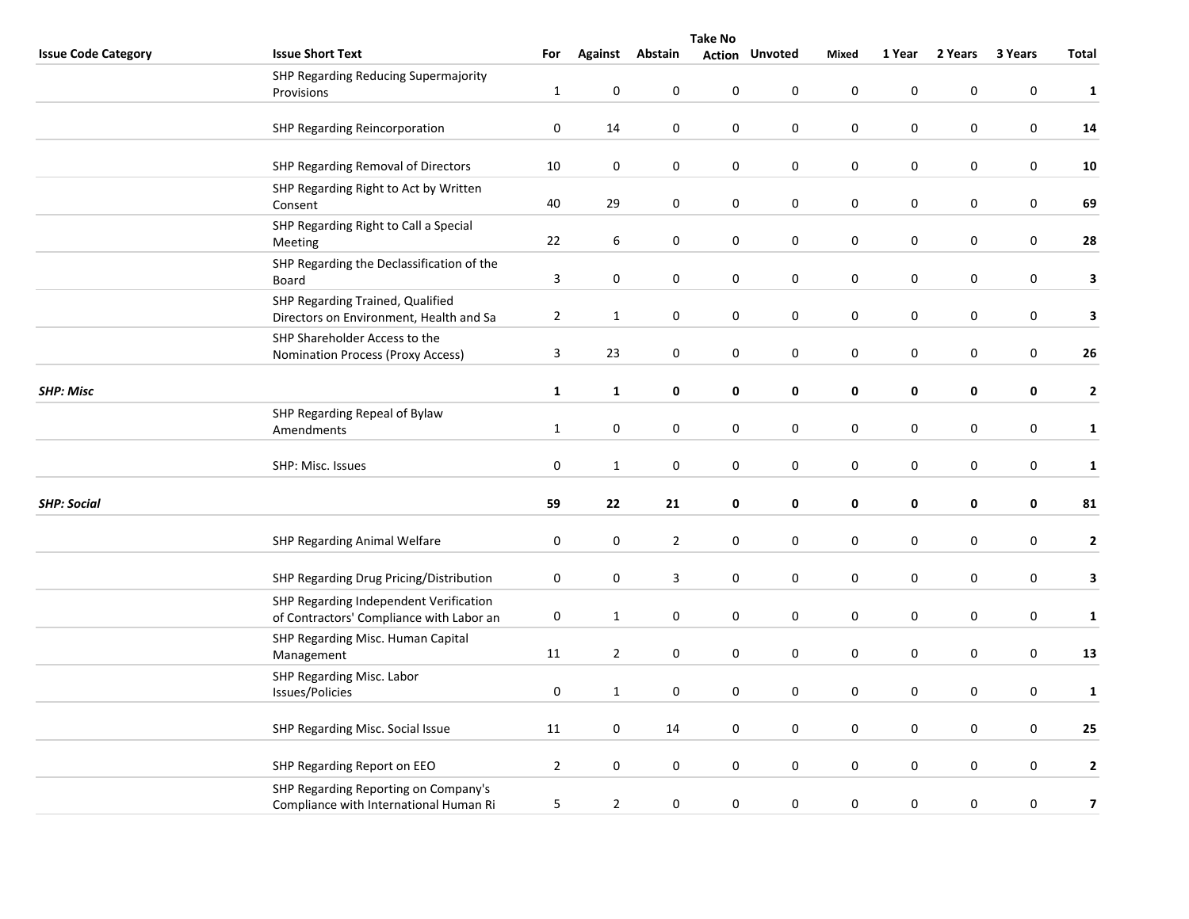|                            | <b>Take No</b>                                     |                |                |                  |                  |                       |              |           |             |                  |                         |  |
|----------------------------|----------------------------------------------------|----------------|----------------|------------------|------------------|-----------------------|--------------|-----------|-------------|------------------|-------------------------|--|
| <b>Issue Code Category</b> | <b>Issue Short Text</b>                            | For            |                | Against Abstain  |                  | <b>Action Unvoted</b> | <b>Mixed</b> | 1 Year    | 2 Years     | 3 Years          | Total                   |  |
|                            | SHP Regarding Reducing Supermajority               |                |                |                  |                  |                       |              |           |             |                  |                         |  |
|                            | Provisions                                         | $\mathbf{1}$   | $\mathbf 0$    | 0                | $\pmb{0}$        | 0                     | $\pmb{0}$    | $\pmb{0}$ | 0           | $\pmb{0}$        | $\mathbf{1}$            |  |
|                            | SHP Regarding Reincorporation                      | $\pmb{0}$      | 14             | 0                | $\pmb{0}$        | $\pmb{0}$             | $\pmb{0}$    | $\pmb{0}$ | 0           | $\pmb{0}$        | ${\bf 14}$              |  |
|                            |                                                    |                |                |                  |                  |                       |              |           |             |                  |                         |  |
|                            | SHP Regarding Removal of Directors                 | 10             | $\pmb{0}$      | $\boldsymbol{0}$ | 0                | $\pmb{0}$             | $\pmb{0}$    | $\pmb{0}$ | 0           | $\boldsymbol{0}$ | 10                      |  |
|                            | SHP Regarding Right to Act by Written              |                |                |                  |                  |                       |              |           |             |                  |                         |  |
|                            | Consent                                            | 40             | 29             | 0                | $\boldsymbol{0}$ | $\pmb{0}$             | $\pmb{0}$    | $\pmb{0}$ | 0           | $\boldsymbol{0}$ | 69                      |  |
|                            | SHP Regarding Right to Call a Special              | 22             | 6              | 0                | 0                | $\pmb{0}$             | $\pmb{0}$    | $\pmb{0}$ | 0           | 0                | ${\bf 28}$              |  |
|                            | Meeting                                            |                |                |                  |                  |                       |              |           |             |                  |                         |  |
|                            | SHP Regarding the Declassification of the<br>Board | 3              | $\bf{0}$       | 0                | 0                | 0                     | $\pmb{0}$    | $\pmb{0}$ | 0           | 0                | $\mathbf{3}$            |  |
|                            | SHP Regarding Trained, Qualified                   |                |                |                  |                  |                       |              |           |             |                  |                         |  |
|                            | Directors on Environment, Health and Sa            | $\sqrt{2}$     | $\mathbf{1}$   | 0                | 0                | $\pmb{0}$             | $\pmb{0}$    | $\pmb{0}$ | 0           | $\pmb{0}$        | $\mathbf{3}$            |  |
|                            | SHP Shareholder Access to the                      |                |                |                  |                  |                       |              |           |             |                  |                         |  |
|                            | <b>Nomination Process (Proxy Access)</b>           | $\overline{3}$ | 23             | $\boldsymbol{0}$ | $\boldsymbol{0}$ | $\pmb{0}$             | $\pmb{0}$    | $\pmb{0}$ | 0           | $\boldsymbol{0}$ | 26                      |  |
| <b>SHP: Misc</b>           |                                                    | $\mathbf{1}$   | 1              | 0                | 0                | 0                     | $\pmb{0}$    | 0         | 0           | 0                | $\mathbf{2}$            |  |
|                            |                                                    |                |                |                  |                  |                       |              |           |             |                  |                         |  |
|                            | SHP Regarding Repeal of Bylaw<br>Amendments        | $\mathbf 1$    | $\pmb{0}$      | $\pmb{0}$        | 0                | $\pmb{0}$             | $\pmb{0}$    | $\pmb{0}$ | 0           | $\pmb{0}$        | $\mathbf{1}$            |  |
|                            |                                                    |                |                |                  |                  |                       |              |           |             |                  |                         |  |
|                            | SHP: Misc. Issues                                  | $\pmb{0}$      | $\mathbf{1}$   | $\boldsymbol{0}$ | 0                | 0                     | $\pmb{0}$    | $\pmb{0}$ | 0           | $\pmb{0}$        | $\mathbf{1}$            |  |
| <b>SHP: Social</b>         |                                                    | 59             | 22             | 21               | 0                | $\mathbf 0$           | $\pmb{0}$    | $\pmb{0}$ | 0           | 0                | 81                      |  |
|                            |                                                    |                |                |                  |                  |                       |              |           |             |                  |                         |  |
|                            | SHP Regarding Animal Welfare                       | $\pmb{0}$      | $\bf{0}$       | $\overline{2}$   | 0                | $\pmb{0}$             | $\pmb{0}$    | $\pmb{0}$ | 0           | 0                | $\mathbf{2}$            |  |
|                            |                                                    |                |                |                  |                  |                       |              |           |             |                  |                         |  |
|                            | SHP Regarding Drug Pricing/Distribution            | $\pmb{0}$      | $\pmb{0}$      | $\mathbf{3}$     | $\pmb{0}$        | $\mathbf 0$           | $\pmb{0}$    | $\pmb{0}$ | $\mathbf 0$ | $\pmb{0}$        | 3                       |  |
|                            | SHP Regarding Independent Verification             |                |                |                  |                  |                       |              |           |             |                  |                         |  |
|                            | of Contractors' Compliance with Labor an           | $\pmb{0}$      | $\mathbf{1}$   | $\pmb{0}$        | 0                | $\pmb{0}$             | $\pmb{0}$    | $\pmb{0}$ | 0           | $\pmb{0}$        | $\mathbf 1$             |  |
|                            | SHP Regarding Misc. Human Capital                  | 11             | $\overline{2}$ | 0                | 0                | $\pmb{0}$             | $\pmb{0}$    | $\pmb{0}$ | 0           | $\boldsymbol{0}$ | 13                      |  |
|                            | Management                                         |                |                |                  |                  |                       |              |           |             |                  |                         |  |
|                            | SHP Regarding Misc. Labor<br>Issues/Policies       | $\pmb{0}$      | $\mathbf{1}$   | 0                | 0                | $\pmb{0}$             | $\pmb{0}$    | $\pmb{0}$ | $\pmb{0}$   | $\boldsymbol{0}$ | $\mathbf{1}$            |  |
|                            |                                                    |                |                |                  |                  |                       |              |           |             |                  |                         |  |
|                            | SHP Regarding Misc. Social Issue                   | 11             | $\pmb{0}$      | 14               | 0                | 0                     | $\pmb{0}$    | $\pmb{0}$ | 0           | $\pmb{0}$        | 25                      |  |
|                            |                                                    |                |                |                  |                  |                       |              |           |             |                  |                         |  |
|                            | SHP Regarding Report on EEO                        | $\overline{2}$ | $\pmb{0}$      | 0                | $\pmb{0}$        | $\pmb{0}$             | $\pmb{0}$    | $\pmb{0}$ | $\pmb{0}$   | $\pmb{0}$        | $\mathbf{2}$            |  |
|                            | SHP Regarding Reporting on Company's               | 5              | $\overline{2}$ | $\boldsymbol{0}$ | $\pmb{0}$        | $\pmb{0}$             | $\pmb{0}$    | $\pmb{0}$ | $\pmb{0}$   | $\boldsymbol{0}$ | $\overline{\mathbf{z}}$ |  |
|                            | Compliance with International Human Ri             |                |                |                  |                  |                       |              |           |             |                  |                         |  |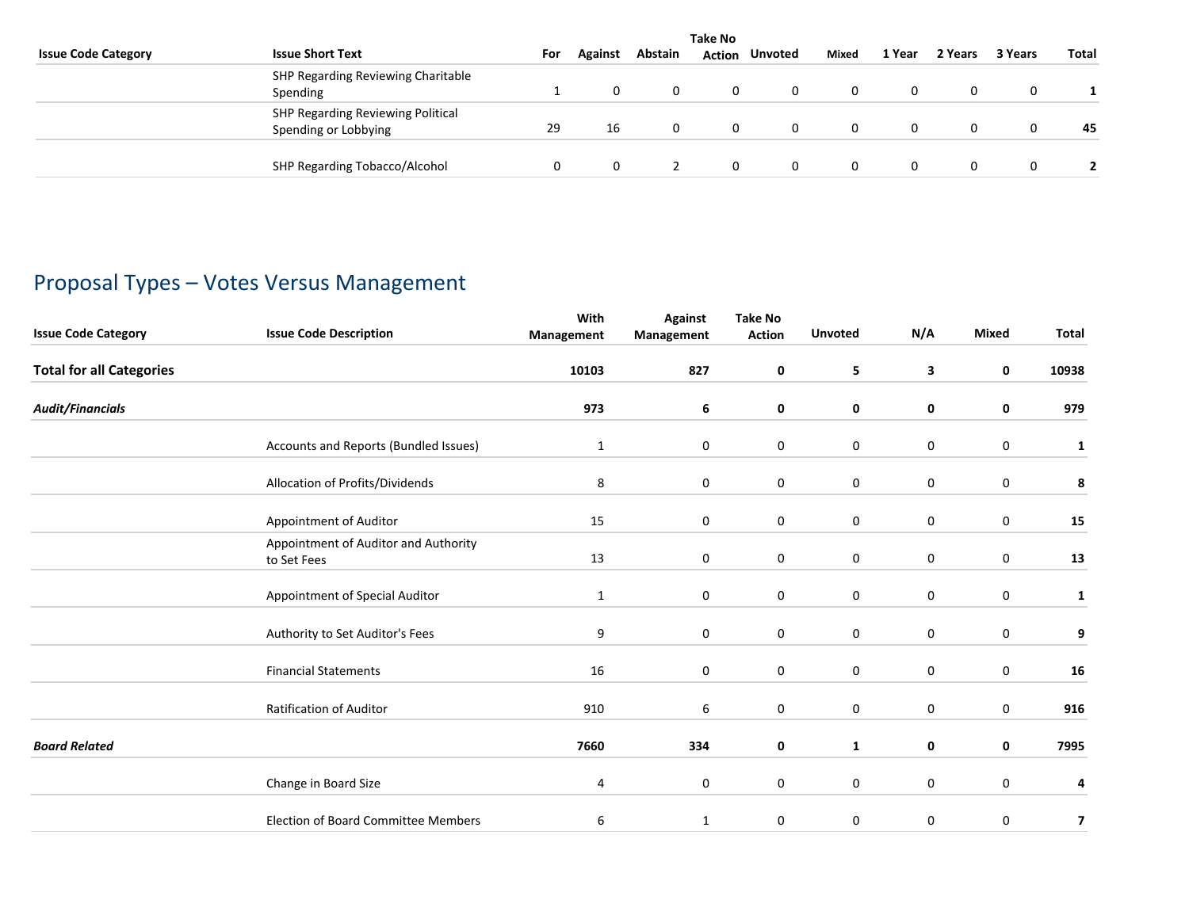|                            | <b>Take No</b>                                            |     |         |         |          |         |       |        |         |         |              |  |
|----------------------------|-----------------------------------------------------------|-----|---------|---------|----------|---------|-------|--------|---------|---------|--------------|--|
| <b>Issue Code Category</b> | <b>Issue Short Text</b>                                   | For | Against | Abstain | Action   | Unvoted | Mixed | 1 Year | 2 Years | 3 Years | <b>Total</b> |  |
|                            | SHP Regarding Reviewing Charitable<br>Spending            |     |         | 0       | 0        |         |       | 0      |         | 0       |              |  |
|                            | SHP Regarding Reviewing Political<br>Spending or Lobbying | 29  | 16      |         | 0        |         |       | 0      |         |         | 45           |  |
|                            | SHP Regarding Tobacco/Alcohol                             |     |         |         | $\Omega$ |         |       | 0      |         | 0       |              |  |

# Proposal Types – Votes Versus Management

| <b>Issue Code Category</b>      | <b>Issue Code Description</b>                       | With<br>Management | <b>Against</b><br>Management | <b>Take No</b><br><b>Action</b> | <b>Unvoted</b> | N/A              | Mixed            | Total     |
|---------------------------------|-----------------------------------------------------|--------------------|------------------------------|---------------------------------|----------------|------------------|------------------|-----------|
| <b>Total for all Categories</b> |                                                     | 10103              | 827                          | 0                               | 5              | 3                | $\mathbf 0$      | 10938     |
| <b>Audit/Financials</b>         |                                                     | 973                | 6                            | 0                               | 0              | 0                | 0                | 979       |
|                                 | Accounts and Reports (Bundled Issues)               | $\mathbf{1}$       | 0                            | $\mathbf 0$                     | $\mathbf 0$    | $\pmb{0}$        | 0                | 1         |
|                                 | Allocation of Profits/Dividends                     | 8                  | $\mathbf 0$                  | $\mathbf 0$                     | $\mathbf 0$    | $\mathbf 0$      | $\mathbf 0$      | $\pmb{8}$ |
|                                 | Appointment of Auditor                              | 15                 | 0                            | 0                               | 0              | 0                | 0                | 15        |
|                                 | Appointment of Auditor and Authority<br>to Set Fees | 13                 | 0                            | 0                               | $\bf{0}$       | $\boldsymbol{0}$ | $\boldsymbol{0}$ | 13        |
|                                 | Appointment of Special Auditor                      | 1                  | 0                            | $\mathbf 0$                     | $\mathbf 0$    | $\mathbf 0$      | 0                | 1         |
|                                 | Authority to Set Auditor's Fees                     | 9                  | 0                            | $\mathbf 0$                     | $\mathbf 0$    | $\mathbf 0$      | $\mathbf 0$      | 9         |
|                                 | <b>Financial Statements</b>                         | 16                 | $\mathbf 0$                  | 0                               | $\pmb{0}$      | $\pmb{0}$        | 0                | 16        |
|                                 | <b>Ratification of Auditor</b>                      | 910                | 6                            | $\mathbf 0$                     | $\mathbf 0$    | $\mathbf 0$      | $\mathbf 0$      | 916       |
| <b>Board Related</b>            |                                                     | 7660               | 334                          | 0                               | 1              | 0                | 0                | 7995      |
|                                 | Change in Board Size                                | 4                  | 0                            | 0                               | $\mathbf 0$    | $\boldsymbol{0}$ | 0                | 4         |
|                                 | <b>Election of Board Committee Members</b>          | 6                  | 1                            | $\mathbf 0$                     | 0              | $\mathbf 0$      | 0                | 7         |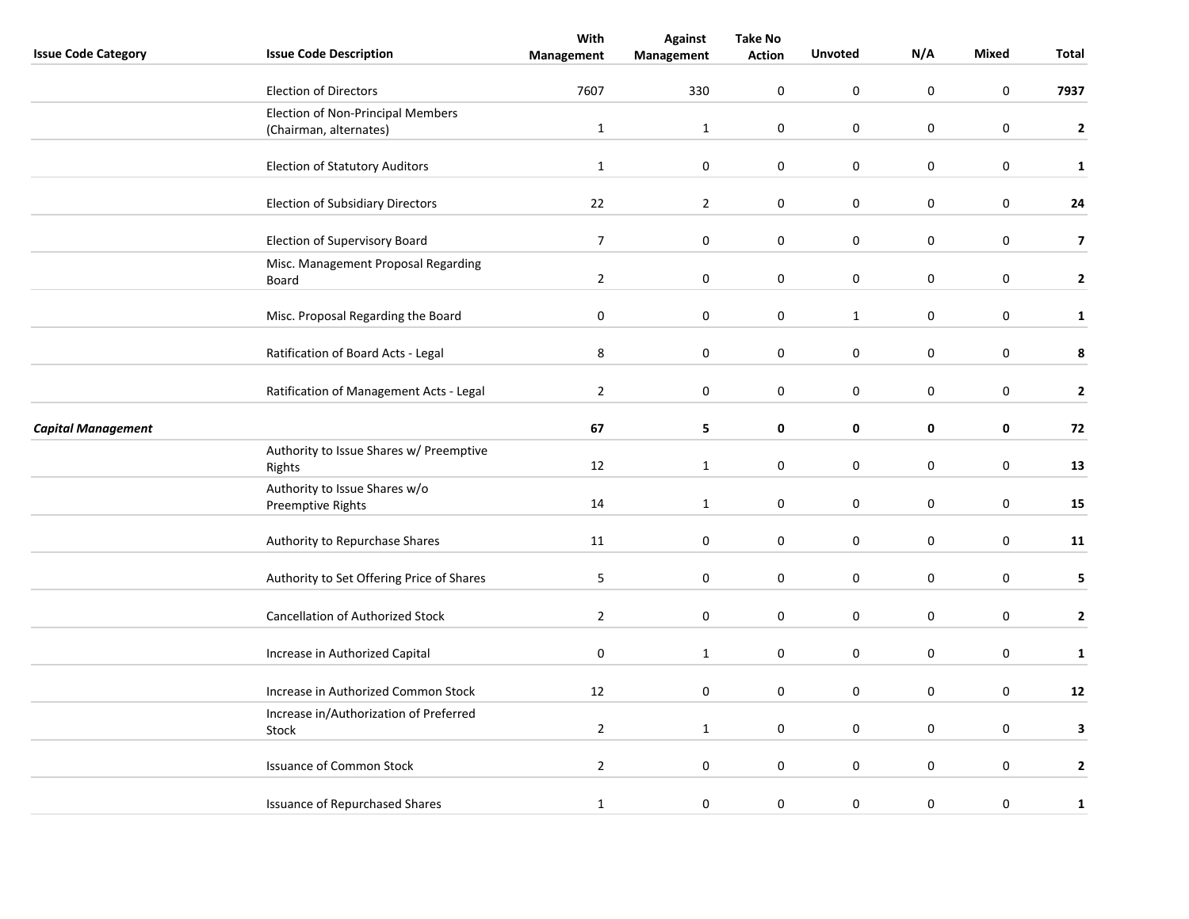| <b>Issue Code Category</b> | <b>Issue Code Description</b>                      | With<br>Management | <b>Against</b><br>Management | <b>Take No</b><br><b>Action</b> | <b>Unvoted</b>   | N/A              | Mixed            | Total                   |
|----------------------------|----------------------------------------------------|--------------------|------------------------------|---------------------------------|------------------|------------------|------------------|-------------------------|
|                            |                                                    | 7607               |                              | 0                               | $\boldsymbol{0}$ | $\mathsf 0$      | $\boldsymbol{0}$ |                         |
|                            | <b>Election of Directors</b>                       |                    | 330                          |                                 |                  |                  |                  | 7937                    |
|                            | <b>Election of Non-Principal Members</b>           |                    |                              |                                 |                  |                  |                  |                         |
|                            | (Chairman, alternates)                             | $\mathbf{1}$       | $\mathbf{1}$                 | 0                               | $\mathbf 0$      | 0                | $\mathbf 0$      | $\mathbf{2}$            |
|                            | <b>Election of Statutory Auditors</b>              | $\mathbf{1}$       | $\pmb{0}$                    | 0                               | $\mathbf 0$      | $\pmb{0}$        | $\pmb{0}$        | $\mathbf{1}$            |
|                            | <b>Election of Subsidiary Directors</b>            | 22                 | $\overline{2}$               | 0                               | $\mathbf 0$      | 0                | $\mathbf 0$      | ${\bf 24}$              |
|                            | Election of Supervisory Board                      | $\overline{7}$     | $\pmb{0}$                    | 0                               | $\mathbf 0$      | $\boldsymbol{0}$ | $\pmb{0}$        | $\overline{\mathbf{z}}$ |
|                            | Misc. Management Proposal Regarding<br>Board       | $\overline{2}$     | 0                            | 0                               | $\pmb{0}$        | $\boldsymbol{0}$ | $\mathbf 0$      | $\mathbf{2}$            |
|                            | Misc. Proposal Regarding the Board                 | $\pmb{0}$          | $\pmb{0}$                    | 0                               | $\mathbf{1}$     | $\boldsymbol{0}$ | $\boldsymbol{0}$ | $\mathbf{1}$            |
|                            | Ratification of Board Acts - Legal                 | 8                  | $\pmb{0}$                    | 0                               | $\mathbf 0$      | $\pmb{0}$        | $\mathbf 0$      | 8                       |
|                            | Ratification of Management Acts - Legal            | $\overline{2}$     | $\pmb{0}$                    | 0                               | $\mathbf 0$      | 0                | $\mathbf 0$      | $\mathbf{2}$            |
| <b>Capital Management</b>  |                                                    | 67                 | 5                            | 0                               | 0                | $\pmb{0}$        | 0                | 72                      |
|                            | Authority to Issue Shares w/ Preemptive<br>Rights  | 12                 | 1                            | $\boldsymbol{0}$                | $\pmb{0}$        | $\pmb{0}$        | $\pmb{0}$        | 13                      |
|                            | Authority to Issue Shares w/o<br>Preemptive Rights | 14                 | $\mathbf{1}$                 | 0                               | $\mathbf 0$      | 0                | $\mathbf 0$      | 15                      |
|                            | Authority to Repurchase Shares                     | 11                 | $\pmb{0}$                    | 0                               | $\mathbf 0$      | 0                | $\mathbf 0$      | 11                      |
|                            | Authority to Set Offering Price of Shares          | 5                  | $\pmb{0}$                    | 0                               | $\pmb{0}$        | $\pmb{0}$        | $\pmb{0}$        | 5                       |
|                            | <b>Cancellation of Authorized Stock</b>            | $\overline{2}$     | $\mathbf 0$                  | 0                               | $\mathbf 0$      | 0                | $\mathbf 0$      | $\mathbf{2}$            |
|                            | Increase in Authorized Capital                     | $\pmb{0}$          | $\mathbf 1$                  | 0                               | $\pmb{0}$        | 0                | $\pmb{0}$        | $\mathbf{1}$            |
|                            | Increase in Authorized Common Stock                | 12                 | $\mathbf 0$                  | 0                               | 0                | $\pmb{0}$        | $\mathbf 0$      | 12                      |
|                            | Increase in/Authorization of Preferred<br>Stock    | $\overline{2}$     | $\mathbf{1}$                 | 0                               | $\mathbf 0$      | $\pmb{0}$        | $\mathbf 0$      | 3                       |
|                            | <b>Issuance of Common Stock</b>                    | $\overline{2}$     | $\boldsymbol{0}$             | 0                               | $\pmb{0}$        | $\pmb{0}$        | $\mathbf 0$      | 2                       |
|                            | <b>Issuance of Repurchased Shares</b>              | $\mathbf{1}$       | $\boldsymbol{0}$             | 0                               | $\mathbf 0$      | $\pmb{0}$        | $\pmb{0}$        | $\mathbf{1}$            |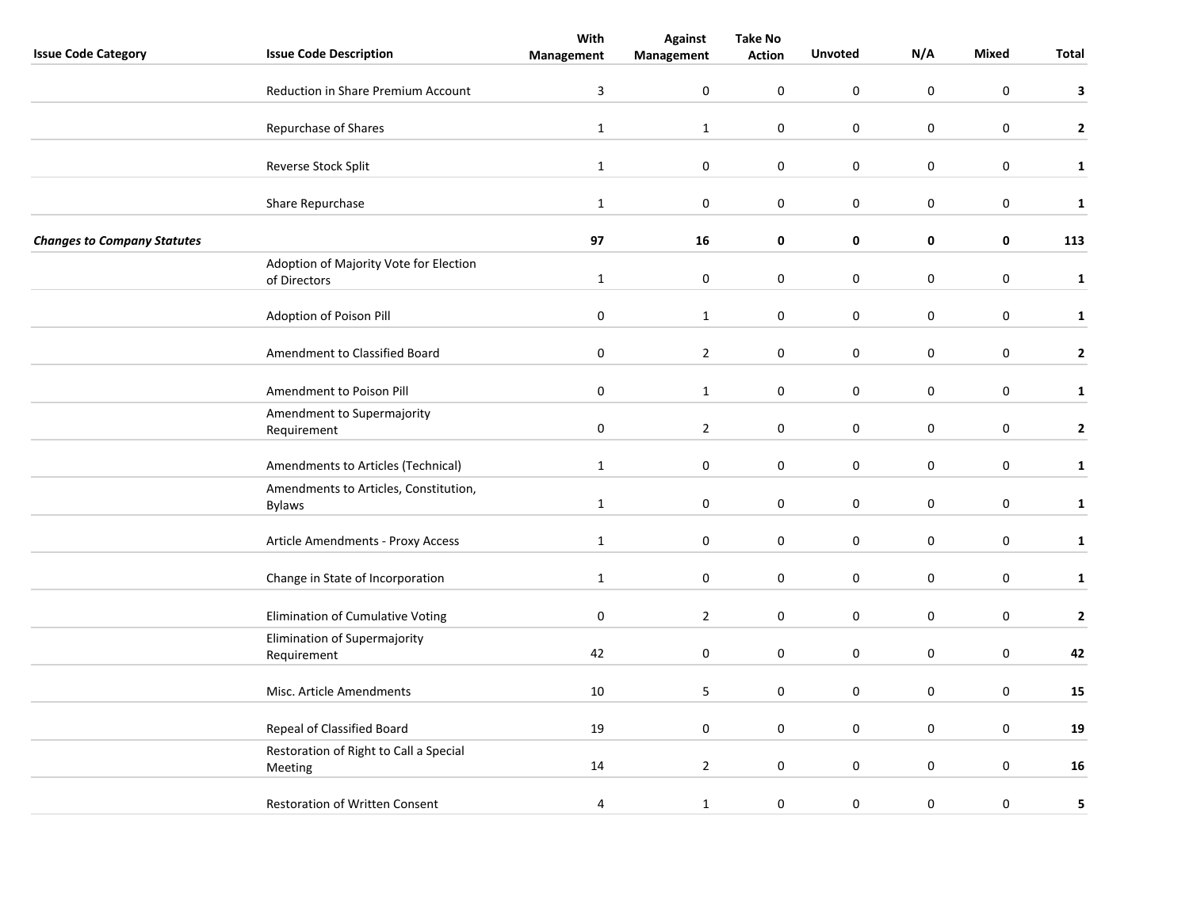|                                    |                                             | With           | <b>Against</b>   | <b>Take No</b>   |                |                  |                  |              |
|------------------------------------|---------------------------------------------|----------------|------------------|------------------|----------------|------------------|------------------|--------------|
| <b>Issue Code Category</b>         | <b>Issue Code Description</b>               | Management     | Management       | <b>Action</b>    | <b>Unvoted</b> | N/A              | Mixed            | Total        |
|                                    | <b>Reduction in Share Premium Account</b>   | $\overline{3}$ | 0                | 0                | $\pmb{0}$      | $\mathbf 0$      | $\boldsymbol{0}$ | 3            |
|                                    | Repurchase of Shares                        | $\mathbf{1}$   | $\mathbf{1}$     | 0                | $\mathbf 0$    | 0                | $\mathbf 0$      | $\mathbf{2}$ |
|                                    |                                             |                |                  |                  |                |                  |                  |              |
|                                    | Reverse Stock Split                         | $\mathbf{1}$   | $\boldsymbol{0}$ | 0                | $\mathbf 0$    | $\pmb{0}$        | $\mathbf 0$      | $\mathbf{1}$ |
|                                    | Share Repurchase                            | $\mathbf{1}$   | $\pmb{0}$        | 0                | $\mathbf 0$    | $\bf{0}$         | $\mathbf 0$      | $\mathbf{1}$ |
| <b>Changes to Company Statutes</b> |                                             | 97             | 16               | 0                | 0              | 0                | 0                | 113          |
|                                    | Adoption of Majority Vote for Election      |                | $\pmb{0}$        | 0                | $\mathbf 0$    | $\boldsymbol{0}$ | $\boldsymbol{0}$ |              |
|                                    | of Directors                                | $\mathbf{1}$   |                  |                  |                |                  |                  | $\mathbf{1}$ |
|                                    | Adoption of Poison Pill                     | $\pmb{0}$      | $\mathbf{1}$     | 0                | $\pmb{0}$      | $\mathsf 0$      | $\boldsymbol{0}$ | $\mathbf{1}$ |
|                                    | Amendment to Classified Board               | $\pmb{0}$      | $\overline{2}$   | 0                | $\mathbf 0$    | $\pmb{0}$        | $\mathbf 0$      | $\mathbf{2}$ |
|                                    | Amendment to Poison Pill                    | $\pmb{0}$      | $\mathbf{1}$     | 0                | $\mathbf 0$    | $\pmb{0}$        | $\mathbf 0$      | $\mathbf{1}$ |
|                                    | Amendment to Supermajority                  |                |                  |                  |                |                  |                  |              |
|                                    | Requirement                                 | $\pmb{0}$      | $\overline{2}$   | $\boldsymbol{0}$ | $\pmb{0}$      | $\pmb{0}$        | $\mathbf 0$      | $\mathbf{2}$ |
|                                    | Amendments to Articles (Technical)          | $\mathbf{1}$   | $\pmb{0}$        | $\boldsymbol{0}$ | $\pmb{0}$      | $\boldsymbol{0}$ | $\pmb{0}$        | $\mathbf{1}$ |
|                                    | Amendments to Articles, Constitution,       | $\mathbf{1}$   | $\mathbf 0$      | 0                | $\mathbf 0$    | 0                | $\mathbf 0$      | $\mathbf{1}$ |
|                                    | <b>Bylaws</b>                               |                |                  |                  |                |                  |                  |              |
|                                    | Article Amendments - Proxy Access           | $\mathbf{1}$   | $\pmb{0}$        | 0                | $\mathbf 0$    | $\pmb{0}$        | $\mathbf 0$      | ${\bf 1}$    |
|                                    | Change in State of Incorporation            | $\mathbf{1}$   | $\boldsymbol{0}$ | 0                | $\pmb{0}$      | $\pmb{0}$        | $\mathbf 0$      | ${\bf 1}$    |
|                                    | Elimination of Cumulative Voting            | $\pmb{0}$      | $\overline{2}$   | 0                | $\mathbf 0$    | $\boldsymbol{0}$ | $\mathbf 0$      | $\mathbf 2$  |
|                                    |                                             |                |                  |                  |                |                  |                  |              |
|                                    | Elimination of Supermajority<br>Requirement | 42             | $\mathbf 0$      | 0                | $\pmb{0}$      | $\boldsymbol{0}$ | $\mathbf 0$      | 42           |
|                                    | Misc. Article Amendments                    | 10             | 5                | 0                | $\mathbf 0$    | $\pmb{0}$        | $\mathbf 0$      | 15           |
|                                    | Repeal of Classified Board                  | 19             | $\mathbf 0$      | 0                | 0              | $\mathbf 0$      | $\mathbf 0$      | 19           |
|                                    | Restoration of Right to Call a Special      |                |                  |                  |                |                  |                  |              |
|                                    | Meeting                                     | 14             | $\overline{2}$   | 0                | $\pmb{0}$      | $\pmb{0}$        | $\mathbf 0$      | 16           |
|                                    | Restoration of Written Consent              | 4              | $\mathbf{1}$     | 0                | $\mathbf 0$    | $\boldsymbol{0}$ | $\pmb{0}$        | 5            |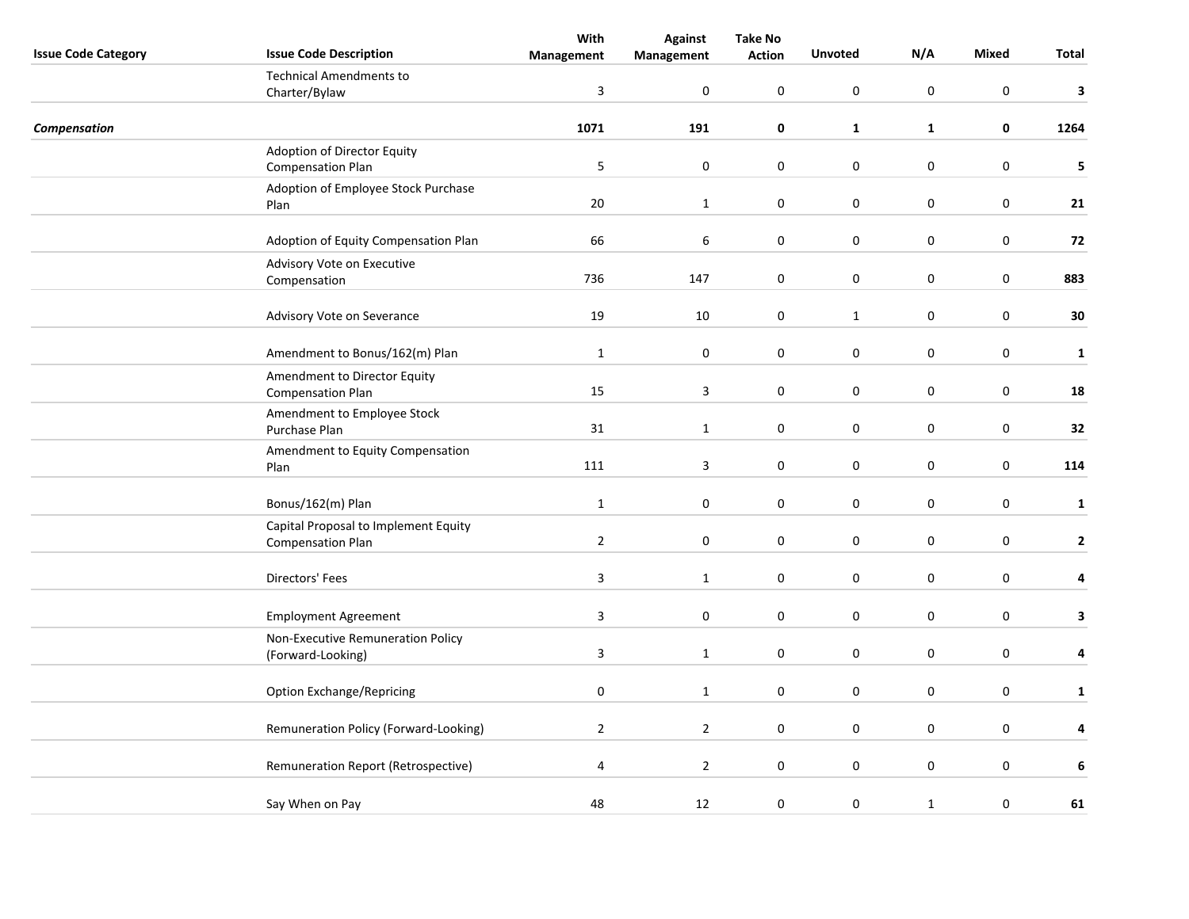| <b>Issue Code Category</b> | <b>Issue Code Description</b>                                    | With<br>Management | <b>Against</b><br>Management | <b>Take No</b><br><b>Action</b> | <b>Unvoted</b> | N/A              | <b>Mixed</b>     | Total        |
|----------------------------|------------------------------------------------------------------|--------------------|------------------------------|---------------------------------|----------------|------------------|------------------|--------------|
|                            | <b>Technical Amendments to</b><br>Charter/Bylaw                  | $\overline{3}$     | 0                            | 0                               | $\pmb{0}$      | $\mathbf 0$      | $\boldsymbol{0}$ | 3            |
| Compensation               |                                                                  | 1071               | 191                          | 0                               | $\mathbf{1}$   | $\mathbf{1}$     | 0                | 1264         |
|                            | Adoption of Director Equity<br><b>Compensation Plan</b>          | 5                  | $\pmb{0}$                    | 0                               | $\pmb{0}$      | $\pmb{0}$        | $\mathbf 0$      | 5            |
|                            | Adoption of Employee Stock Purchase<br>Plan                      | 20                 | $\mathbf 1$                  | 0                               | $\mathbf 0$    | $\bf{0}$         | $\mathbf 0$      | 21           |
|                            | Adoption of Equity Compensation Plan                             | 66                 | 6                            | $\boldsymbol{0}$                | $\mathbf 0$    | $\boldsymbol{0}$ | $\mathbf 0$      | 72           |
|                            | Advisory Vote on Executive<br>Compensation                       | 736                | 147                          | $\pmb{0}$                       | $\mathbf 0$    | $\boldsymbol{0}$ | $\boldsymbol{0}$ | 883          |
|                            | Advisory Vote on Severance                                       | 19                 | 10                           | 0                               | $\mathbf{1}$   | $\boldsymbol{0}$ | $\boldsymbol{0}$ | 30           |
|                            | Amendment to Bonus/162(m) Plan                                   | $\mathbf{1}$       | $\pmb{0}$                    | 0                               | $\mathbf 0$    | $\pmb{0}$        | $\mathbf 0$      | $\mathbf{1}$ |
|                            | Amendment to Director Equity<br><b>Compensation Plan</b>         | 15                 | 3                            | 0                               | $\mathbf 0$    | $\boldsymbol{0}$ | $\mathbf 0$      | 18           |
|                            | Amendment to Employee Stock<br>Purchase Plan                     | 31                 | $\mathbf{1}$                 | $\boldsymbol{0}$                | $\pmb{0}$      | $\boldsymbol{0}$ | $\mathbf 0$      | 32           |
|                            | Amendment to Equity Compensation<br>Plan                         | 111                | 3                            | $\pmb{0}$                       | $\pmb{0}$      | $\boldsymbol{0}$ | $\boldsymbol{0}$ | 114          |
|                            | Bonus/162(m) Plan                                                | $\mathbf{1}$       | 0                            | 0                               | $\mathbf 0$    | 0                | $\mathbf 0$      | $\mathbf{1}$ |
|                            | Capital Proposal to Implement Equity<br><b>Compensation Plan</b> | $\overline{2}$     | 0                            | 0                               | $\pmb{0}$      | $\pmb{0}$        | $\mathbf 0$      | $\mathbf{2}$ |
|                            | Directors' Fees                                                  | $\mathbf{3}$       | $\mathbf 1$                  | 0                               | $\pmb{0}$      | $\pmb{0}$        | $\mathbf 0$      | 4            |
|                            | <b>Employment Agreement</b>                                      | 3                  | $\mathbf 0$                  | 0                               | $\mathbf 0$    | $\boldsymbol{0}$ | $\mathbf 0$      | 3            |
|                            | Non-Executive Remuneration Policy<br>(Forward-Looking)           | $\overline{3}$     | $\mathbf 1$                  | $\pmb{0}$                       | $\pmb{0}$      | $\boldsymbol{0}$ | $\pmb{0}$        | 4            |
|                            | <b>Option Exchange/Repricing</b>                                 | $\pmb{0}$          | $\mathbf{1}$                 | 0                               | $\mathbf 0$    | $\pmb{0}$        | $\mathbf 0$      | $\mathbf{1}$ |
|                            | Remuneration Policy (Forward-Looking)                            | $\overline{2}$     | $\overline{2}$               | 0                               | $\mathbf 0$    | $\pmb{0}$        | $\mathbf 0$      | 4            |
|                            | Remuneration Report (Retrospective)                              | $\overline{a}$     | $\mathbf 2$                  | 0                               | $\pmb{0}$      | $\pmb{0}$        | $\mathbf 0$      | $\bf 6$      |
|                            | Say When on Pay                                                  | 48                 | 12                           | 0                               | $\pmb{0}$      | $\mathbf{1}$     | $\pmb{0}$        | 61           |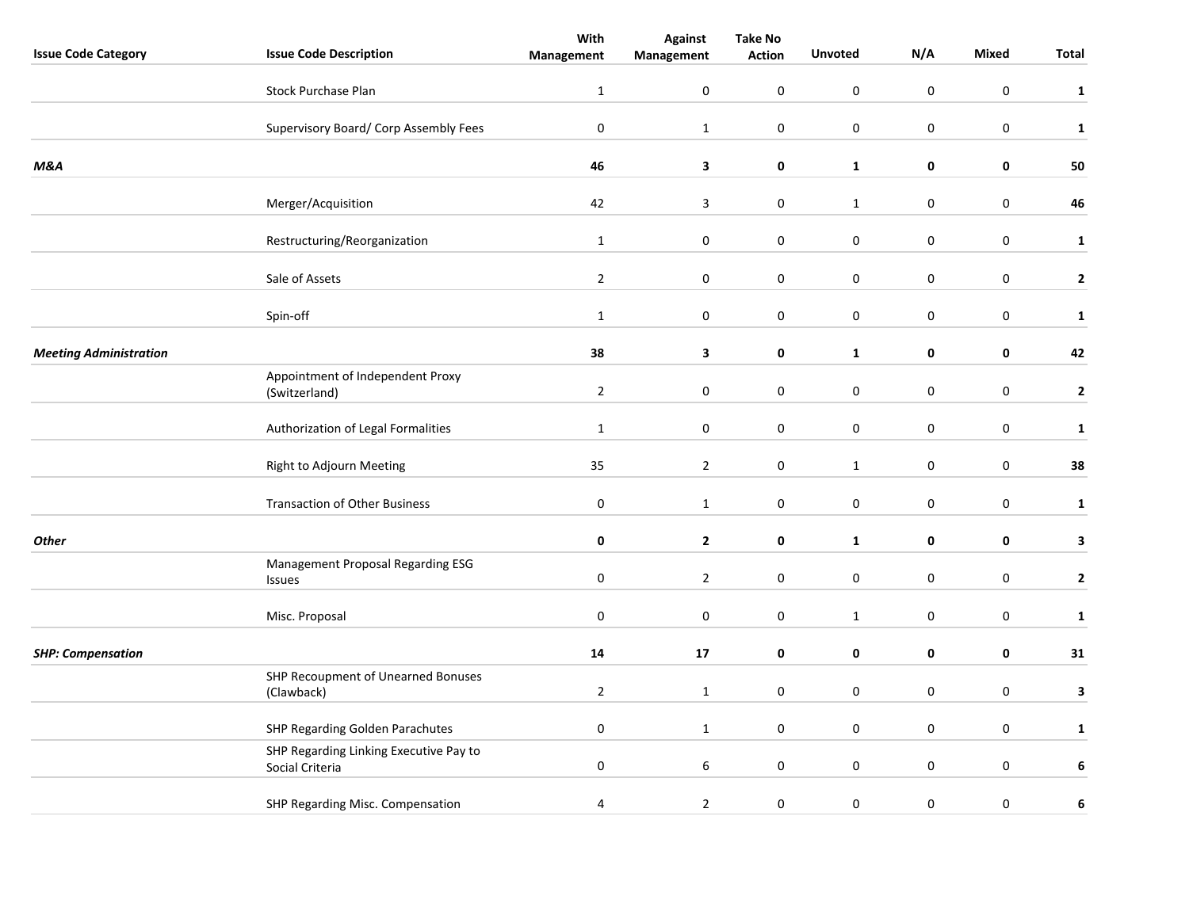|                               |                                                           | With           | <b>Against</b> | <b>Take No</b>   |                     |                  |                  |                         |
|-------------------------------|-----------------------------------------------------------|----------------|----------------|------------------|---------------------|------------------|------------------|-------------------------|
| <b>Issue Code Category</b>    | <b>Issue Code Description</b>                             | Management     | Management     | <b>Action</b>    | <b>Unvoted</b>      | N/A              | Mixed            | Total                   |
|                               | <b>Stock Purchase Plan</b>                                | $\mathbf{1}$   | 0              | $\boldsymbol{0}$ | $\mathbf 0$         | $\mathbf 0$      | $\mathbf 0$      | ${\bf 1}$               |
|                               | Supervisory Board/ Corp Assembly Fees                     | $\pmb{0}$      | $\mathbf 1$    | $\pmb{0}$        | $\pmb{0}$           | $\pmb{0}$        | $\pmb{0}$        | $\mathbf 1$             |
| <b>M&amp;A</b>                |                                                           | 46             | 3              | 0                | $\mathbf{1}$        | $\pmb{0}$        | $\mathbf 0$      | 50                      |
|                               | Merger/Acquisition                                        | 42             | 3              | $\pmb{0}$        | $\mathbf{1}$        | $\pmb{0}$        | $\mathbf 0$      | 46                      |
|                               | Restructuring/Reorganization                              | $\mathbf{1}$   | 0              | 0                | $\mathbf 0$         | $\pmb{0}$        | $\mathbf 0$      | $\mathbf 1$             |
|                               | Sale of Assets                                            | $\overline{2}$ | 0              | 0                | $\pmb{0}$           | $\pmb{0}$        | $\mathbf 0$      | $\mathbf{2}$            |
|                               | Spin-off                                                  | $\mathbf{1}$   | 0              | $\pmb{0}$        | $\mathbf 0$         | $\boldsymbol{0}$ | $\mathbf 0$      | $\mathbf 1$             |
| <b>Meeting Administration</b> |                                                           | 38             | 3              | $\pmb{0}$        | $\mathbf 1$         | $\mathbf 0$      | $\pmb{0}$        | 42                      |
|                               | Appointment of Independent Proxy<br>(Switzerland)         | $\overline{2}$ | 0              | 0                | $\bf{0}$            | 0                | $\mathbf 0$      | $\overline{\mathbf{2}}$ |
|                               | Authorization of Legal Formalities                        | $\mathbf{1}$   | $\pmb{0}$      | $\pmb{0}$        | $\pmb{0}$           | $\pmb{0}$        | $\pmb{0}$        | $\mathbf 1$             |
|                               | Right to Adjourn Meeting                                  | 35             | $\overline{2}$ | $\pmb{0}$        | $\mathbf 1$         | $\pmb{0}$        | $\mathbf 0$      | 38                      |
|                               | <b>Transaction of Other Business</b>                      | $\pmb{0}$      | $\mathbf{1}$   | $\pmb{0}$        | $\mathsf{O}\xspace$ | $\boldsymbol{0}$ | $\boldsymbol{0}$ | $\mathbf{1}$            |
| <b>Other</b>                  |                                                           | 0              | $\mathbf{2}$   | 0                | $\mathbf{1}$        | 0                | 0                | 3                       |
|                               | Management Proposal Regarding ESG<br>Issues               | $\pmb{0}$      | $\overline{2}$ | $\boldsymbol{0}$ | $\pmb{0}$           | $\mathbf 0$      | $\pmb{0}$        | $\mathbf{2}$            |
|                               | Misc. Proposal                                            | $\pmb{0}$      | 0              | $\boldsymbol{0}$ | $\mathbf{1}$        | $\pmb{0}$        | $\mathbf 0$      | $\mathbf 1$             |
| <b>SHP: Compensation</b>      |                                                           | ${\bf 14}$     | 17             | $\pmb{0}$        | $\pmb{0}$           | $\pmb{0}$        | $\mathbf 0$      | 31                      |
|                               | SHP Recoupment of Unearned Bonuses<br>(Clawback)          | $\overline{2}$ | $\mathbf{1}$   | $\mathbf 0$      | $\mathbf 0$         | $\mathbf 0$      | $\boldsymbol{0}$ | $\mathbf{3}$            |
|                               | SHP Regarding Golden Parachutes                           | $\pmb{0}$      | $\mathbf{1}$   | $\boldsymbol{0}$ | $\mathbf 0$         | $\mathbf 0$      | $\mathbf 0$      | $\mathbf{1}$            |
|                               | SHP Regarding Linking Executive Pay to<br>Social Criteria | $\pmb{0}$      | 6              | $\pmb{0}$        | $\mathbf 0$         | $\mathbf 0$      | $\pmb{0}$        | $\bf 6$                 |
|                               | SHP Regarding Misc. Compensation                          | $\overline{a}$ | $\overline{2}$ | 0                | $\boldsymbol{0}$    | $\boldsymbol{0}$ | $\mathbf 0$      | 6                       |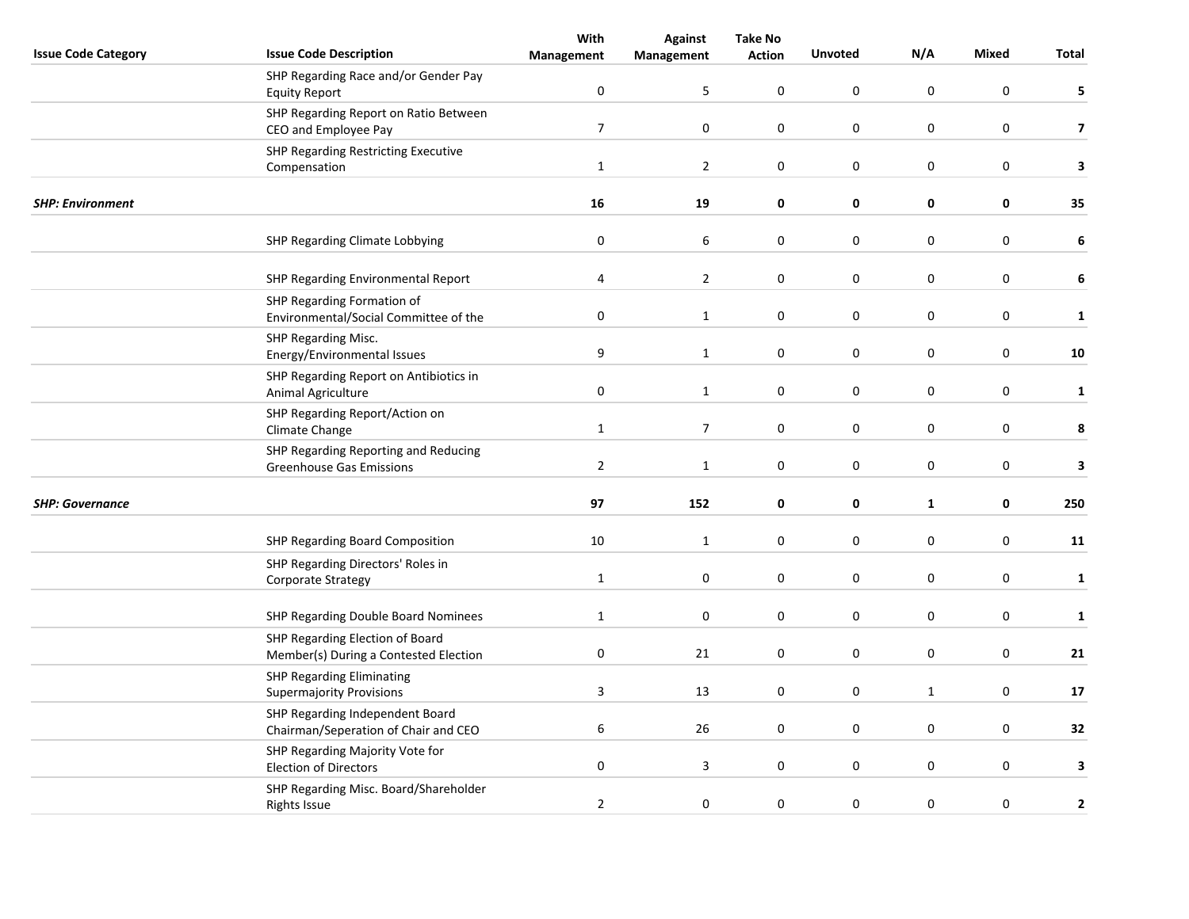|                            |                                                         | With           | <b>Against</b>          | <b>Take No</b> |                  |                  |                  |                         |
|----------------------------|---------------------------------------------------------|----------------|-------------------------|----------------|------------------|------------------|------------------|-------------------------|
| <b>Issue Code Category</b> | <b>Issue Code Description</b>                           | Management     | Management              | <b>Action</b>  | <b>Unvoted</b>   | N/A              | <b>Mixed</b>     | Total                   |
|                            | SHP Regarding Race and/or Gender Pay                    |                |                         |                |                  |                  |                  |                         |
|                            | <b>Equity Report</b>                                    | $\pmb{0}$      | 5                       | $\mathbf 0$    | $\boldsymbol{0}$ | $\mathsf 0$      | $\boldsymbol{0}$ | 5                       |
|                            | SHP Regarding Report on Ratio Between                   |                |                         |                |                  |                  |                  |                         |
|                            | CEO and Employee Pay                                    | $\overline{7}$ | $\mathbf 0$             | 0              | 0                | 0                | $\mathbf 0$      | $\overline{\mathbf{z}}$ |
|                            | <b>SHP Regarding Restricting Executive</b>              |                |                         |                |                  |                  |                  |                         |
|                            | Compensation                                            | $\mathbf{1}$   | $\overline{2}$          | 0              | $\boldsymbol{0}$ | $\boldsymbol{0}$ | $\pmb{0}$        | 3                       |
| <b>SHP: Environment</b>    |                                                         | 16             | 19                      | $\pmb{0}$      | $\mathbf 0$      | 0                | 0                | 35                      |
|                            | SHP Regarding Climate Lobbying                          | $\pmb{0}$      | 6                       | 0              | $\boldsymbol{0}$ | $\boldsymbol{0}$ | $\pmb{0}$        | $\bf 6$                 |
|                            |                                                         |                |                         |                |                  |                  |                  |                         |
|                            | SHP Regarding Environmental Report                      | 4              | $\overline{2}$          | $\mathbf 0$    | $\pmb{0}$        | $\pmb{0}$        | $\boldsymbol{0}$ | 6                       |
|                            | SHP Regarding Formation of                              |                |                         |                |                  |                  |                  |                         |
|                            | Environmental/Social Committee of the                   | $\pmb{0}$      | $\mathbf{1}$            | $\mathbf 0$    | $\pmb{0}$        | $\pmb{0}$        | $\boldsymbol{0}$ | $\mathbf{1}$            |
|                            | SHP Regarding Misc.                                     |                |                         |                |                  |                  |                  |                         |
|                            | Energy/Environmental Issues                             | 9              | $\mathbf{1}$            | 0              | $\mathbf 0$      | 0                | $\mathbf 0$      | 10                      |
|                            | SHP Regarding Report on Antibiotics in                  |                |                         |                |                  |                  |                  |                         |
|                            | Animal Agriculture                                      | $\pmb{0}$      | $\mathbf{1}$            | 0              | $\pmb{0}$        | 0                | $\mathbf 0$      | $\mathbf{1}$            |
|                            | SHP Regarding Report/Action on<br>Climate Change        | $\mathbf 1$    | $\boldsymbol{7}$        | $\pmb{0}$      | $\pmb{0}$        | $\pmb{0}$        | $\pmb{0}$        | 8                       |
|                            | SHP Regarding Reporting and Reducing                    |                |                         |                |                  |                  |                  |                         |
|                            | Greenhouse Gas Emissions                                | $\overline{2}$ | 1                       | $\pmb{0}$      | $\pmb{0}$        | $\pmb{0}$        | $\pmb{0}$        | 3                       |
|                            |                                                         |                |                         |                |                  |                  |                  |                         |
| <b>SHP: Governance</b>     |                                                         | 97             | 152                     | 0              | 0                | $\mathbf{1}$     | $\mathbf 0$      | 250                     |
|                            | SHP Regarding Board Composition                         | 10             | $\mathbf{1}$            | 0              | $\pmb{0}$        | 0                | $\mathbf 0$      | 11                      |
|                            |                                                         |                |                         |                |                  |                  |                  |                         |
|                            | SHP Regarding Directors' Roles in<br>Corporate Strategy | $\mathbf 1$    | 0                       | 0              | $\pmb{0}$        | $\pmb{0}$        | $\pmb{0}$        | $\mathbf{1}$            |
|                            |                                                         |                |                         |                |                  |                  |                  |                         |
|                            | SHP Regarding Double Board Nominees                     | $\mathbf{1}$   | $\mathbf 0$             | 0              | $\boldsymbol{0}$ | $\boldsymbol{0}$ | $\mathbf 0$      | $\mathbf 1$             |
|                            | SHP Regarding Election of Board                         |                |                         |                |                  |                  |                  |                         |
|                            | Member(s) During a Contested Election                   | $\pmb{0}$      | 21                      | 0              | $\boldsymbol{0}$ | $\boldsymbol{0}$ | $\mathbf 0$      | 21                      |
|                            | <b>SHP Regarding Eliminating</b>                        |                |                         |                |                  |                  |                  |                         |
|                            | <b>Supermajority Provisions</b>                         | $\overline{3}$ | 13                      | 0              | $\pmb{0}$        | $\mathbf{1}$     | $\mathbf 0$      | 17                      |
|                            | SHP Regarding Independent Board                         |                |                         |                |                  |                  |                  |                         |
|                            | Chairman/Seperation of Chair and CEO                    | 6              | 26                      | 0              | 0                | 0                | $\mathbf 0$      | 32                      |
|                            | SHP Regarding Majority Vote for                         |                |                         |                |                  |                  |                  |                         |
|                            | <b>Election of Directors</b>                            | $\pmb{0}$      | $\overline{\mathbf{3}}$ | 0              | $\pmb{0}$        | $\boldsymbol{0}$ | $\mathbf 0$      | 3                       |
|                            | SHP Regarding Misc. Board/Shareholder                   | $\overline{2}$ | $\boldsymbol{0}$        | $\mathbf 0$    | $\boldsymbol{0}$ | $\boldsymbol{0}$ | 0                | 2                       |
|                            | <b>Rights Issue</b>                                     |                |                         |                |                  |                  |                  |                         |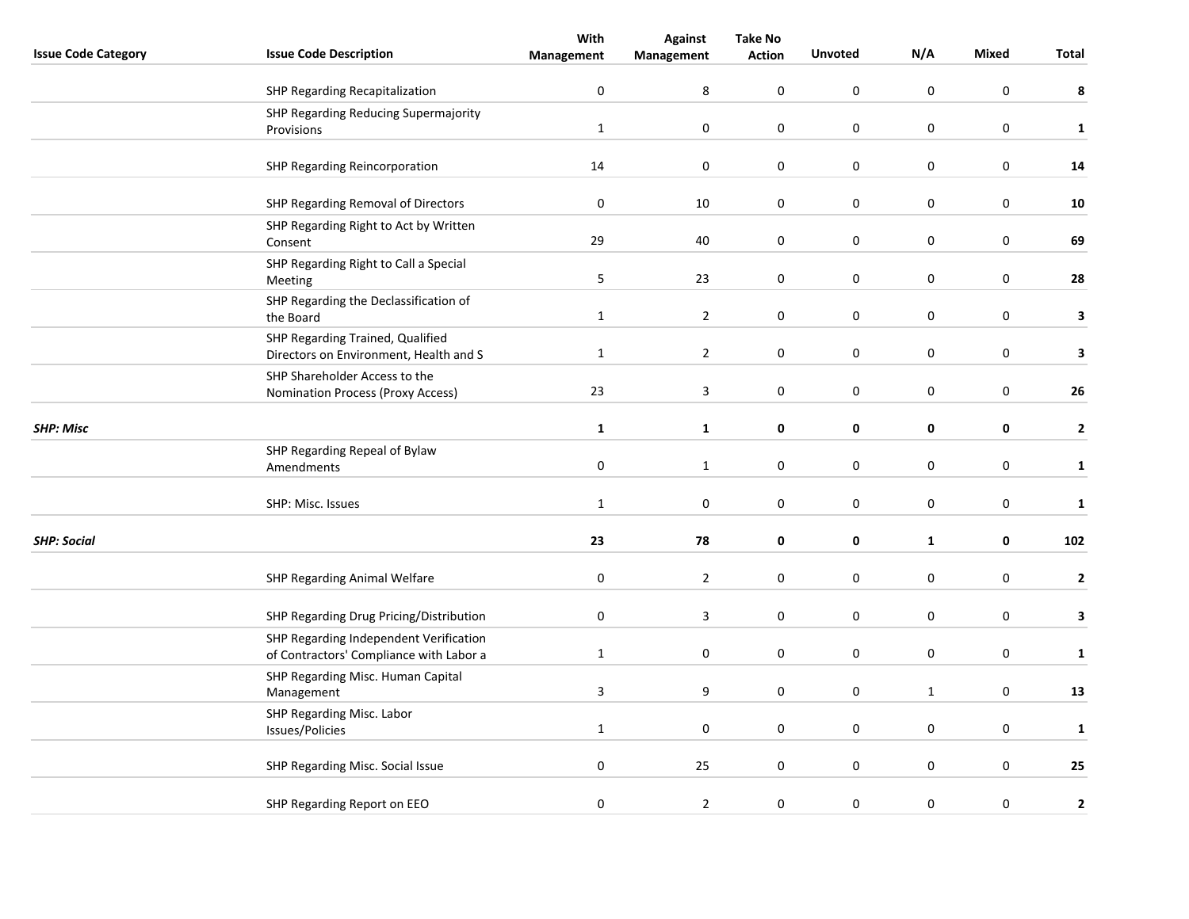|                            |                                                                            | With           | <b>Against</b> | <b>Take No</b>   |                |                  |                  |              |
|----------------------------|----------------------------------------------------------------------------|----------------|----------------|------------------|----------------|------------------|------------------|--------------|
| <b>Issue Code Category</b> | <b>Issue Code Description</b>                                              | Management     | Management     | <b>Action</b>    | <b>Unvoted</b> | N/A              | <b>Mixed</b>     | Total        |
|                            | <b>SHP Regarding Recapitalization</b>                                      | $\pmb{0}$      | 8              | $\pmb{0}$        | $\pmb{0}$      | $\boldsymbol{0}$ | $\boldsymbol{0}$ | 8            |
|                            | SHP Regarding Reducing Supermajority                                       |                |                |                  |                |                  |                  |              |
|                            | Provisions                                                                 | $\mathbf{1}$   | 0              | 0                | $\mathbf 0$    | 0                | $\mathbf 0$      | $\mathbf{1}$ |
|                            | SHP Regarding Reincorporation                                              | 14             | $\pmb{0}$      | 0                | $\pmb{0}$      | $\boldsymbol{0}$ | $\pmb{0}$        | 14           |
|                            | SHP Regarding Removal of Directors                                         | $\pmb{0}$      | 10             | 0                | $\pmb{0}$      | $\pmb{0}$        | $\mathbf 0$      | ${\bf 10}$   |
|                            | SHP Regarding Right to Act by Written                                      | 29             | 40             | $\boldsymbol{0}$ | $\pmb{0}$      | $\boldsymbol{0}$ | $\pmb{0}$        | 69           |
|                            | Consent                                                                    |                |                |                  |                |                  |                  |              |
|                            | SHP Regarding Right to Call a Special<br>Meeting                           | 5              | 23             | $\pmb{0}$        | $\pmb{0}$      | $\boldsymbol{0}$ | $\mathbf 0$      | 28           |
|                            | SHP Regarding the Declassification of<br>the Board                         | $\mathbf{1}$   | $\mathbf 2$    | $\boldsymbol{0}$ | $\pmb{0}$      | $\boldsymbol{0}$ | $\boldsymbol{0}$ | 3            |
|                            |                                                                            |                |                |                  |                |                  |                  |              |
|                            | SHP Regarding Trained, Qualified<br>Directors on Environment, Health and S | $\mathbf 1$    | $\overline{2}$ | 0                | $\pmb{0}$      | $\boldsymbol{0}$ | $\mathbf 0$      | 3            |
|                            | SHP Shareholder Access to the                                              | 23             | 3              | 0                | $\pmb{0}$      | $\boldsymbol{0}$ | $\pmb{0}$        | 26           |
|                            | Nomination Process (Proxy Access)                                          |                |                |                  |                |                  |                  |              |
| <b>SHP: Misc</b>           |                                                                            | $\mathbf{1}$   | $\mathbf 1$    | 0                | 0              | $\pmb{0}$        | $\mathbf 0$      | $\mathbf{2}$ |
|                            | SHP Regarding Repeal of Bylaw                                              |                |                |                  |                |                  |                  |              |
|                            | Amendments                                                                 | $\pmb{0}$      | $\mathbf{1}$   | $\pmb{0}$        | $\mathbf 0$    | $\boldsymbol{0}$ | $\pmb{0}$        | $\mathbf{1}$ |
|                            | SHP: Misc. Issues                                                          | $\mathbf{1}$   | 0              | 0                | $\mathbf 0$    | $\pmb{0}$        | $\mathbf 0$      | $\mathbf{1}$ |
| <b>SHP: Social</b>         |                                                                            | 23             | 78             | 0                | $\pmb{0}$      | $\mathbf{1}$     | $\mathbf 0$      | 102          |
|                            |                                                                            |                |                |                  |                |                  |                  |              |
|                            | SHP Regarding Animal Welfare                                               | $\pmb{0}$      | $\mathbf 2$    | 0                | $\pmb{0}$      | $\pmb{0}$        | $\pmb{0}$        | $\mathbf 2$  |
|                            | SHP Regarding Drug Pricing/Distribution                                    | $\pmb{0}$      | 3              | 0                | $\mathbf 0$    | $\boldsymbol{0}$ | $\pmb{0}$        | 3            |
|                            | SHP Regarding Independent Verification                                     |                |                |                  |                |                  |                  |              |
|                            | of Contractors' Compliance with Labor a                                    | $\mathbf 1$    | 0              | $\pmb{0}$        | $\mathbf 0$    | $\boldsymbol{0}$ | $\pmb{0}$        | $\mathbf 1$  |
|                            | SHP Regarding Misc. Human Capital<br>Management                            | $\overline{3}$ | 9              | 0                | $\pmb{0}$      | $\mathbf{1}$     | $\mathbf 0$      | 13           |
|                            | SHP Regarding Misc. Labor                                                  |                |                |                  |                |                  |                  |              |
|                            | Issues/Policies                                                            | $\mathbf{1}$   | $\pmb{0}$      | 0                | $\pmb{0}$      | 0                | $\mathbf 0$      | $\mathbf{1}$ |
|                            | SHP Regarding Misc. Social Issue                                           | $\pmb{0}$      | 25             | 0                | $\pmb{0}$      | $\pmb{0}$        | $\pmb{0}$        | 25           |
|                            | SHP Regarding Report on EEO                                                | $\pmb{0}$      | $\mathbf 2$    | 0                | $\pmb{0}$      | $\boldsymbol{0}$ | $\pmb{0}$        | 2            |
|                            |                                                                            |                |                |                  |                |                  |                  |              |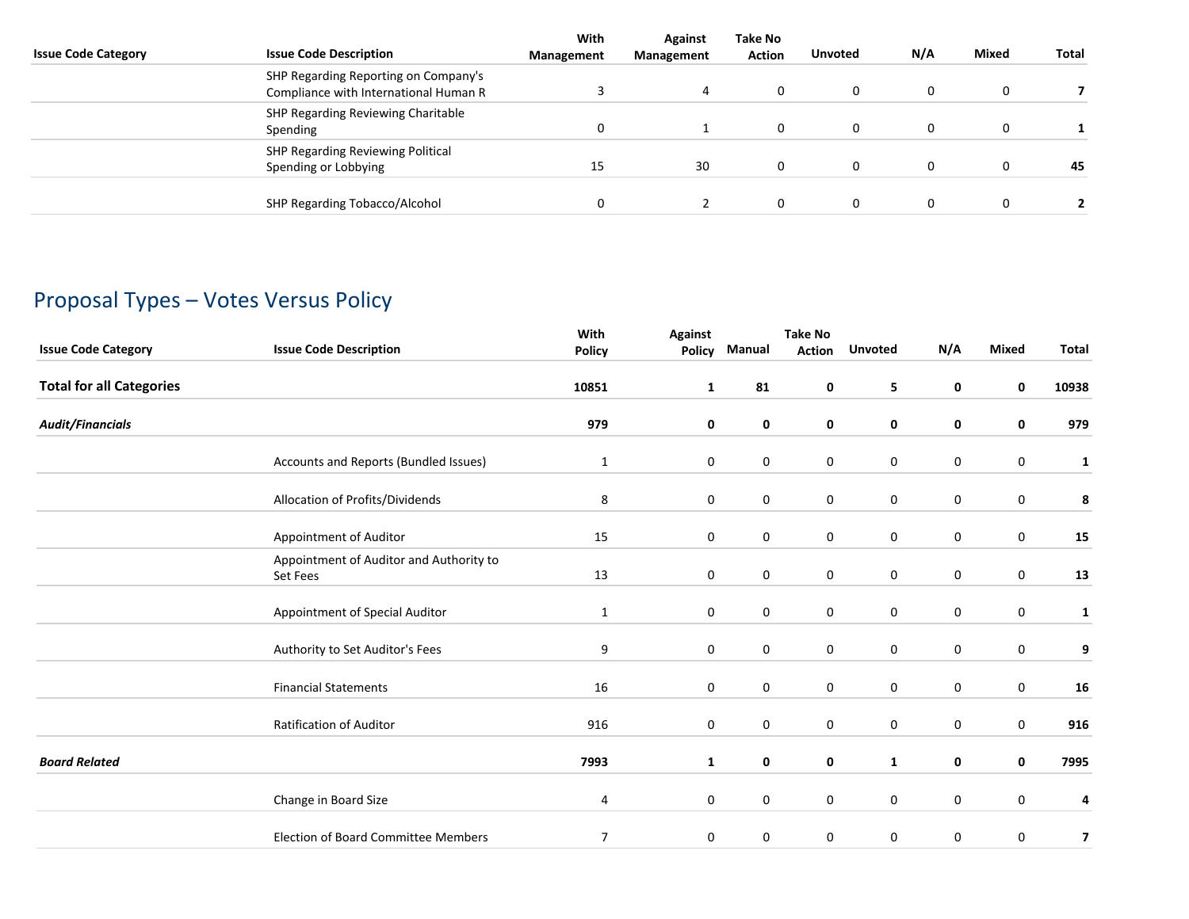| <b>Issue Code Category</b> | <b>Issue Code Description</b>                                                 | With<br>Management | Against<br>Management | Take No<br><b>Action</b> | <b>Unvoted</b> | N/A | Mixed | Total |
|----------------------------|-------------------------------------------------------------------------------|--------------------|-----------------------|--------------------------|----------------|-----|-------|-------|
|                            | SHP Regarding Reporting on Company's<br>Compliance with International Human R |                    | 4                     |                          | 0              | 0   | 0     |       |
|                            | SHP Regarding Reviewing Charitable<br>Spending                                | 0                  |                       |                          | 0              | 0   | 0     |       |
|                            | SHP Regarding Reviewing Political<br>Spending or Lobbying                     | 15                 | 30                    |                          | 0              | 0   | 0     | 45    |
|                            | SHP Regarding Tobacco/Alcohol                                                 | 0                  |                       |                          | 0              | 0   | 0     |       |

## Proposal Types – Votes Versus Policy

| <b>Issue Code Category</b>      | <b>Issue Code Description</b>                       | With<br><b>Policy</b> | <b>Against</b><br>Policy | Manual      | <b>Take No</b><br><b>Action</b> | <b>Unvoted</b>   | N/A         | <b>Mixed</b>     | <b>Total</b> |
|---------------------------------|-----------------------------------------------------|-----------------------|--------------------------|-------------|---------------------------------|------------------|-------------|------------------|--------------|
| <b>Total for all Categories</b> |                                                     | 10851                 | $\mathbf{1}$             | 81          | 0                               | 5                | $\mathbf 0$ | $\mathbf 0$      | 10938        |
| <b>Audit/Financials</b>         |                                                     | 979                   | 0                        | 0           | 0                               | 0                | 0           | $\mathbf 0$      | 979          |
|                                 | Accounts and Reports (Bundled Issues)               | $\mathbf{1}$          | 0                        | $\pmb{0}$   | 0                               | $\boldsymbol{0}$ | 0           | 0                | $\mathbf{1}$ |
|                                 | Allocation of Profits/Dividends                     | 8                     | 0                        | $\mathbf 0$ | $\mathbf 0$                     | $\mathbf 0$      | 0           | $\mathbf 0$      | 8            |
|                                 | Appointment of Auditor                              | 15                    | 0                        | 0           | 0                               | $\boldsymbol{0}$ | 0           | $\mathbf 0$      | 15           |
|                                 | Appointment of Auditor and Authority to<br>Set Fees | 13                    | $\mathbf 0$              | $\pmb{0}$   | 0                               | $\pmb{0}$        | 0           | $\pmb{0}$        | 13           |
|                                 | Appointment of Special Auditor                      | $\mathbf{1}$          | 0                        | $\pmb{0}$   | 0                               | $\boldsymbol{0}$ | 0           | $\pmb{0}$        | 1            |
|                                 | Authority to Set Auditor's Fees                     | 9                     | $\mathbf 0$              | $\pmb{0}$   | 0                               | $\pmb{0}$        | $\mathbf 0$ | $\pmb{0}$        | 9            |
|                                 | <b>Financial Statements</b>                         | 16                    | $\mathbf 0$              | $\pmb{0}$   | 0                               | $\boldsymbol{0}$ | 0           | $\boldsymbol{0}$ | 16           |
|                                 | <b>Ratification of Auditor</b>                      | 916                   | 0                        | 0           | 0                               | $\boldsymbol{0}$ | $\mathbf 0$ | $\mathbf 0$      | 916          |
| <b>Board Related</b>            |                                                     | 7993                  | $\mathbf{1}$             | 0           | 0                               | $\mathbf{1}$     | 0           | 0                | 7995         |
|                                 | Change in Board Size                                | 4                     | $\mathbf 0$              | 0           | $\mathbf 0$                     | $\boldsymbol{0}$ | 0           | $\pmb{0}$        | 4            |
|                                 | <b>Election of Board Committee Members</b>          | 7                     | 0                        | 0           | 0                               | $\pmb{0}$        | 0           | $\pmb{0}$        | 7            |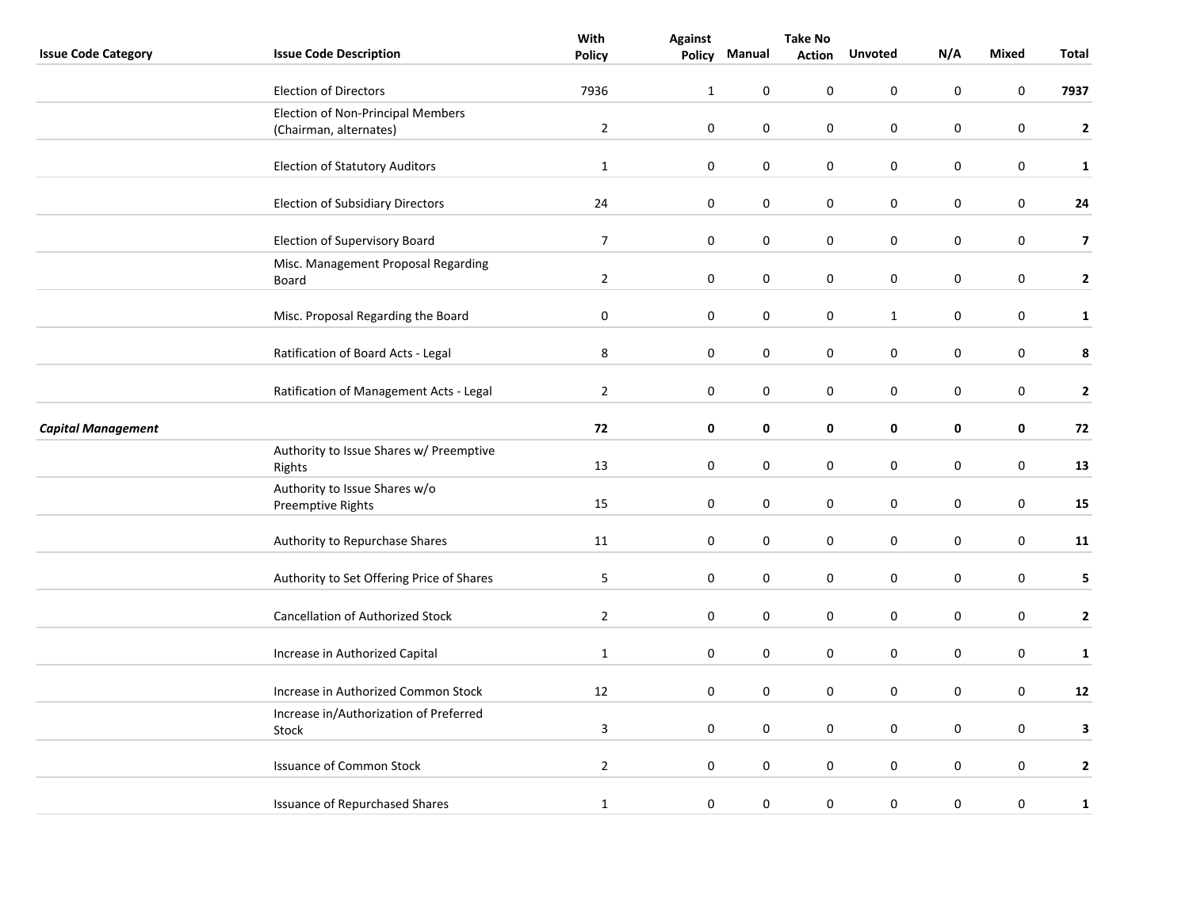|                            |                                                    | With           | <b>Take No</b> |             |               |                  |           |                  |                         |
|----------------------------|----------------------------------------------------|----------------|----------------|-------------|---------------|------------------|-----------|------------------|-------------------------|
| <b>Issue Code Category</b> | <b>Issue Code Description</b>                      | <b>Policy</b>  | <b>Policy</b>  | Manual      | <b>Action</b> | <b>Unvoted</b>   | N/A       | Mixed            | Total                   |
|                            | <b>Election of Directors</b>                       | 7936           | $\mathbf{1}$   | $\mathbf 0$ | 0             | $\mathbf 0$      | 0         | $\mathbf 0$      | 7937                    |
|                            | Election of Non-Principal Members                  |                |                |             |               |                  |           |                  |                         |
|                            | (Chairman, alternates)                             | $\overline{2}$ | $\pmb{0}$      | $\pmb{0}$   | 0             | $\boldsymbol{0}$ | $\pmb{0}$ | $\boldsymbol{0}$ | $\mathbf{2}$            |
|                            | <b>Election of Statutory Auditors</b>              | $\mathbf{1}$   | $\pmb{0}$      | $\pmb{0}$   | 0             | $\boldsymbol{0}$ | 0         | $\boldsymbol{0}$ | $\mathbf{1}$            |
|                            | <b>Election of Subsidiary Directors</b>            | 24             | $\mathbf 0$    | 0           | 0             | $\boldsymbol{0}$ | 0         | $\pmb{0}$        | 24                      |
|                            | Election of Supervisory Board                      | $\overline{7}$ | $\mathbf 0$    | 0           | 0             | $\mathbf 0$      | 0         | $\mathbf 0$      | $\overline{\mathbf{z}}$ |
|                            | Misc. Management Proposal Regarding<br>Board       | $\overline{2}$ | 0              | 0           | 0             | 0                | 0         | 0                | $\mathbf{2}$            |
|                            | Misc. Proposal Regarding the Board                 | $\pmb{0}$      | $\mathbf 0$    | $\pmb{0}$   | 0             | $\mathbf{1}$     | 0         | $\pmb{0}$        | $\mathbf{1}$            |
|                            | Ratification of Board Acts - Legal                 | $\bf 8$        | $\mathbf 0$    | $\pmb{0}$   | 0             | $\boldsymbol{0}$ | 0         | $\boldsymbol{0}$ | 8                       |
|                            | Ratification of Management Acts - Legal            | $\overline{2}$ | 0              | 0           | 0             | $\pmb{0}$        | 0         | $\pmb{0}$        | $\mathbf{2}$            |
| <b>Capital Management</b>  |                                                    | 72             | $\mathbf 0$    | 0           | 0             | 0                | 0         | 0                | 72                      |
|                            | Authority to Issue Shares w/ Preemptive<br>Rights  | 13             | $\mathbf 0$    | 0           | 0             | $\boldsymbol{0}$ | 0         | $\boldsymbol{0}$ | 13                      |
|                            | Authority to Issue Shares w/o<br>Preemptive Rights | 15             | $\mathbf 0$    | 0           | 0             | $\boldsymbol{0}$ | 0         | $\boldsymbol{0}$ | 15                      |
|                            | Authority to Repurchase Shares                     | 11             | $\mathbf 0$    | $\pmb{0}$   | 0             | 0                | 0         | $\pmb{0}$        | 11                      |
|                            | Authority to Set Offering Price of Shares          | $\sqrt{5}$     | $\pmb{0}$      | $\mathbf 0$ | 0             | $\mathbf 0$      | 0         | $\mathbf 0$      | 5                       |
|                            | Cancellation of Authorized Stock                   | $\overline{2}$ | $\mathbf 0$    | $\pmb{0}$   | 0             | $\pmb{0}$        | 0         | $\pmb{0}$        | $\mathbf{2}$            |
|                            | Increase in Authorized Capital                     | $\mathbf{1}$   | $\mathbf 0$    | 0           | 0             | $\boldsymbol{0}$ | 0         | $\pmb{0}$        | $\mathbf{1}$            |
|                            | Increase in Authorized Common Stock                | 12             | 0              | 0           | 0             | $\pmb{0}$        | 0         | $\pmb{0}$        | 12                      |
|                            | Increase in/Authorization of Preferred<br>Stock    | $\mathbf{3}$   | $\pmb{0}$      | $\mathbf 0$ | 0             | $\mathbf 0$      | 0         | $\mathbf 0$      | 3                       |
|                            | <b>Issuance of Common Stock</b>                    | $\overline{2}$ | $\mathbf 0$    | $\pmb{0}$   | 0             | $\boldsymbol{0}$ | 0         | $\boldsymbol{0}$ | $\mathbf{2}$            |
|                            | <b>Issuance of Repurchased Shares</b>              | $\mathbf{1}$   | $\pmb{0}$      | 0           | 0             | $\boldsymbol{0}$ | $\pmb{0}$ | $\boldsymbol{0}$ | $\mathbf{1}$            |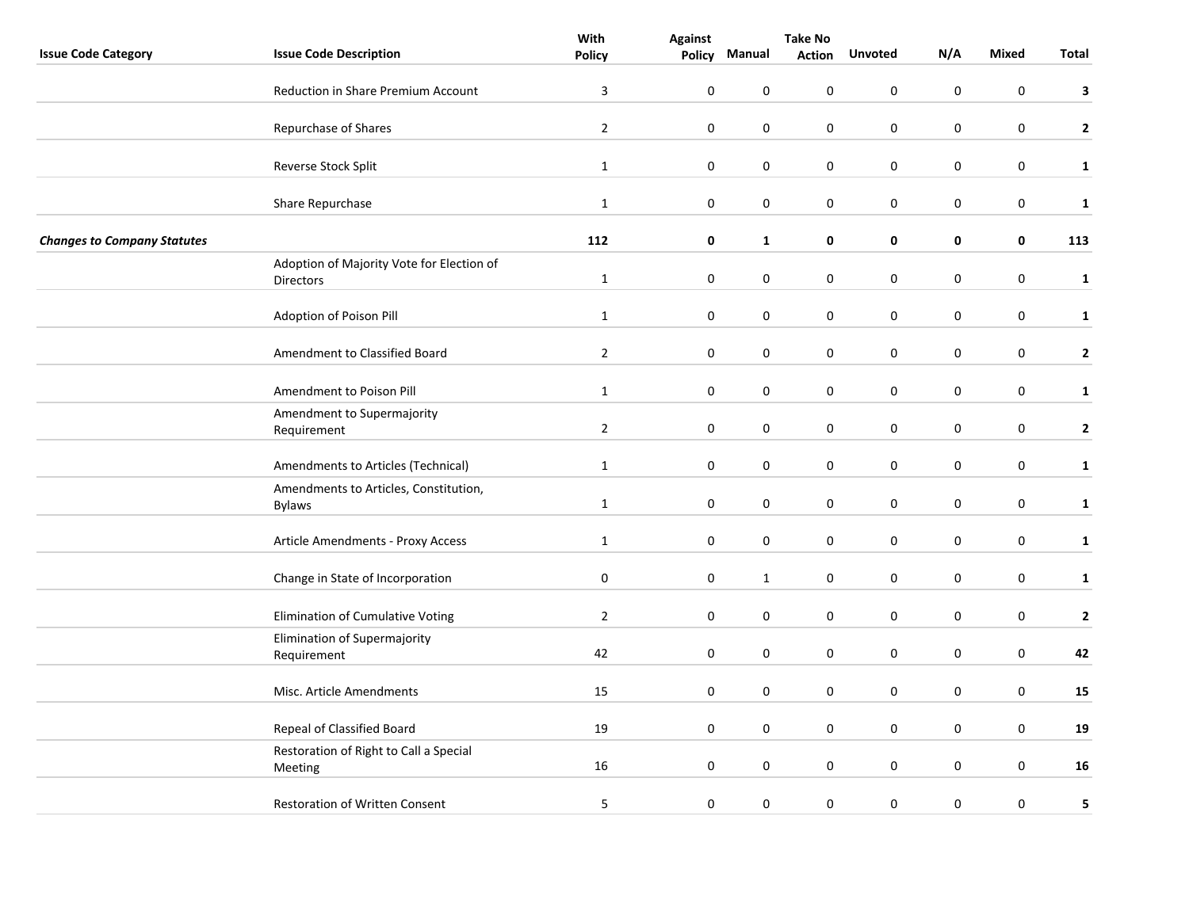|                                    |                                                               | With                    | <b>Against</b> | <b>Take No</b> |               |                  |     |                  |              |
|------------------------------------|---------------------------------------------------------------|-------------------------|----------------|----------------|---------------|------------------|-----|------------------|--------------|
| <b>Issue Code Category</b>         | <b>Issue Code Description</b>                                 | <b>Policy</b>           | Policy         | Manual         | <b>Action</b> | <b>Unvoted</b>   | N/A | <b>Mixed</b>     | <b>Total</b> |
|                                    | <b>Reduction in Share Premium Account</b>                     | $\overline{\mathbf{3}}$ | $\mathbf 0$    | 0              | 0             | 0                | 0   | $\pmb{0}$        | 3            |
|                                    | Repurchase of Shares                                          | $\overline{2}$          | $\mathbf 0$    | $\pmb{0}$      | 0             | $\pmb{0}$        | 0   | $\pmb{0}$        | $\mathbf{2}$ |
|                                    | Reverse Stock Split                                           | $\mathbf{1}$            | $\pmb{0}$      | $\mathbf 0$    | 0             | $\pmb{0}$        | 0   | $\pmb{0}$        | $\mathbf{1}$ |
|                                    | Share Repurchase                                              | $\mathbf{1}$            | $\pmb{0}$      | $\pmb{0}$      | 0             | $\pmb{0}$        | 0   | $\pmb{0}$        | $\mathbf{1}$ |
| <b>Changes to Company Statutes</b> |                                                               | 112                     | $\mathbf 0$    | $\mathbf{1}$   | 0             | 0                | 0   | $\pmb{0}$        | 113          |
|                                    | Adoption of Majority Vote for Election of<br><b>Directors</b> | $\mathbf{1}$            | $\mathbf 0$    | 0              | 0             | $\pmb{0}$        | 0   | $\pmb{0}$        | $\mathbf{1}$ |
|                                    | Adoption of Poison Pill                                       | $\mathbf{1}$            | $\mathbf 0$    | $\pmb{0}$      | 0             | $\boldsymbol{0}$ | 0   | $\boldsymbol{0}$ | $\mathbf{1}$ |
|                                    | Amendment to Classified Board                                 | $\overline{2}$          | $\mathbf 0$    | $\pmb{0}$      | 0             | $\boldsymbol{0}$ | 0   | $\pmb{0}$        | $\mathbf{2}$ |
|                                    | Amendment to Poison Pill                                      | $\mathbf{1}$            | $\mathbf 0$    | $\mathbf 0$    | 0             | $\mathbf 0$      | 0   | $\mathbf 0$      | $\mathbf{1}$ |
|                                    | Amendment to Supermajority<br>Requirement                     | $\overline{2}$          | $\mathbf 0$    | 0              | 0             | $\pmb{0}$        | 0   | $\boldsymbol{0}$ | $\mathbf{2}$ |
|                                    | Amendments to Articles (Technical)                            | $\mathbf{1}$            | $\mathbf 0$    | 0              | 0             | $\boldsymbol{0}$ | 0   | $\pmb{0}$        | $\mathbf{1}$ |
|                                    | Amendments to Articles, Constitution,<br><b>Bylaws</b>        | $\mathbf{1}$            | $\mathbf 0$    | 0              | 0             | $\boldsymbol{0}$ | 0   | $\boldsymbol{0}$ | $\mathbf{1}$ |
|                                    | Article Amendments - Proxy Access                             | $\mathbf{1}$            | $\mathbf 0$    | $\pmb{0}$      | 0             | $\boldsymbol{0}$ | 0   | $\boldsymbol{0}$ | $\mathbf{1}$ |
|                                    | Change in State of Incorporation                              | $\mathbf 0$             | $\mathbf 0$    | $\mathbf 1$    | 0             | $\boldsymbol{0}$ | 0   | $\boldsymbol{0}$ | $\mathbf{1}$ |
|                                    | Elimination of Cumulative Voting                              | $\overline{2}$          | $\mathbf 0$    | $\pmb{0}$      | 0             | $\mathbf 0$      | 0   | $\mathbf 0$      | $\mathbf{2}$ |
|                                    | Elimination of Supermajority<br>Requirement                   | 42                      | $\mathbf 0$    | 0              | 0             | $\boldsymbol{0}$ | 0   | 0                | 42           |
|                                    | Misc. Article Amendments                                      | 15                      | $\mathbf 0$    | 0              | 0             | $\boldsymbol{0}$ | 0   | 0                | 15           |
|                                    | Repeal of Classified Board                                    | 19                      | $\mathbf 0$    | $\pmb{0}$      | 0             | $\pmb{0}$        | 0   | $\pmb{0}$        | 19           |
|                                    | Restoration of Right to Call a Special<br>Meeting             | 16                      | $\mathbf 0$    | $\pmb{0}$      | 0             | $\boldsymbol{0}$ | 0   | $\boldsymbol{0}$ | 16           |
|                                    | <b>Restoration of Written Consent</b>                         | 5                       | $\pmb{0}$      | 0              | 0             | $\boldsymbol{0}$ | 0   | $\boldsymbol{0}$ | 5            |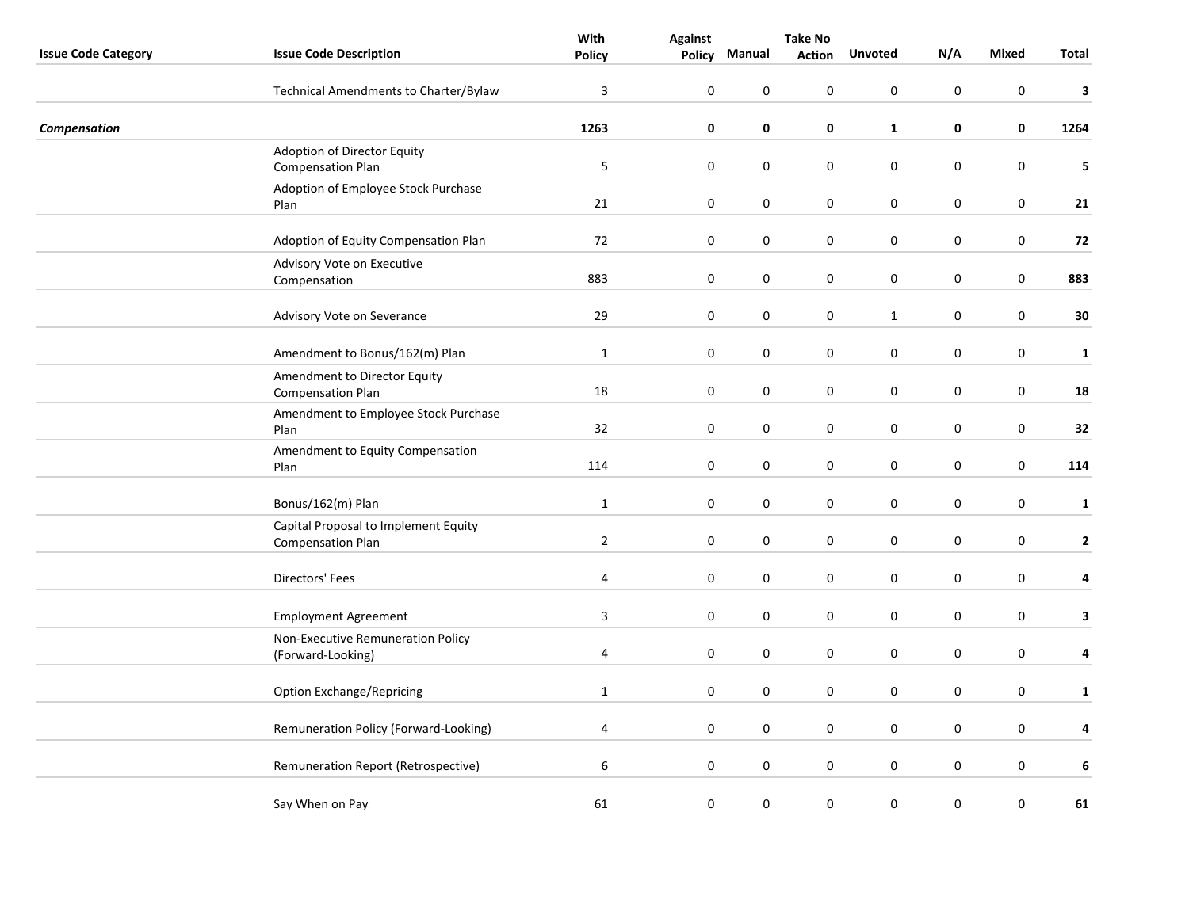|                            |                                                           | With           | <b>Against</b>   | <b>Take No</b> |               |                  |           |           |              |
|----------------------------|-----------------------------------------------------------|----------------|------------------|----------------|---------------|------------------|-----------|-----------|--------------|
| <b>Issue Code Category</b> | <b>Issue Code Description</b>                             | <b>Policy</b>  |                  | Policy Manual  | <b>Action</b> | <b>Unvoted</b>   | N/A       | Mixed     | Total        |
|                            | Technical Amendments to Charter/Bylaw                     | 3              | 0                | $\mathbf 0$    | 0             | 0                | 0         | 0         | 3            |
| Compensation               |                                                           | 1263           | 0                | $\mathbf 0$    | 0             | $\mathbf{1}$     | 0         | 0         | 1264         |
|                            | Adoption of Director Equity<br><b>Compensation Plan</b>   | 5              | 0                | $\pmb{0}$      | $\pmb{0}$     | $\pmb{0}$        | 0         | $\pmb{0}$ | 5            |
|                            | Adoption of Employee Stock Purchase<br>Plan               | 21             | $\boldsymbol{0}$ | $\pmb{0}$      | $\pmb{0}$     | $\boldsymbol{0}$ | $\pmb{0}$ | $\pmb{0}$ | 21           |
|                            | Adoption of Equity Compensation Plan                      | 72             | $\boldsymbol{0}$ | $\pmb{0}$      | 0             | $\boldsymbol{0}$ | $\pmb{0}$ | $\pmb{0}$ | 72           |
|                            | Advisory Vote on Executive<br>Compensation                | 883            | 0                | 0              | 0             | 0                | 0         | 0         | 883          |
|                            | Advisory Vote on Severance                                | 29             | $\mathbf 0$      | 0              | 0             | $\mathbf{1}$     | $\pmb{0}$ | $\pmb{0}$ | $\bf{30}$    |
|                            | Amendment to Bonus/162(m) Plan                            | $\mathbf{1}$   | $\pmb{0}$        | $\pmb{0}$      | 0             | $\boldsymbol{0}$ | $\pmb{0}$ | $\pmb{0}$ | $\mathbf{1}$ |
|                            | Amendment to Director Equity<br><b>Compensation Plan</b>  | 18             | 0                | $\pmb{0}$      | 0             | $\pmb{0}$        | 0         | 0         | 18           |
|                            | Amendment to Employee Stock Purchase<br>Plan              | 32             | $\boldsymbol{0}$ | 0              | 0             | $\boldsymbol{0}$ | $\pmb{0}$ | $\pmb{0}$ | 32           |
|                            | Amendment to Equity Compensation<br>Plan                  | 114            | $\pmb{0}$        | 0              | $\pmb{0}$     | 0                | $\pmb{0}$ | $\pmb{0}$ | 114          |
|                            | Bonus/162(m) Plan                                         | $\mathbf{1}$   | $\mathbf 0$      | 0              | 0             | 0                | 0         | 0         | $\mathbf 1$  |
|                            | Capital Proposal to Implement Equity<br>Compensation Plan | $\overline{2}$ | $\boldsymbol{0}$ | $\pmb{0}$      | 0             | $\pmb{0}$        | $\pmb{0}$ | $\pmb{0}$ | $\mathbf{2}$ |
|                            | Directors' Fees                                           | $\overline{4}$ | $\boldsymbol{0}$ | $\pmb{0}$      | $\pmb{0}$     | $\boldsymbol{0}$ | 0         | $\pmb{0}$ | 4            |
|                            | <b>Employment Agreement</b>                               | $\overline{3}$ | $\boldsymbol{0}$ | $\pmb{0}$      | 0             | $\pmb{0}$        | $\pmb{0}$ | $\pmb{0}$ | $\mathbf{3}$ |
|                            | Non-Executive Remuneration Policy<br>(Forward-Looking)    | 4              | $\pmb{0}$        | 0              | $\pmb{0}$     | $\boldsymbol{0}$ | $\pmb{0}$ | $\pmb{0}$ | 4            |
|                            | <b>Option Exchange/Repricing</b>                          | $\mathbf{1}$   | $\mathbf 0$      | 0              | 0             | 0                | 0         | 0         | $\mathbf{1}$ |
|                            | Remuneration Policy (Forward-Looking)                     | $\overline{4}$ | 0                | $\pmb{0}$      | 0             | $\pmb{0}$        | 0         | $\pmb{0}$ | $\pmb{4}$    |
|                            | Remuneration Report (Retrospective)                       | 6              | 0                | $\pmb{0}$      | $\pmb{0}$     | $\boldsymbol{0}$ | 0         | $\pmb{0}$ | 6            |
|                            | Say When on Pay                                           | 61             | 0                | 0              | $\pmb{0}$     | $\boldsymbol{0}$ | $\pmb{0}$ | $\pmb{0}$ | 61           |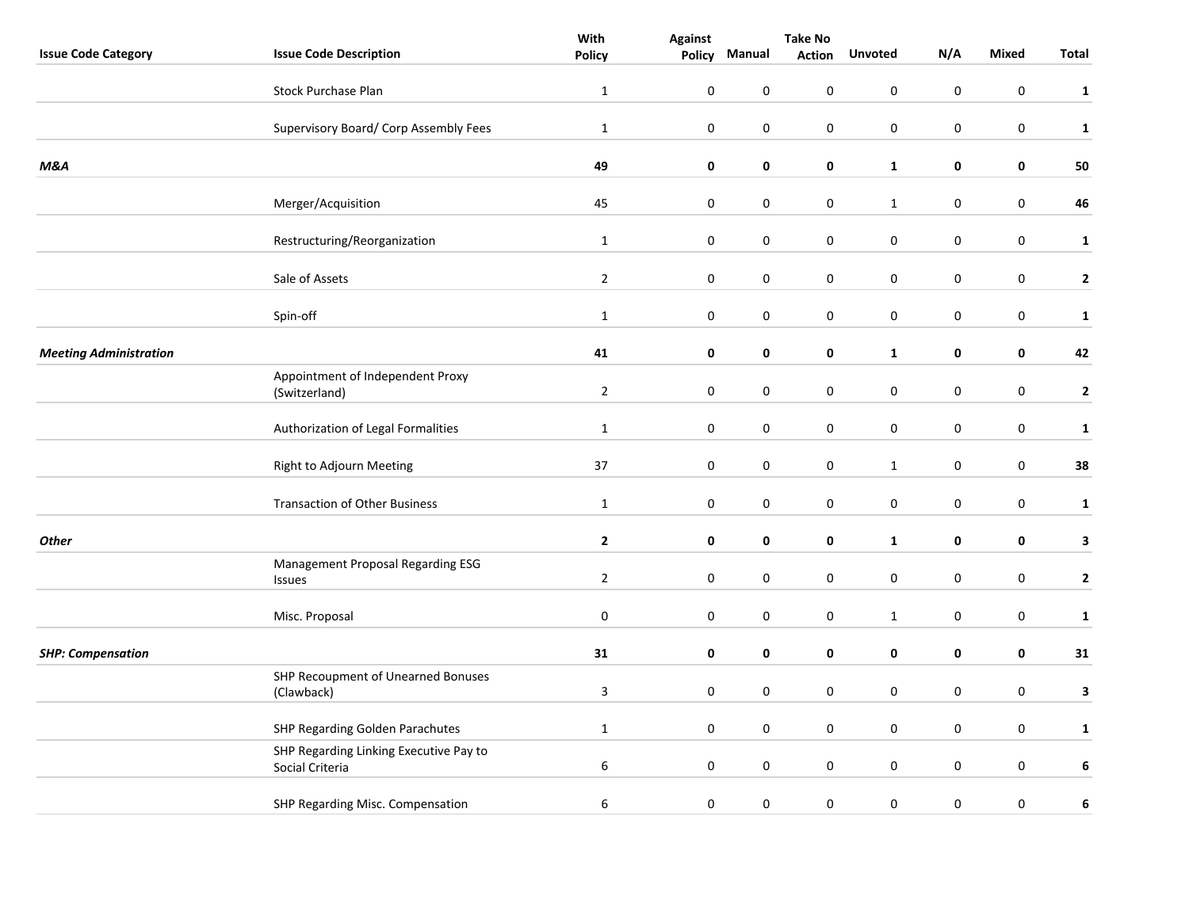|                               |                                                           | With             | <b>Against</b>   | <b>Take No</b>   |               |                  |                  |              |                |
|-------------------------------|-----------------------------------------------------------|------------------|------------------|------------------|---------------|------------------|------------------|--------------|----------------|
| <b>Issue Code Category</b>    | <b>Issue Code Description</b>                             | <b>Policy</b>    | <b>Policy</b>    | Manual           | <b>Action</b> | <b>Unvoted</b>   | N/A              | <b>Mixed</b> | Total          |
|                               | <b>Stock Purchase Plan</b>                                | $\mathbf{1}$     | $\pmb{0}$        | $\boldsymbol{0}$ | $\pmb{0}$     | $\mathbf 0$      | $\pmb{0}$        | $\pmb{0}$    | $\mathbf{1}$   |
|                               | Supervisory Board/ Corp Assembly Fees                     | $\mathbf 1$      | $\pmb{0}$        | $\pmb{0}$        | $\pmb{0}$     | $\pmb{0}$        | $\pmb{0}$        | $\pmb{0}$    | $\mathbf{1}$   |
| M&A                           |                                                           | 49               | $\mathbf 0$      | $\pmb{0}$        | $\pmb{0}$     | $\mathbf{1}$     | $\mathbf 0$      | $\pmb{0}$    | 50             |
|                               | Merger/Acquisition                                        | 45               | $\mathbf 0$      | $\pmb{0}$        | $\pmb{0}$     | $\mathbf 1$      | $\pmb{0}$        | $\mathbf 0$  | 46             |
|                               | Restructuring/Reorganization                              | $\mathbf{1}$     | $\pmb{0}$        | 0                | $\pmb{0}$     | $\boldsymbol{0}$ | $\pmb{0}$        | $\pmb{0}$    | $\mathbf{1}$   |
|                               | Sale of Assets                                            | $\mathbf 2$      | $\mathbf 0$      | $\boldsymbol{0}$ | $\pmb{0}$     | 0                | $\pmb{0}$        | $\pmb{0}$    | $\mathbf{2}$   |
|                               | Spin-off                                                  | $\mathbf{1}$     | $\mathbf 0$      | $\pmb{0}$        | $\pmb{0}$     | $\pmb{0}$        | $\pmb{0}$        | $\pmb{0}$    | $\mathbf{1}$   |
| <b>Meeting Administration</b> |                                                           | 41               | $\pmb{0}$        | $\pmb{0}$        | $\pmb{0}$     | $\mathbf{1}$     | $\mathbf 0$      | $\pmb{0}$    | 42             |
|                               | Appointment of Independent Proxy<br>(Switzerland)         | $\overline{2}$   | 0                | 0                | 0             | 0                | $\boldsymbol{0}$ | $\mathbf 0$  | $\overline{2}$ |
|                               | Authorization of Legal Formalities                        | $\mathbf{1}$     | $\pmb{0}$        | $\pmb{0}$        | $\pmb{0}$     | $\pmb{0}$        | $\mathbf 0$      | $\pmb{0}$    | $\mathbf{1}$   |
|                               | Right to Adjourn Meeting                                  | 37               | $\pmb{0}$        | $\pmb{0}$        | $\pmb{0}$     | $\mathbf 1$      | $\pmb{0}$        | $\pmb{0}$    | 38             |
|                               | <b>Transaction of Other Business</b>                      | $\mathbf{1}$     | $\mathbf 0$      | 0                | $\pmb{0}$     | $\boldsymbol{0}$ | $\pmb{0}$        | $\mathbf 0$  | $\mathbf{1}$   |
| <b>Other</b>                  |                                                           | $\mathbf 2$      | $\mathbf 0$      | $\pmb{0}$        | 0             | $\mathbf{1}$     | 0                | 0            | $\mathbf{3}$   |
|                               | Management Proposal Regarding ESG<br>Issues               | $\mathbf 2$      | $\pmb{0}$        | $\pmb{0}$        | $\pmb{0}$     | $\pmb{0}$        | $\pmb{0}$        | $\pmb{0}$    | $\mathbf{2}$   |
|                               | Misc. Proposal                                            | $\pmb{0}$        | $\pmb{0}$        | $\pmb{0}$        | $\pmb{0}$     | $\mathbf 1$      | $\pmb{0}$        | $\pmb{0}$    | $\mathbf{1}$   |
| <b>SHP: Compensation</b>      |                                                           | 31               | $\mathbf 0$      | $\pmb{0}$        | $\pmb{0}$     | $\pmb{0}$        | $\mathbf 0$      | $\pmb{0}$    | 31             |
|                               | SHP Recoupment of Unearned Bonuses<br>(Clawback)          | $\overline{3}$   | $\boldsymbol{0}$ | $\pmb{0}$        | $\pmb{0}$     | $\pmb{0}$        | $\pmb{0}$        | $\pmb{0}$    | $\mathbf{3}$   |
|                               | SHP Regarding Golden Parachutes                           | $\mathbf{1}$     | $\pmb{0}$        | $\pmb{0}$        | $\pmb{0}$     | $\pmb{0}$        | $\mathbf 0$      | $\pmb{0}$    | $\mathbf{1}$   |
|                               | SHP Regarding Linking Executive Pay to<br>Social Criteria | $\boldsymbol{6}$ | $\pmb{0}$        | $\pmb{0}$        | $\pmb{0}$     | $\pmb{0}$        | $\pmb{0}$        | $\pmb{0}$    | 6              |
|                               | SHP Regarding Misc. Compensation                          | $\boldsymbol{6}$ | $\pmb{0}$        | $\pmb{0}$        | $\pmb{0}$     | $\pmb{0}$        | $\pmb{0}$        | $\pmb{0}$    | 6              |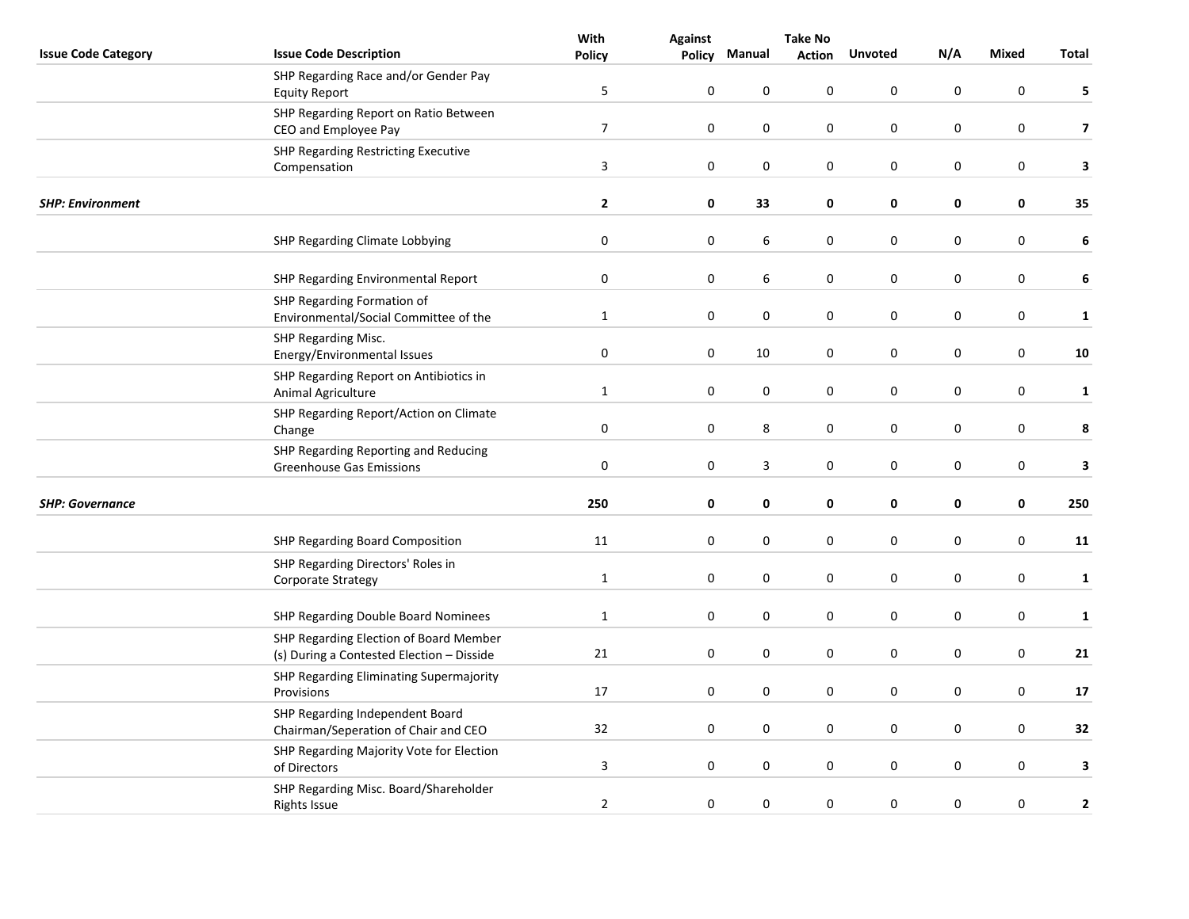|                            |                                                                                     | With             | <b>Against</b>   | <b>Take No</b> |               |                  |           |                  |                         |
|----------------------------|-------------------------------------------------------------------------------------|------------------|------------------|----------------|---------------|------------------|-----------|------------------|-------------------------|
| <b>Issue Code Category</b> | <b>Issue Code Description</b>                                                       | <b>Policy</b>    | <b>Policy</b>    | Manual         | <b>Action</b> | <b>Unvoted</b>   | N/A       | Mixed            | Total                   |
|                            | SHP Regarding Race and/or Gender Pay<br><b>Equity Report</b>                        | 5                | 0                | $\mathbf 0$    | 0             | $\mathbf 0$      | 0         | $\mathbf 0$      | 5                       |
|                            | SHP Regarding Report on Ratio Between<br>CEO and Employee Pay                       | $\overline{7}$   | $\pmb{0}$        | 0              | 0             | $\pmb{0}$        | 0         | $\pmb{0}$        | $\overline{\mathbf{z}}$ |
|                            | <b>SHP Regarding Restricting Executive</b><br>Compensation                          | $\mathbf{3}$     | $\boldsymbol{0}$ | $\pmb{0}$      | 0             | $\boldsymbol{0}$ | $\pmb{0}$ | $\boldsymbol{0}$ | 3                       |
| <b>SHP: Environment</b>    |                                                                                     | $\mathbf{2}$     | $\mathbf 0$      | 33             | 0             | 0                | 0         | 0                | 35                      |
|                            | SHP Regarding Climate Lobbying                                                      | $\boldsymbol{0}$ | $\boldsymbol{0}$ | 6              | 0             | $\boldsymbol{0}$ | $\pmb{0}$ | $\pmb{0}$        | 6                       |
|                            | SHP Regarding Environmental Report                                                  | 0                | 0                | 6              | 0             | $\mathbf 0$      | 0         | 0                | 6                       |
|                            | SHP Regarding Formation of<br>Environmental/Social Committee of the                 | $\mathbf{1}$     | $\pmb{0}$        | 0              | 0             | $\mathbf 0$      | 0         | $\mathbf 0$      | $\mathbf 1$             |
|                            | SHP Regarding Misc.<br>Energy/Environmental Issues                                  | $\pmb{0}$        | $\mathbf 0$      | 10             | 0             | $\boldsymbol{0}$ | 0         | $\boldsymbol{0}$ | 10                      |
|                            | SHP Regarding Report on Antibiotics in<br>Animal Agriculture                        | $\mathbf{1}$     | $\mathbf 0$      | $\pmb{0}$      | 0             | $\pmb{0}$        | 0         | $\pmb{0}$        | $\mathbf{1}$            |
|                            | SHP Regarding Report/Action on Climate<br>Change                                    | $\pmb{0}$        | $\boldsymbol{0}$ | 8              | 0             | $\boldsymbol{0}$ | $\pmb{0}$ | $\boldsymbol{0}$ | 8                       |
|                            | SHP Regarding Reporting and Reducing<br><b>Greenhouse Gas Emissions</b>             | $\pmb{0}$        | $\boldsymbol{0}$ | 3              | 0             | $\pmb{0}$        | 0         | $\boldsymbol{0}$ | 3                       |
| <b>SHP: Governance</b>     |                                                                                     | 250              | 0                | 0              | 0             | 0                | 0         | 0                | 250                     |
|                            | <b>SHP Regarding Board Composition</b>                                              | 11               | $\mathbf 0$      | $\pmb{0}$      | 0             | $\boldsymbol{0}$ | 0         | $\boldsymbol{0}$ | 11                      |
|                            | SHP Regarding Directors' Roles in<br>Corporate Strategy                             | $\mathbf{1}$     | $\mathbf 0$      | $\pmb{0}$      | 0             | $\boldsymbol{0}$ | 0         | $\boldsymbol{0}$ | $\mathbf{1}$            |
|                            | SHP Regarding Double Board Nominees                                                 | $\mathbf{1}$     | $\boldsymbol{0}$ | 0              | 0             | $\boldsymbol{0}$ | $\pmb{0}$ | $\boldsymbol{0}$ | $\mathbf 1$             |
|                            | SHP Regarding Election of Board Member<br>(s) During a Contested Election - Disside | 21               | $\pmb{0}$        | 0              | 0             | $\boldsymbol{0}$ | $\pmb{0}$ | $\boldsymbol{0}$ | 21                      |
|                            | SHP Regarding Eliminating Supermajority<br>Provisions                               | 17               | 0                | 0              | 0             | $\mathbf 0$      | 0         | 0                | 17                      |
|                            | SHP Regarding Independent Board<br>Chairman/Seperation of Chair and CEO             | 32               | 0                | 0              | 0             | $\pmb{0}$        | 0         | $\pmb{0}$        | 32                      |
|                            | SHP Regarding Majority Vote for Election<br>of Directors                            | 3                | 0                | $\pmb{0}$      | 0             | $\boldsymbol{0}$ | 0         | $\boldsymbol{0}$ | 3                       |
|                            | SHP Regarding Misc. Board/Shareholder<br><b>Rights Issue</b>                        | $\overline{2}$   | $\pmb{0}$        | 0              | $\pmb{0}$     | $\boldsymbol{0}$ | $\pmb{0}$ | $\pmb{0}$        | $\mathbf{2}$            |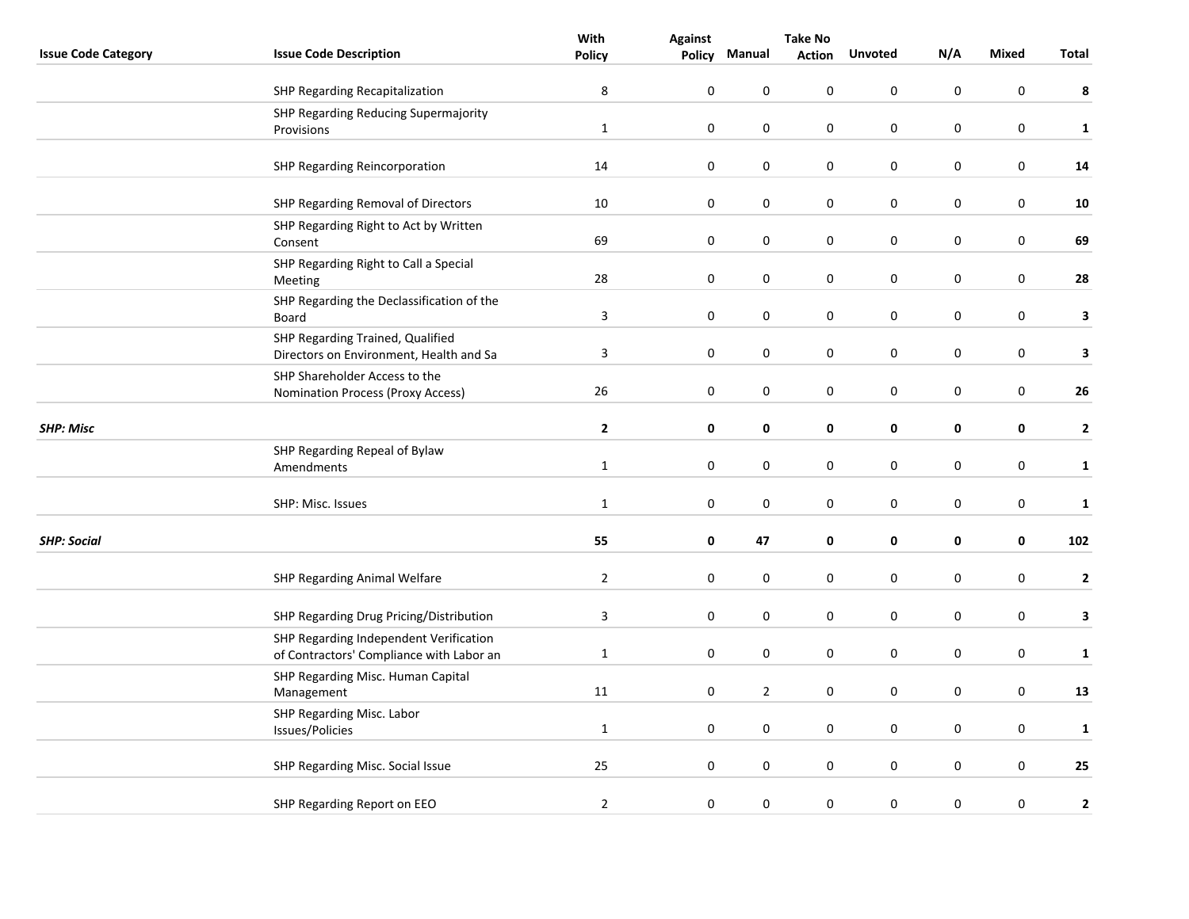|                            |                                                                                    | With           | <b>Against</b> | <b>Take No</b> |               |                  |           |                  |              |
|----------------------------|------------------------------------------------------------------------------------|----------------|----------------|----------------|---------------|------------------|-----------|------------------|--------------|
| <b>Issue Code Category</b> | <b>Issue Code Description</b>                                                      | <b>Policy</b>  | Policy         | Manual         | <b>Action</b> | <b>Unvoted</b>   | N/A       | Mixed            | <b>Total</b> |
|                            | SHP Regarding Recapitalization                                                     | $\bf 8$        | $\mathbf 0$    | 0              | 0             | $\mathbf 0$      | $\pmb{0}$ | $\pmb{0}$        | 8            |
|                            | SHP Regarding Reducing Supermajority<br>Provisions                                 | $\mathbf{1}$   | $\pmb{0}$      | 0              | 0             | $\boldsymbol{0}$ | $\pmb{0}$ | $\boldsymbol{0}$ | $\mathbf{1}$ |
|                            | SHP Regarding Reincorporation                                                      | 14             | $\pmb{0}$      | 0              | 0             | $\pmb{0}$        | 0         | $\pmb{0}$        | 14           |
|                            | SHP Regarding Removal of Directors                                                 | 10             | $\pmb{0}$      | $\pmb{0}$      | 0             | $\pmb{0}$        | 0         | $\pmb{0}$        | 10           |
|                            | SHP Regarding Right to Act by Written<br>Consent                                   | 69             | $\mathbf 0$    | 0              | 0             | $\boldsymbol{0}$ | $\pmb{0}$ | $\boldsymbol{0}$ | 69           |
|                            | SHP Regarding Right to Call a Special<br>Meeting                                   | 28             | $\pmb{0}$      | 0              | 0             | $\mathbf 0$      | 0         | $\pmb{0}$        | 28           |
|                            | SHP Regarding the Declassification of the<br>Board                                 | $\mathbf{3}$   | $\pmb{0}$      | 0              | 0             | $\boldsymbol{0}$ | 0         | $\boldsymbol{0}$ | 3            |
|                            | SHP Regarding Trained, Qualified<br>Directors on Environment, Health and Sa        | $\overline{3}$ | $\mathbf 0$    | $\pmb{0}$      | 0             | $\boldsymbol{0}$ | 0         | $\boldsymbol{0}$ | 3            |
|                            | SHP Shareholder Access to the<br><b>Nomination Process (Proxy Access)</b>          | 26             | $\pmb{0}$      | 0              | 0             | $\pmb{0}$        | 0         | $\pmb{0}$        | ${\bf 26}$   |
| <b>SHP: Misc</b>           |                                                                                    | $\mathbf{2}$   | $\pmb{0}$      | 0              | 0             | 0                | 0         | 0                | $\mathbf{2}$ |
|                            | SHP Regarding Repeal of Bylaw<br>Amendments                                        | $\mathbf{1}$   | $\pmb{0}$      | 0              | 0             | $\mathbf 0$      | 0         | $\boldsymbol{0}$ | $\mathbf{1}$ |
|                            | SHP: Misc. Issues                                                                  | $\mathbf{1}$   | $\mathbf 0$    | 0              | 0             | $\boldsymbol{0}$ | 0         | $\boldsymbol{0}$ | $\mathbf 1$  |
| <b>SHP: Social</b>         |                                                                                    | 55             | $\pmb{0}$      | 47             | 0             | $\pmb{0}$        | 0         | $\pmb{0}$        | 102          |
|                            | SHP Regarding Animal Welfare                                                       | $\overline{2}$ | $\mathbf 0$    | $\pmb{0}$      | 0             | $\boldsymbol{0}$ | $\pmb{0}$ | $\boldsymbol{0}$ | $\mathbf{2}$ |
|                            | SHP Regarding Drug Pricing/Distribution                                            | $\mathbf{3}$   | $\mathbf 0$    | 0              | 0             | $\pmb{0}$        | 0         | $\mathbf 0$      | 3            |
|                            | SHP Regarding Independent Verification<br>of Contractors' Compliance with Labor an | $\mathbf{1}$   | $\pmb{0}$      | 0              | 0             | 0                | 0         | 0                | $\mathbf{1}$ |
|                            | SHP Regarding Misc. Human Capital<br>Management                                    | 11             | $\pmb{0}$      | $\mathbf{2}$   | 0             | $\mathbf 0$      | 0         | $\boldsymbol{0}$ | 13           |
|                            | SHP Regarding Misc. Labor<br>Issues/Policies                                       | $\mathbf{1}$   | $\mathbf 0$    | $\pmb{0}$      | 0             | $\pmb{0}$        | 0         | $\boldsymbol{0}$ | $\mathbf{1}$ |
|                            | SHP Regarding Misc. Social Issue                                                   | 25             | $\pmb{0}$      | $\pmb{0}$      | 0             | $\boldsymbol{0}$ | 0         | $\boldsymbol{0}$ | 25           |
|                            | SHP Regarding Report on EEO                                                        | $\overline{2}$ | $\pmb{0}$      | 0              | $\pmb{0}$     | $\mathbf 0$      | $\pmb{0}$ | $\boldsymbol{0}$ | $\mathbf 2$  |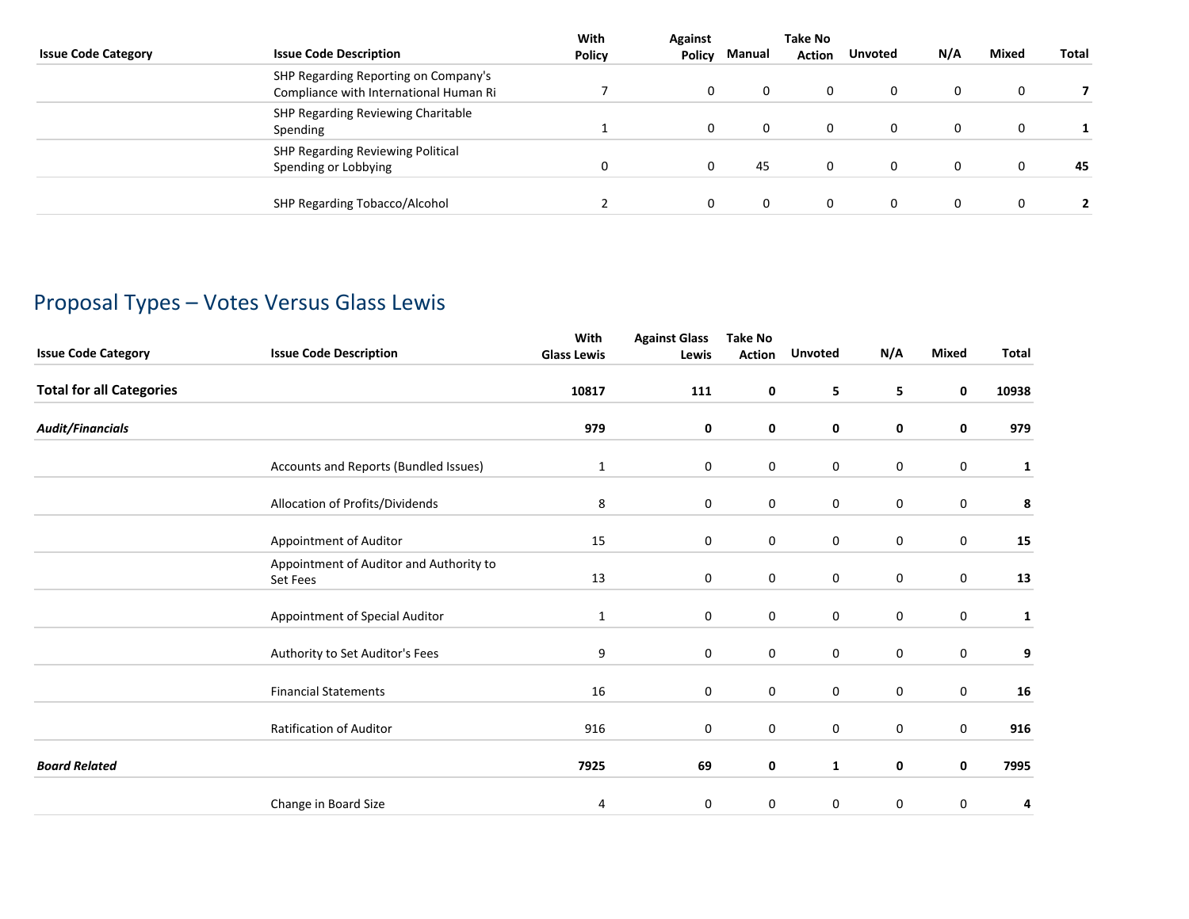| <b>Issue Code Category</b> | <b>Issue Code Description</b>                                                  | With<br>Policy | <b>Against</b><br>Policy | Manual | Take No<br><b>Action</b> | <b>Unvoted</b> | N/A | <b>Mixed</b> | Total |
|----------------------------|--------------------------------------------------------------------------------|----------------|--------------------------|--------|--------------------------|----------------|-----|--------------|-------|
|                            | SHP Regarding Reporting on Company's<br>Compliance with International Human Ri |                | $\Omega$                 |        | $\Omega$                 |                |     |              |       |
|                            | SHP Regarding Reviewing Charitable<br>Spending                                 |                | $\Omega$                 |        |                          |                |     | $\Omega$     |       |
|                            | SHP Regarding Reviewing Political<br>Spending or Lobbying                      | 0              | 0                        | 45     |                          |                |     |              | 45    |
|                            | SHP Regarding Tobacco/Alcohol                                                  |                | 0                        |        |                          |                |     |              |       |

## Proposal Types – Votes Versus Glass Lewis

| <b>Issue Code Category</b>      | <b>Issue Code Description</b>                       | With<br><b>Glass Lewis</b> | <b>Against Glass</b><br>Lewis | <b>Take No</b><br><b>Action</b> | <b>Unvoted</b> | N/A              | <b>Mixed</b>     | Total        |
|---------------------------------|-----------------------------------------------------|----------------------------|-------------------------------|---------------------------------|----------------|------------------|------------------|--------------|
| <b>Total for all Categories</b> |                                                     | 10817                      | 111                           | 0                               | 5              | 5                | 0                | 10938        |
| <b>Audit/Financials</b>         |                                                     | 979                        | 0                             | 0                               | 0              | 0                | 0                | 979          |
|                                 | Accounts and Reports (Bundled Issues)               | $\mathbf{1}$               | 0                             | 0                               | $\mathbf 0$    | 0                | $\mathbf 0$      | 1            |
|                                 | Allocation of Profits/Dividends                     | 8                          | 0                             | $\mathbf 0$                     | $\mathbf 0$    | 0                | $\pmb{0}$        | 8            |
|                                 | Appointment of Auditor                              | 15                         | $\pmb{0}$                     | 0                               | 0              | 0                | $\mathbf 0$      | 15           |
|                                 | Appointment of Auditor and Authority to<br>Set Fees | 13                         | 0                             | 0                               | $\mathbf 0$    | 0                | $\mathbf 0$      | 13           |
|                                 | Appointment of Special Auditor                      | $\mathbf{1}$               | $\mathbf 0$                   | 0                               | $\mathbf 0$    | 0                | $\mathbf 0$      | $\mathbf{1}$ |
|                                 | Authority to Set Auditor's Fees                     | 9                          | $\mathbf 0$                   | $\mathbf 0$                     | $\mathbf 0$    | 0                | $\mathbf 0$      | 9            |
|                                 | <b>Financial Statements</b>                         | 16                         | 0                             | $\mathbf 0$                     | $\mathbf 0$    | $\boldsymbol{0}$ | $\pmb{0}$        | 16           |
|                                 | Ratification of Auditor                             | 916                        | 0                             | $\mathbf 0$                     | $\mathbf 0$    | 0                | $\boldsymbol{0}$ | 916          |
| <b>Board Related</b>            |                                                     | 7925                       | 69                            | 0                               | $\mathbf{1}$   | 0                | 0                | 7995         |
|                                 | Change in Board Size                                | 4                          | 0                             | 0                               | 0              | 0                | 0                | 4            |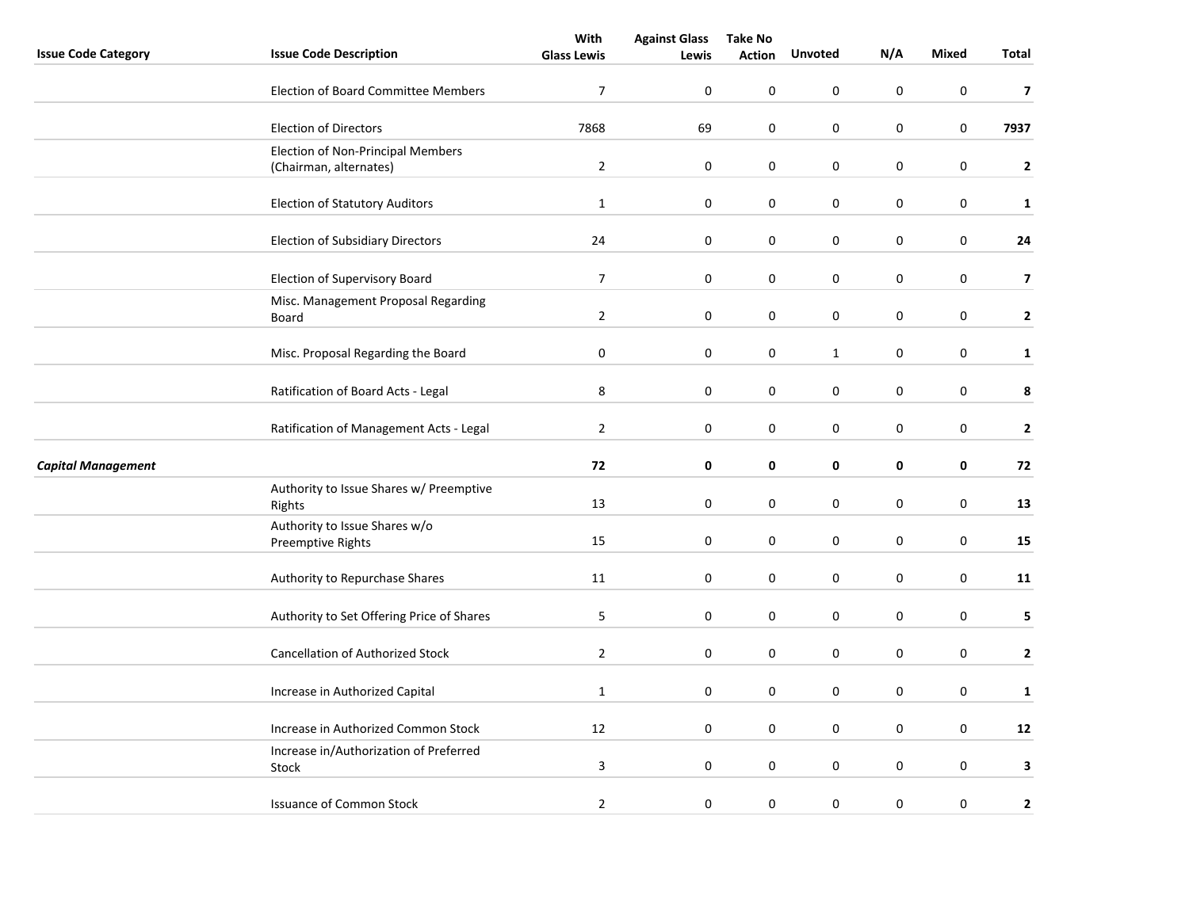|                            |                                                             | With               | <b>Against Glass</b> | <b>Take No</b> |                  |                  |                  |                         |
|----------------------------|-------------------------------------------------------------|--------------------|----------------------|----------------|------------------|------------------|------------------|-------------------------|
| <b>Issue Code Category</b> | <b>Issue Code Description</b>                               | <b>Glass Lewis</b> | Lewis                | <b>Action</b>  | <b>Unvoted</b>   | N/A              | <b>Mixed</b>     | Total                   |
|                            | <b>Election of Board Committee Members</b>                  | $\overline{7}$     | 0                    | 0              | 0                | $\mathbf 0$      | 0                | $\overline{7}$          |
|                            | <b>Election of Directors</b>                                | 7868               | 69                   | 0              | 0                | $\pmb{0}$        | 0                | 7937                    |
|                            | Election of Non-Principal Members<br>(Chairman, alternates) | $\overline{2}$     | 0                    | 0              | 0                | $\pmb{0}$        | 0                | $\mathbf{2}$            |
|                            | <b>Election of Statutory Auditors</b>                       | $\mathbf 1$        | 0                    | 0              | 0                | $\pmb{0}$        | 0                | $\mathbf 1$             |
|                            | <b>Election of Subsidiary Directors</b>                     | 24                 | $\boldsymbol{0}$     | $\pmb{0}$      | $\boldsymbol{0}$ | $\pmb{0}$        | $\boldsymbol{0}$ | ${\bf 24}$              |
|                            | Election of Supervisory Board                               | $\overline{7}$     | 0                    | 0              | 0                | $\mathbf 0$      | 0                | $\overline{\mathbf{z}}$ |
|                            | Misc. Management Proposal Regarding<br>Board                | $\overline{2}$     | 0                    | 0              | $\mathsf 0$      | $\pmb{0}$        | 0                | $\mathbf{2}$            |
|                            | Misc. Proposal Regarding the Board                          | 0                  | 0                    | 0              | $\mathbf{1}$     | $\mathbf 0$      | 0                | $\mathbf{1}$            |
|                            | Ratification of Board Acts - Legal                          | 8                  | $\pmb{0}$            | 0              | 0                | $\pmb{0}$        | 0                | 8                       |
|                            | Ratification of Management Acts - Legal                     | $\overline{2}$     | $\pmb{0}$            | 0              | 0                | $\pmb{0}$        | $\boldsymbol{0}$ | $\mathbf{2}$            |
| <b>Capital Management</b>  |                                                             | 72                 | 0                    | 0              | 0                | 0                | 0                | 72                      |
|                            | Authority to Issue Shares w/ Preemptive<br>Rights           | 13                 | 0                    | 0              | 0                | $\pmb{0}$        | $\boldsymbol{0}$ | 13                      |
|                            | Authority to Issue Shares w/o<br>Preemptive Rights          | 15                 | 0                    | 0              | 0                | $\pmb{0}$        | 0                | 15                      |
|                            | Authority to Repurchase Shares                              | 11                 | $\pmb{0}$            | 0              | 0                | 0                | 0                | 11                      |
|                            | Authority to Set Offering Price of Shares                   | 5                  | $\pmb{0}$            | 0              | 0                | $\mathbf 0$      | 0                | 5                       |
|                            | <b>Cancellation of Authorized Stock</b>                     | $\mathbf{2}$       | 0                    | 0              | 0                | $\mathbf 0$      | 0                | $\mathbf{2}$            |
|                            | Increase in Authorized Capital                              | $\mathbf 1$        | 0                    | 0              | 0                | $\pmb{0}$        | 0                | $\mathbf{1}$            |
|                            | Increase in Authorized Common Stock                         | 12                 | $\boldsymbol{0}$     | 0              | $\boldsymbol{0}$ | $\pmb{0}$        | $\boldsymbol{0}$ | 12                      |
|                            | Increase in/Authorization of Preferred<br>Stock             | $\mathbf{3}$       | 0                    | 0              | 0                | $\pmb{0}$        | 0                | З                       |
|                            | <b>Issuance of Common Stock</b>                             | $\overline{2}$     | $\pmb{0}$            | 0              | $\pmb{0}$        | $\boldsymbol{0}$ | $\boldsymbol{0}$ | $\mathbf{2}$            |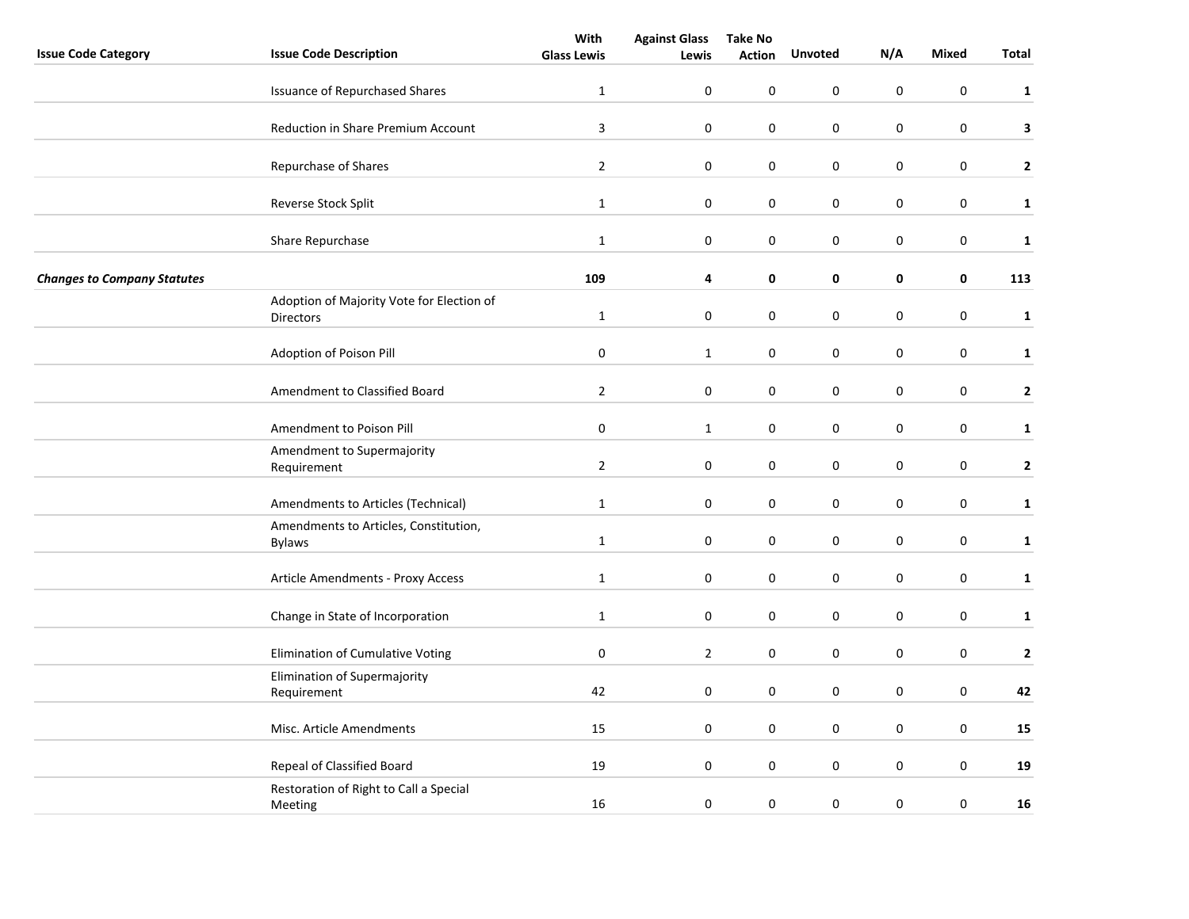|                                    |                                                               | With               | <b>Against Glass</b> | <b>Take No</b> |                  |                  |                  |              |
|------------------------------------|---------------------------------------------------------------|--------------------|----------------------|----------------|------------------|------------------|------------------|--------------|
| <b>Issue Code Category</b>         | <b>Issue Code Description</b>                                 | <b>Glass Lewis</b> | Lewis                | <b>Action</b>  | <b>Unvoted</b>   | N/A              | <b>Mixed</b>     | Total        |
|                                    | <b>Issuance of Repurchased Shares</b>                         | $\mathbf{1}$       | 0                    | 0              | 0                | 0                | $\pmb{0}$        | $\mathbf{1}$ |
|                                    | Reduction in Share Premium Account                            | $\mathbf{3}$       | $\pmb{0}$            | 0              | 0                | $\boldsymbol{0}$ | $\mathsf 0$      | 3            |
|                                    | Repurchase of Shares                                          | $\overline{2}$     | 0                    | 0              | 0                | $\mathbf 0$      | $\mathsf 0$      | $\mathbf{2}$ |
|                                    | Reverse Stock Split                                           | $\mathbf{1}$       | 0                    | $\pmb{0}$      | 0                | 0                | $\pmb{0}$        | $\mathbf{1}$ |
|                                    | Share Repurchase                                              | $\mathbf{1}$       | $\boldsymbol{0}$     | 0              | 0                | $\boldsymbol{0}$ | $\boldsymbol{0}$ | $\mathbf 1$  |
| <b>Changes to Company Statutes</b> |                                                               | 109                | 4                    | 0              | 0                | 0                | 0                | 113          |
|                                    | Adoption of Majority Vote for Election of<br><b>Directors</b> | $\mathbf{1}$       | 0                    | 0              | 0                | 0                | $\mathsf 0$      | $\mathbf{1}$ |
|                                    | Adoption of Poison Pill                                       | $\boldsymbol{0}$   | $\mathbf 1$          | 0              | 0                | $\boldsymbol{0}$ | $\pmb{0}$        | $\mathbf{1}$ |
|                                    | Amendment to Classified Board                                 | $\overline{2}$     | 0                    | 0              | 0                | 0                | 0                | $\mathbf{2}$ |
|                                    | Amendment to Poison Pill                                      | $\pmb{0}$          | $\mathbf 1$          | 0              | 0                | 0                | 0                | $\mathbf{1}$ |
|                                    | Amendment to Supermajority<br>Requirement                     | $\overline{2}$     | 0                    | 0              | 0                | $\boldsymbol{0}$ | $\pmb{0}$        | $\mathbf{2}$ |
|                                    | Amendments to Articles (Technical)                            | $\mathbf{1}$       | 0                    | 0              | 0                | 0                | $\pmb{0}$        | $\mathbf{1}$ |
|                                    | Amendments to Articles, Constitution,<br><b>Bylaws</b>        | $\mathbf{1}$       | $\boldsymbol{0}$     | 0              | $\boldsymbol{0}$ | $\boldsymbol{0}$ | $\pmb{0}$        | $\mathbf{1}$ |
|                                    | Article Amendments - Proxy Access                             | $\mathbf{1}$       | $\pmb{0}$            | 0              | $\mathbf 0$      | $\boldsymbol{0}$ | $\pmb{0}$        | $\mathbf{1}$ |
|                                    | Change in State of Incorporation                              | $\mathbf{1}$       | 0                    | 0              | 0                | 0                | 0                | $\mathbf{1}$ |
|                                    | Elimination of Cumulative Voting                              | 0                  | $\mathbf{2}$         | 0              | 0                | $\mathbf 0$      | 0                | $\mathbf{2}$ |
|                                    | Elimination of Supermajority<br>Requirement                   | 42                 | 0                    | 0              | $\mathbf{0}$     | 0                | $\boldsymbol{0}$ | 42           |
|                                    | Misc. Article Amendments                                      | 15                 | $\boldsymbol{0}$     | 0              | 0                | 0                | $\pmb{0}$        | 15           |
|                                    | Repeal of Classified Board                                    | 19                 | $\pmb{0}$            | 0              | $\mathbf 0$      | 0                | $\boldsymbol{0}$ | 19           |
|                                    | Restoration of Right to Call a Special<br>Meeting             | 16                 | 0                    | 0              | 0                | $\boldsymbol{0}$ | 0                | 16           |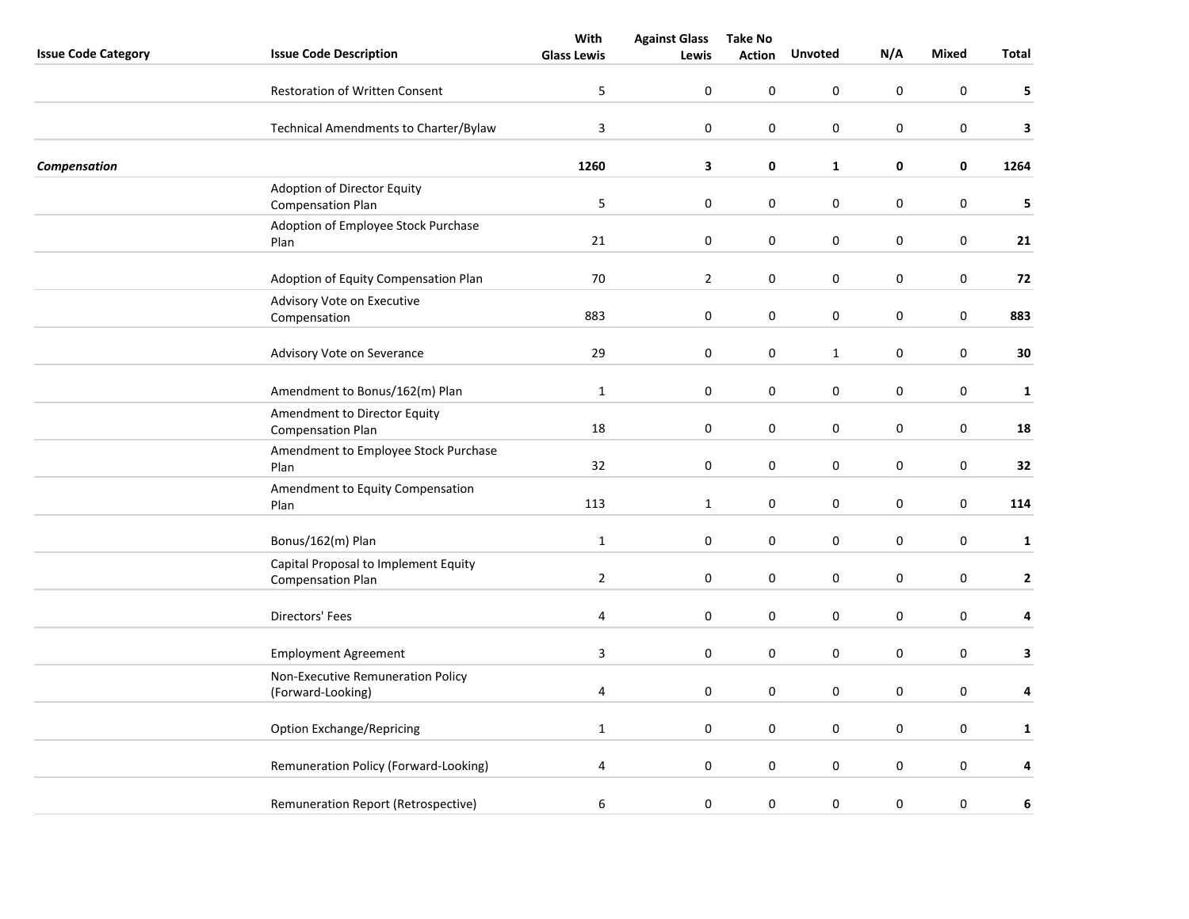|                            |                                                                  | With               | <b>Against Glass</b> | <b>Take No</b> |                  |                  |                  |              |
|----------------------------|------------------------------------------------------------------|--------------------|----------------------|----------------|------------------|------------------|------------------|--------------|
| <b>Issue Code Category</b> | <b>Issue Code Description</b>                                    | <b>Glass Lewis</b> | Lewis                | <b>Action</b>  | <b>Unvoted</b>   | N/A              | <b>Mixed</b>     | Total        |
|                            | <b>Restoration of Written Consent</b>                            | 5                  | 0                    | 0              | 0                | 0                | 0                | 5            |
|                            | Technical Amendments to Charter/Bylaw                            | $\mathsf{3}$       | 0                    | 0              | 0                | 0                | 0                | 3            |
| Compensation               |                                                                  | 1260               | 3                    | 0              | $\mathbf{1}$     | 0                | 0                | 1264         |
|                            | Adoption of Director Equity<br><b>Compensation Plan</b>          | $\mathsf S$        | $\boldsymbol{0}$     | $\pmb{0}$      | 0                | $\boldsymbol{0}$ | $\boldsymbol{0}$ | 5            |
|                            | Adoption of Employee Stock Purchase<br>Plan                      | 21                 | $\boldsymbol{0}$     | $\pmb{0}$      | $\boldsymbol{0}$ | $\boldsymbol{0}$ | $\boldsymbol{0}$ | 21           |
|                            | Adoption of Equity Compensation Plan                             | 70                 | $\overline{2}$       | 0              | 0                | 0                | 0                | 72           |
|                            | Advisory Vote on Executive<br>Compensation                       | 883                | 0                    | 0              | 0                | 0                | 0                | 883          |
|                            | Advisory Vote on Severance                                       | 29                 | $\boldsymbol{0}$     | 0              | $\mathbf{1}$     | $\boldsymbol{0}$ | $\boldsymbol{0}$ | 30           |
|                            | Amendment to Bonus/162(m) Plan                                   | $1\,$              | 0                    | 0              | 0                | 0                | 0                | $\mathbf{1}$ |
|                            | Amendment to Director Equity<br><b>Compensation Plan</b>         | 18                 | $\boldsymbol{0}$     | $\pmb{0}$      | $\boldsymbol{0}$ | $\boldsymbol{0}$ | $\boldsymbol{0}$ | 18           |
|                            | Amendment to Employee Stock Purchase<br>Plan                     | 32                 | 0                    | 0              | 0                | 0                | $\boldsymbol{0}$ | 32           |
|                            | Amendment to Equity Compensation<br>Plan                         | 113                | $\mathbf{1}$         | 0              | 0                | 0                | 0                | 114          |
|                            | Bonus/162(m) Plan                                                | $1\,$              | $\boldsymbol{0}$     | 0              | $\boldsymbol{0}$ | $\boldsymbol{0}$ | $\boldsymbol{0}$ | $\mathbf{1}$ |
|                            | Capital Proposal to Implement Equity<br><b>Compensation Plan</b> | $\overline{2}$     | $\pmb{0}$            | 0              | 0                | 0                | 0                | $\mathbf{2}$ |
|                            | Directors' Fees                                                  | 4                  | $\boldsymbol{0}$     | 0              | $\boldsymbol{0}$ | 0                | $\boldsymbol{0}$ | 4            |
|                            | <b>Employment Agreement</b>                                      | $\overline{3}$     | 0                    | $\pmb{0}$      | $\boldsymbol{0}$ | $\boldsymbol{0}$ | $\boldsymbol{0}$ | 3            |
|                            | Non-Executive Remuneration Policy<br>(Forward-Looking)           | 4                  | 0                    | 0              | 0                | 0                | $\mathsf 0$      | 4            |
|                            | <b>Option Exchange/Repricing</b>                                 | $\mathbf{1}$       | $\boldsymbol{0}$     | 0              | 0                | 0                | $\boldsymbol{0}$ | $\mathbf{1}$ |
|                            | Remuneration Policy (Forward-Looking)                            | 4                  | $\pmb{0}$            | 0              | 0                | 0                | $\boldsymbol{0}$ | 4            |
|                            | Remuneration Report (Retrospective)                              | 6                  | 0                    | 0              | 0                | $\boldsymbol{0}$ | 0                | 6            |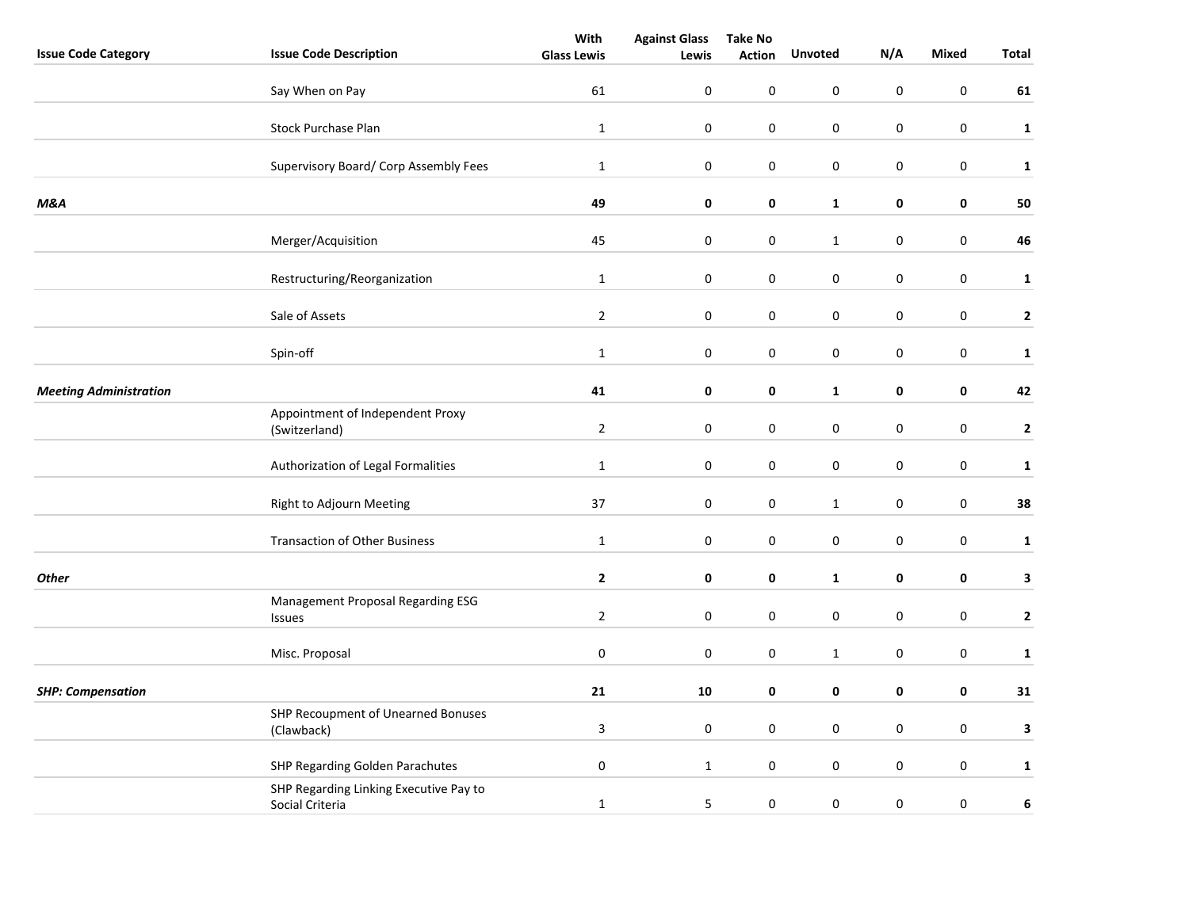|                               |                                                           | With               | <b>Against Glass</b> | <b>Take No</b> |                  |                  |                  |              |
|-------------------------------|-----------------------------------------------------------|--------------------|----------------------|----------------|------------------|------------------|------------------|--------------|
| <b>Issue Code Category</b>    | <b>Issue Code Description</b>                             | <b>Glass Lewis</b> | Lewis                | <b>Action</b>  | <b>Unvoted</b>   | N/A              | <b>Mixed</b>     | Total        |
|                               | Say When on Pay                                           | 61                 | $\boldsymbol{0}$     | 0              | 0                | $\pmb{0}$        | $\pmb{0}$        | 61           |
|                               | <b>Stock Purchase Plan</b>                                | $\mathbf{1}$       | $\mathbf 0$          | 0              | 0                | 0                | 0                | $\mathbf{1}$ |
|                               | Supervisory Board/ Corp Assembly Fees                     | $\mathbf 1$        | $\pmb{0}$            | $\pmb{0}$      | $\boldsymbol{0}$ | $\pmb{0}$        | $\pmb{0}$        | $\mathbf{1}$ |
| M&A                           |                                                           | 49                 | 0                    | 0              | $\mathbf{1}$     | 0                | 0                | 50           |
|                               | Merger/Acquisition                                        | 45                 | $\pmb{0}$            | 0              | $\mathbf{1}$     | $\pmb{0}$        | $\mathbf 0$      | 46           |
|                               | Restructuring/Reorganization                              | $\mathbf{1}$       | $\boldsymbol{0}$     | 0              | $\boldsymbol{0}$ | $\pmb{0}$        | $\mathbf 0$      | $\mathbf{1}$ |
|                               | Sale of Assets                                            | $\overline{2}$     | $\pmb{0}$            | 0              | $\boldsymbol{0}$ | $\pmb{0}$        | $\mathbf 0$      | $\mathbf{2}$ |
|                               | Spin-off                                                  | $\mathbf 1$        | $\pmb{0}$            | 0              | $\boldsymbol{0}$ | $\pmb{0}$        | $\pmb{0}$        | $\mathbf{1}$ |
| <b>Meeting Administration</b> |                                                           | 41                 | 0                    | 0              | $\mathbf{1}$     | 0                | 0                | 42           |
|                               | Appointment of Independent Proxy<br>(Switzerland)         | $\overline{2}$     | $\pmb{0}$            | 0              | $\boldsymbol{0}$ | $\pmb{0}$        | $\mathbf 0$      | $\mathbf 2$  |
|                               | Authorization of Legal Formalities                        | $\mathbf{1}$       | $\boldsymbol{0}$     | $\pmb{0}$      | $\boldsymbol{0}$ | $\pmb{0}$        | $\mathbf 0$      | $\mathbf{1}$ |
|                               | Right to Adjourn Meeting                                  | 37                 | 0                    | 0              | $\mathbf{1}$     | 0                | $\pmb{0}$        | 38           |
|                               | <b>Transaction of Other Business</b>                      | $\mathbf{1}$       | $\pmb{0}$            | 0              | 0                | $\pmb{0}$        | $\pmb{0}$        | $\mathbf{1}$ |
| <b>Other</b>                  |                                                           | $\mathbf{2}$       | $\pmb{0}$            | 0              | $\mathbf{1}$     | 0                | 0                | $\mathbf{3}$ |
|                               | Management Proposal Regarding ESG<br><b>Issues</b>        | $\overline{2}$     | $\pmb{0}$            | 0              | 0                | 0                | $\pmb{0}$        | $\mathbf{2}$ |
|                               | Misc. Proposal                                            | $\pmb{0}$          | $\pmb{0}$            | $\pmb{0}$      | $\mathbf{1}$     | $\pmb{0}$        | $\pmb{0}$        | $\mathbf{1}$ |
| <b>SHP: Compensation</b>      |                                                           | 21                 | ${\bf 10}$           | 0              | 0                | 0                | $\pmb{0}$        | 31           |
|                               | SHP Recoupment of Unearned Bonuses<br>(Clawback)          | $\mathbf{3}$       | $\pmb{0}$            | 0              | 0                | $\pmb{0}$        | $\pmb{0}$        | 3            |
|                               | SHP Regarding Golden Parachutes                           | $\pmb{0}$          | $\mathbf{1}$         | $\pmb{0}$      | 0                | $\pmb{0}$        | $\pmb{0}$        | $\mathbf{1}$ |
|                               | SHP Regarding Linking Executive Pay to<br>Social Criteria | $\mathbf 1$        | 5                    | $\pmb{0}$      | 0                | $\boldsymbol{0}$ | $\boldsymbol{0}$ | $\bf 6$      |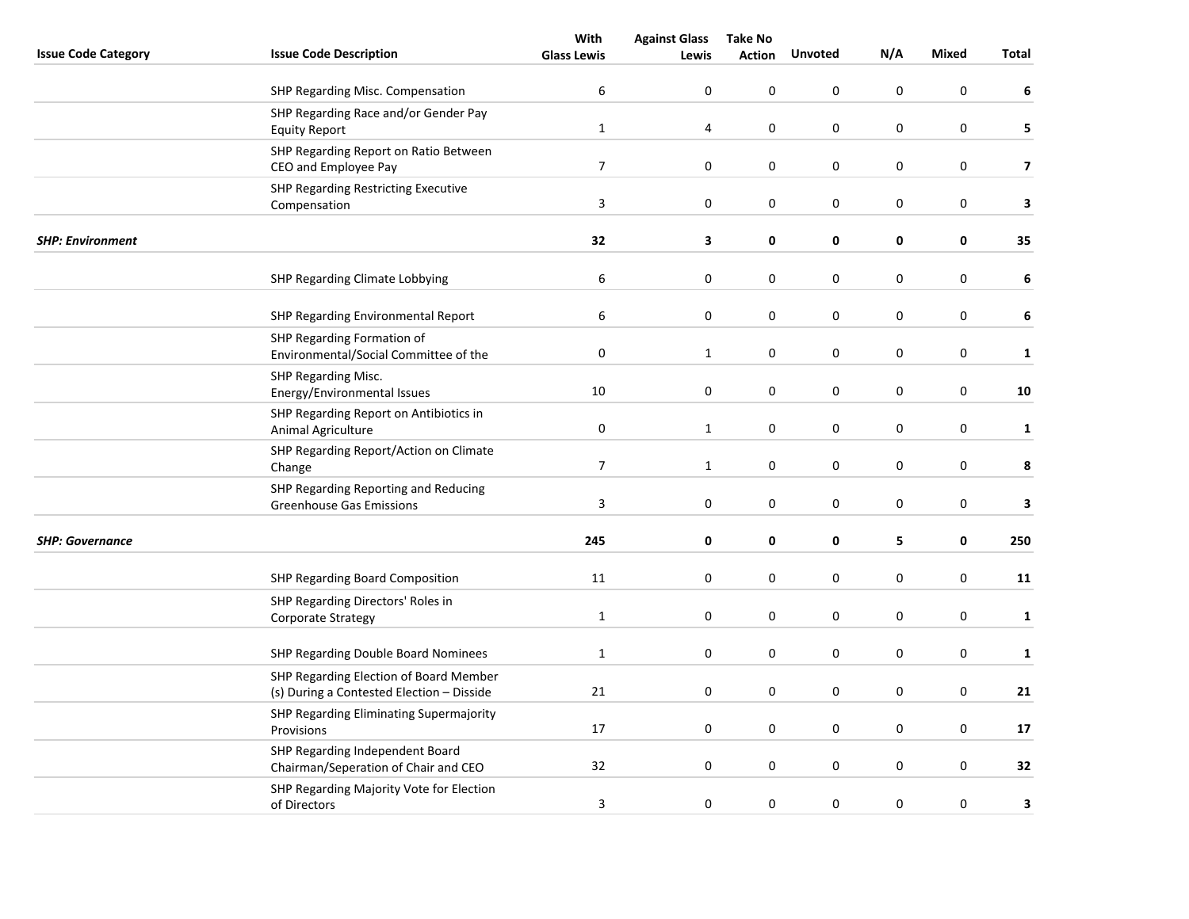|                            |                                                                                     | With               | <b>Against Glass</b> | <b>Take No</b> |                |                  |                  |                         |
|----------------------------|-------------------------------------------------------------------------------------|--------------------|----------------------|----------------|----------------|------------------|------------------|-------------------------|
| <b>Issue Code Category</b> | <b>Issue Code Description</b>                                                       | <b>Glass Lewis</b> | Lewis                | <b>Action</b>  | <b>Unvoted</b> | N/A              | <b>Mixed</b>     | Total                   |
|                            | SHP Regarding Misc. Compensation                                                    | 6                  | 0                    | $\pmb{0}$      | 0              | $\pmb{0}$        | $\boldsymbol{0}$ | 6                       |
|                            | SHP Regarding Race and/or Gender Pay<br><b>Equity Report</b>                        | $\mathbf{1}$       | 4                    | $\pmb{0}$      | $\pmb{0}$      | $\pmb{0}$        | $\pmb{0}$        | 5                       |
|                            | SHP Regarding Report on Ratio Between<br>CEO and Employee Pay                       | $\overline{7}$     | $\mathbf 0$          | 0              | 0              | $\pmb{0}$        | 0                | $\overline{\mathbf{z}}$ |
|                            | <b>SHP Regarding Restricting Executive</b><br>Compensation                          | $\mathbf{3}$       | $\pmb{0}$            | 0              | 0              | 0                | 0                | 3                       |
| <b>SHP: Environment</b>    |                                                                                     | 32                 | 3                    | 0              | 0              | 0                | 0                | 35                      |
|                            | SHP Regarding Climate Lobbying                                                      | 6                  | 0                    | 0              | 0              | 0                | 0                | 6                       |
|                            | SHP Regarding Environmental Report                                                  | 6                  | $\mathbf 0$          | 0              | $\mathsf 0$    | $\pmb{0}$        | 0                | 6                       |
|                            | SHP Regarding Formation of<br>Environmental/Social Committee of the                 | $\mathbf 0$        | $\mathbf{1}$         | 0              | 0              | $\mathbf 0$      | 0                | $\mathbf{1}$            |
|                            | SHP Regarding Misc.<br>Energy/Environmental Issues                                  | 10                 | $\pmb{0}$            | 0              | 0              | $\pmb{0}$        | 0                | 10                      |
|                            | SHP Regarding Report on Antibiotics in<br>Animal Agriculture                        | $\boldsymbol{0}$   | $\mathbf{1}$         | $\pmb{0}$      | $\pmb{0}$      | $\boldsymbol{0}$ | $\boldsymbol{0}$ | $\mathbf{1}$            |
|                            | SHP Regarding Report/Action on Climate<br>Change                                    | $\overline{7}$     | $\mathbf{1}$         | 0              | 0              | 0                | 0                | 8                       |
|                            | SHP Regarding Reporting and Reducing<br><b>Greenhouse Gas Emissions</b>             | 3                  | $\pmb{0}$            | 0              | 0              | 0                | 0                | 3                       |
| <b>SHP: Governance</b>     |                                                                                     | 245                | 0                    | 0              | 0              | 5                | 0                | 250                     |
|                            | SHP Regarding Board Composition                                                     | 11                 | $\boldsymbol{0}$     | $\pmb{0}$      | $\mathsf 0$    | $\pmb{0}$        | $\boldsymbol{0}$ | 11                      |
|                            | SHP Regarding Directors' Roles in<br>Corporate Strategy                             | $\mathbf 1$        | $\mathbf 0$          | 0              | 0              | $\mathbf 0$      | 0                | $\mathbf{1}$            |
|                            | SHP Regarding Double Board Nominees                                                 | $\mathbf 1$        | 0                    | 0              | 0              | $\boldsymbol{0}$ | 0                | $\mathbf 1$             |
|                            | SHP Regarding Election of Board Member<br>(s) During a Contested Election - Disside | 21                 | 0                    | 0              | 0              | $\pmb{0}$        | $\mathbf 0$      | 21                      |
|                            | SHP Regarding Eliminating Supermajority<br>Provisions                               | 17                 | $\mathbf 0$          | 0              | 0              | $\mathbf 0$      | 0                | 17                      |
|                            | SHP Regarding Independent Board<br>Chairman/Seperation of Chair and CEO             | 32                 | $\boldsymbol{0}$     | 0              | 0              | $\pmb{0}$        | $\boldsymbol{0}$ | 32                      |
|                            | SHP Regarding Majority Vote for Election<br>of Directors                            | 3                  | 0                    | $\pmb{0}$      | 0              | $\boldsymbol{0}$ | $\boldsymbol{0}$ | 3                       |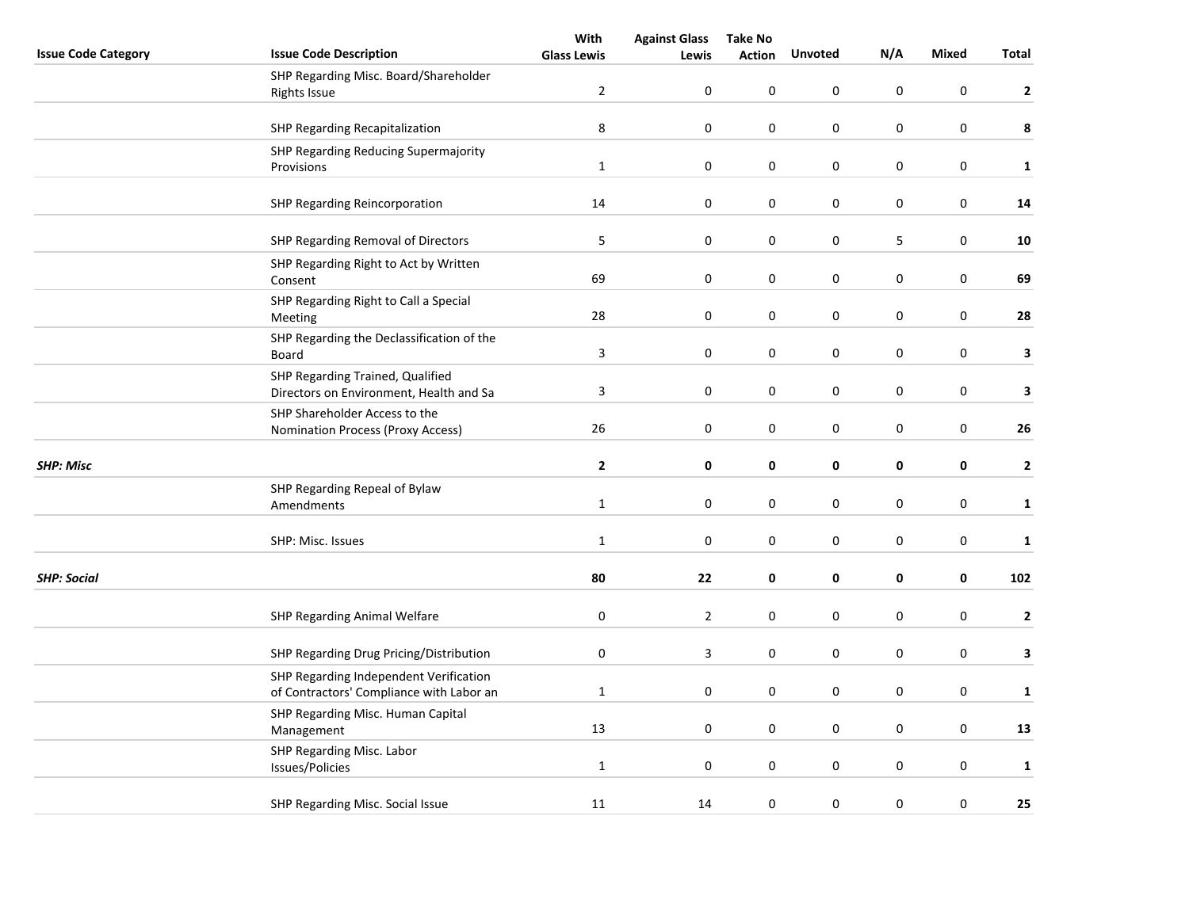|                            |                                                                                    | With               | <b>Against Glass</b> | <b>Take No</b> |             |                  |                  |              |
|----------------------------|------------------------------------------------------------------------------------|--------------------|----------------------|----------------|-------------|------------------|------------------|--------------|
| <b>Issue Code Category</b> | <b>Issue Code Description</b>                                                      | <b>Glass Lewis</b> | Lewis                | <b>Action</b>  | Unvoted     | N/A              | <b>Mixed</b>     | Total        |
|                            | SHP Regarding Misc. Board/Shareholder<br><b>Rights Issue</b>                       | $\overline{2}$     | 0                    | 0              | $\pmb{0}$   | $\pmb{0}$        | $\boldsymbol{0}$ | $\mathbf{2}$ |
|                            | SHP Regarding Recapitalization                                                     | 8                  | 0                    | 0              | 0           | $\pmb{0}$        | 0                | 8            |
|                            | SHP Regarding Reducing Supermajority<br>Provisions                                 | $\mathbf 1$        | $\pmb{0}$            | 0              | $\mathbf 0$ | $\pmb{0}$        | $\boldsymbol{0}$ | $\mathbf{1}$ |
|                            |                                                                                    |                    |                      |                |             |                  |                  |              |
|                            | SHP Regarding Reincorporation                                                      | $14\,$             | $\pmb{0}$            | 0              | 0           | $\pmb{0}$        | 0                | ${\bf 14}$   |
|                            | SHP Regarding Removal of Directors                                                 | $\mathsf S$        | $\boldsymbol{0}$     | 0              | $\pmb{0}$   | 5                | $\boldsymbol{0}$ | ${\bf 10}$   |
|                            | SHP Regarding Right to Act by Written<br>Consent                                   | 69                 | 0                    | 0              | $\pmb{0}$   | $\pmb{0}$        | $\boldsymbol{0}$ | 69           |
|                            | SHP Regarding Right to Call a Special<br>Meeting                                   | 28                 | 0                    | 0              | $\mathsf 0$ | $\pmb{0}$        | $\pmb{0}$        | 28           |
|                            | SHP Regarding the Declassification of the<br>Board                                 | $\mathbf{3}$       | $\pmb{0}$            | 0              | 0           | $\pmb{0}$        | 0                | 3            |
|                            | SHP Regarding Trained, Qualified<br>Directors on Environment, Health and Sa        | $\mathsf 3$        | $\pmb{0}$            | 0              | $\pmb{0}$   | $\pmb{0}$        | 0                | 3            |
|                            | SHP Shareholder Access to the<br>Nomination Process (Proxy Access)                 | 26                 | $\boldsymbol{0}$     | 0              | $\pmb{0}$   | $\pmb{0}$        | $\pmb{0}$        | 26           |
| <b>SHP: Misc</b>           |                                                                                    | $\mathbf{2}$       | 0                    | 0              | 0           | $\pmb{0}$        | 0                | $\mathbf{2}$ |
|                            | SHP Regarding Repeal of Bylaw<br>Amendments                                        | $\mathbf{1}$       | $\boldsymbol{0}$     | 0              | 0           | $\mathbf 0$      | $\pmb{0}$        | $\mathbf{1}$ |
|                            |                                                                                    |                    |                      |                |             |                  |                  |              |
|                            | SHP: Misc. Issues                                                                  | $\mathbf{1}$       | $\boldsymbol{0}$     | 0              | 0           | $\pmb{0}$        | $\pmb{0}$        | $\mathbf{1}$ |
| <b>SHP: Social</b>         |                                                                                    | 80                 | 22                   | 0              | 0           | 0                | 0                | 102          |
|                            | SHP Regarding Animal Welfare                                                       | $\pmb{0}$          | $\overline{2}$       | 0              | 0           | $\pmb{0}$        | $\pmb{0}$        | $\mathbf{2}$ |
|                            | SHP Regarding Drug Pricing/Distribution                                            | 0                  | 3                    | $\pmb{0}$      | $\pmb{0}$   | $\pmb{0}$        | 0                | $\mathbf{3}$ |
|                            | SHP Regarding Independent Verification<br>of Contractors' Compliance with Labor an | $\mathbf 1$        | 0                    | 0              | 0           | $\mathbf 0$      | $\pmb{0}$        | $\mathbf{1}$ |
|                            | SHP Regarding Misc. Human Capital<br>Management                                    | 13                 | $\pmb{0}$            | 0              | 0           | $\pmb{0}$        | 0                | 13           |
|                            | SHP Regarding Misc. Labor<br>Issues/Policies                                       | $\mathbf 1$        | $\pmb{0}$            | 0              | $\pmb{0}$   | $\pmb{0}$        | $\boldsymbol{0}$ | $\mathbf{1}$ |
|                            | SHP Regarding Misc. Social Issue                                                   | 11                 | 14                   | 0              | 0           | $\boldsymbol{0}$ | $\boldsymbol{0}$ | 25           |
|                            |                                                                                    |                    |                      |                |             |                  |                  |              |